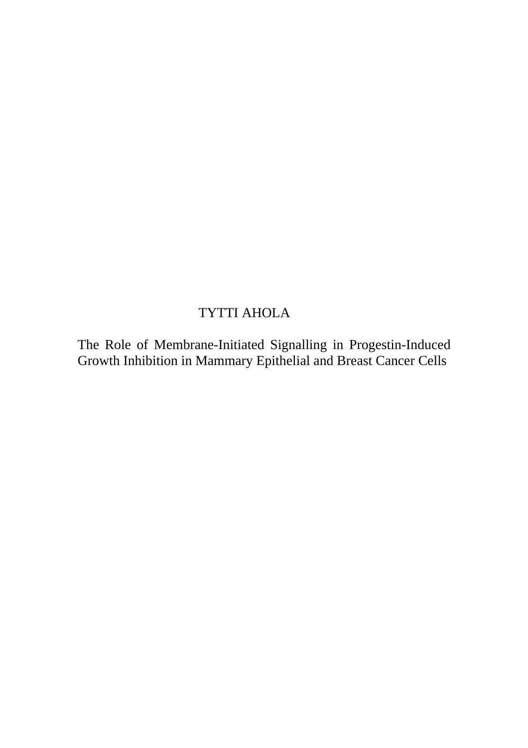# TYTTI AHOLA

The Role of Membrane-Initiated Signalling in Progestin-Induced Growth Inhibition in Mammary Epithelial and Breast Cancer Cells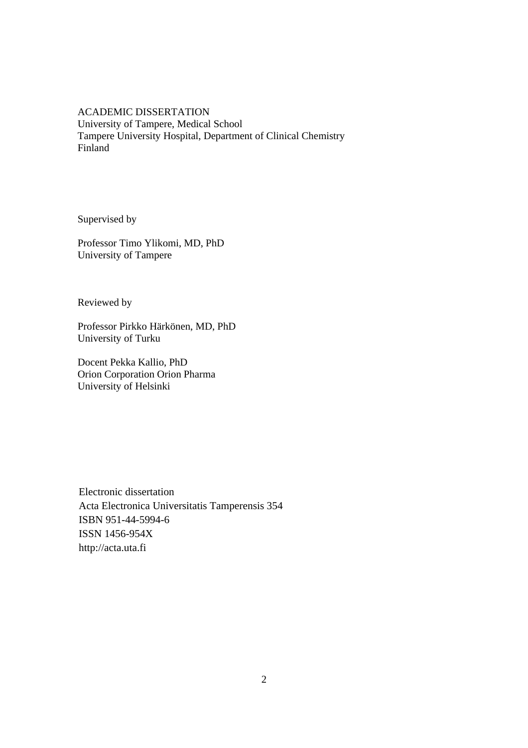ACADEMIC DISSERTATION University of Tampere, Medical School Tampere University Hospital, Department of Clinical Chemistry Finland

Supervised by

Professor Timo Ylikomi, MD, PhD University of Tampere

Reviewed by

Professor Pirkko Härkönen, MD, PhD University of Turku

Docent Pekka Kallio, PhD Orion Corporation Orion Pharma University of Helsinki

Electronic dissertation Acta Electronica Universitatis Tamperensis 354 ISBN 951-44-5994-6 ISSN 1456-954X http://acta.uta.fi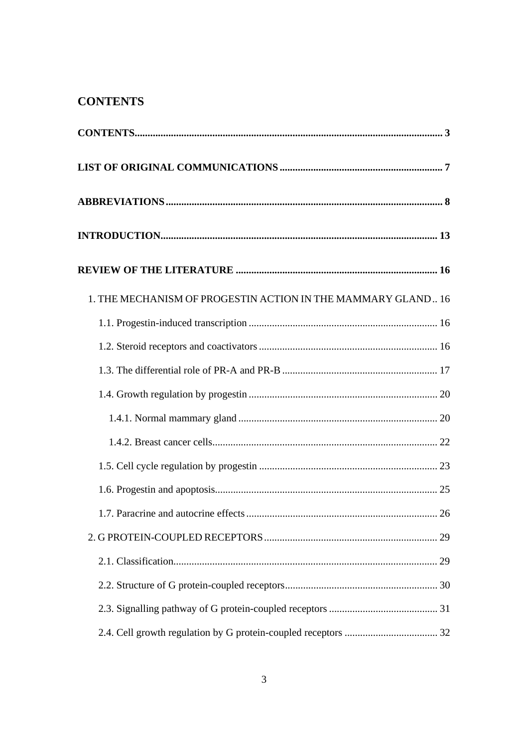# **CONTENTS**

| 1. THE MECHANISM OF PROGESTIN ACTION IN THE MAMMARY GLAND 16 |  |
|--------------------------------------------------------------|--|
|                                                              |  |
|                                                              |  |
|                                                              |  |
|                                                              |  |
|                                                              |  |
|                                                              |  |
|                                                              |  |
|                                                              |  |
|                                                              |  |
|                                                              |  |
|                                                              |  |
|                                                              |  |
|                                                              |  |
|                                                              |  |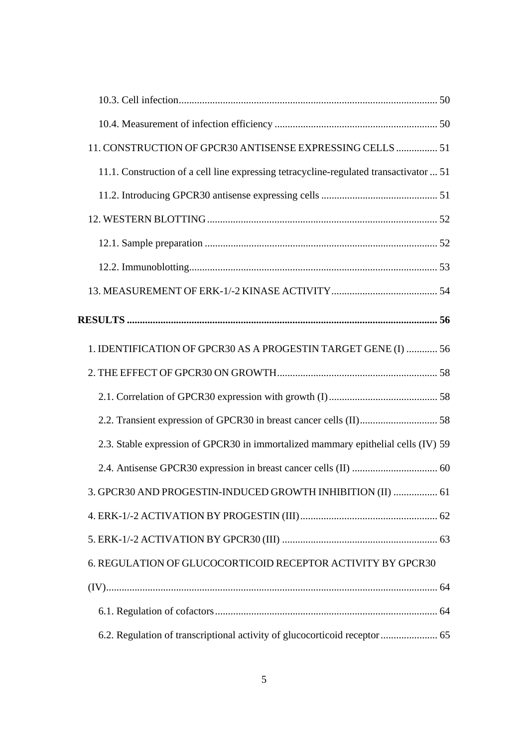| 11. CONSTRUCTION OF GPCR30 ANTISENSE EXPRESSING CELLS  51                              |  |
|----------------------------------------------------------------------------------------|--|
| 11.1. Construction of a cell line expressing tetracycline-regulated transactivator  51 |  |
|                                                                                        |  |
|                                                                                        |  |
|                                                                                        |  |
|                                                                                        |  |
|                                                                                        |  |
|                                                                                        |  |
| 1. IDENTIFICATION OF GPCR30 AS A PROGESTIN TARGET GENE (I)  56                         |  |
|                                                                                        |  |
|                                                                                        |  |
|                                                                                        |  |
| 2.3. Stable expression of GPCR30 in immortalized mammary epithelial cells (IV) 59      |  |
|                                                                                        |  |
| 3. GPCR30 AND PROGESTIN-INDUCED GROWTH INHIBITION (II)  61                             |  |
|                                                                                        |  |
|                                                                                        |  |
| 6. REGULATION OF GLUCOCORTICOID RECEPTOR ACTIVITY BY GPCR30                            |  |
|                                                                                        |  |
|                                                                                        |  |
| 6.2. Regulation of transcriptional activity of glucocorticoid receptor  65             |  |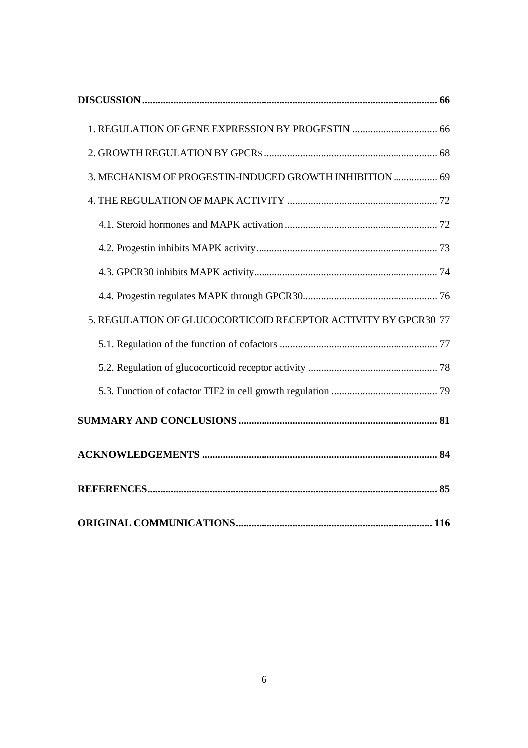| 1. REGULATION OF GENE EXPRESSION BY PROGESTIN  66              |
|----------------------------------------------------------------|
|                                                                |
| 3. MECHANISM OF PROGESTIN-INDUCED GROWTH INHIBITION  69        |
|                                                                |
|                                                                |
|                                                                |
|                                                                |
|                                                                |
| 5. REGULATION OF GLUCOCORTICOID RECEPTOR ACTIVITY BY GPCR30 77 |
|                                                                |
|                                                                |
|                                                                |
|                                                                |
|                                                                |
|                                                                |
|                                                                |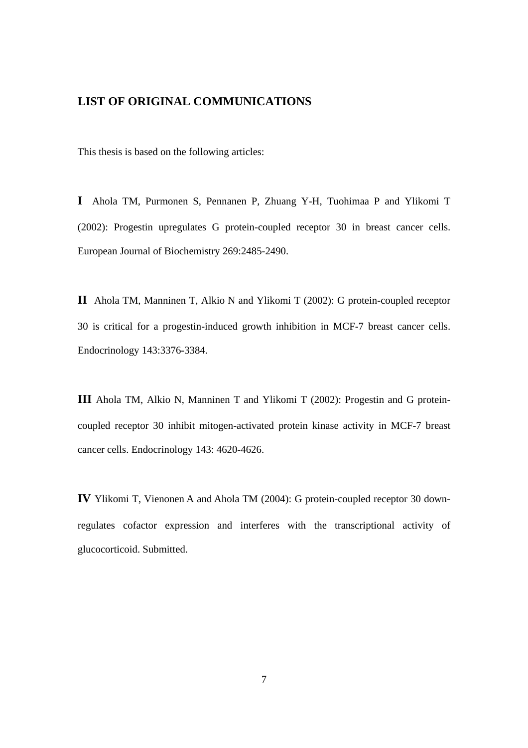# <span id="page-6-0"></span>**LIST OF ORIGINAL COMMUNICATIONS**

This thesis is based on the following articles:

**I** Ahola TM, Purmonen S, Pennanen P, Zhuang Y-H, Tuohimaa P and Ylikomi T (2002): Progestin upregulates G protein-coupled receptor 30 in breast cancer cells. European Journal of Biochemistry 269:2485-2490.

**II** Ahola TM, Manninen T, Alkio N and Ylikomi T (2002): G protein-coupled receptor 30 is critical for a progestin-induced growth inhibition in MCF-7 breast cancer cells. Endocrinology 143:3376-3384.

**III** Ahola TM, Alkio N, Manninen T and Ylikomi T (2002): Progestin and G proteincoupled receptor 30 inhibit mitogen-activated protein kinase activity in MCF-7 breast cancer cells. Endocrinology 143: 4620-4626.

**IV** Ylikomi T, Vienonen A and Ahola TM (2004): G protein-coupled receptor 30 downregulates cofactor expression and interferes with the transcriptional activity of glucocorticoid. Submitted.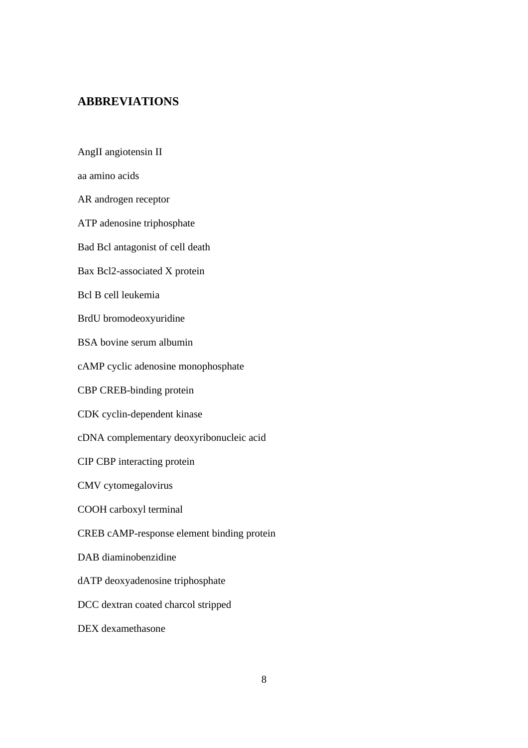# <span id="page-7-0"></span>**ABBREVIATIONS**

AngII angiotensin II

aa amino acids

AR androgen receptor

ATP adenosine triphosphate

Bad Bcl antagonist of cell death

Bax Bcl2-associated X protein

Bcl B cell leukemia

BrdU bromodeoxyuridine

BSA bovine serum albumin

cAMP cyclic adenosine monophosphate

CBP CREB-binding protein

CDK cyclin-dependent kinase

cDNA complementary deoxyribonucleic acid

CIP CBP interacting protein

CMV cytomegalovirus

COOH carboxyl terminal

CREB cAMP-response element binding protein

DAB diaminobenzidine

dATP deoxyadenosine triphosphate

DCC dextran coated charcol stripped

DEX dexamethasone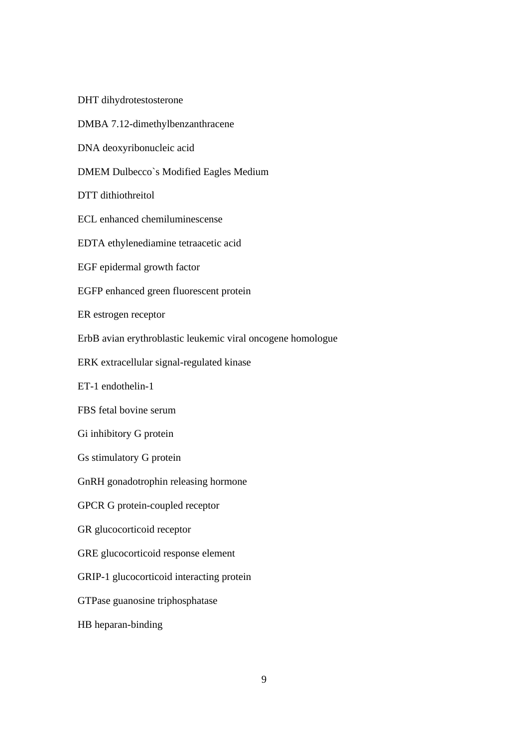DHT dihydrotestosterone

DMBA 7.12-dimethylbenzanthracene

DNA deoxyribonucleic acid

DMEM Dulbecco`s Modified Eagles Medium

DTT dithiothreitol

ECL enhanced chemiluminescense

EDTA ethylenediamine tetraacetic acid

EGF epidermal growth factor

EGFP enhanced green fluorescent protein

ER estrogen receptor

ErbB avian erythroblastic leukemic viral oncogene homologue

ERK extracellular signal-regulated kinase

ET-1 endothelin-1

FBS fetal bovine serum

Gi inhibitory G protein

Gs stimulatory G protein

GnRH gonadotrophin releasing hormone

GPCR G protein-coupled receptor

GR glucocorticoid receptor

GRE glucocorticoid response element

GRIP-1 glucocorticoid interacting protein

GTPase guanosine triphosphatase

HB heparan-binding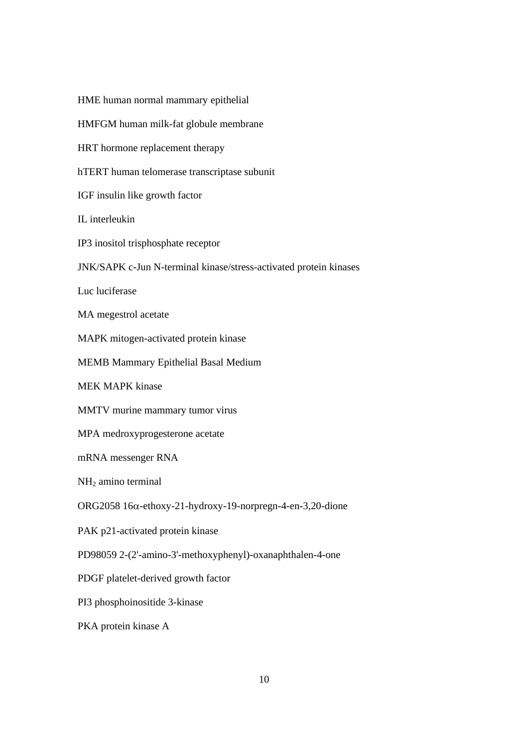HME human normal mammary epithelial HMFGM human milk-fat globule membrane HRT hormone replacement therapy hTERT human telomerase transcriptase subunit IGF insulin like growth factor IL interleukin IP3 inositol trisphosphate receptor JNK/SAPK c-Jun N-terminal kinase/stress-activated protein kinases Luc luciferase MA megestrol acetate MAPK mitogen-activated protein kinase MEMB Mammary Epithelial Basal Medium MEK MAPK kinase MMTV murine mammary tumor virus MPA medroxyprogesterone acetate mRNA messenger RNA NH2 amino terminal ORG2058 16α-ethoxy-21-hydroxy-19-norpregn-4-en-3,20-dione PAK p21-activated protein kinase PD98059 2-(2'-amino-3'-methoxyphenyl)-oxanaphthalen-4-one PDGF platelet-derived growth factor PI3 phosphoinositide 3-kinase PKA protein kinase A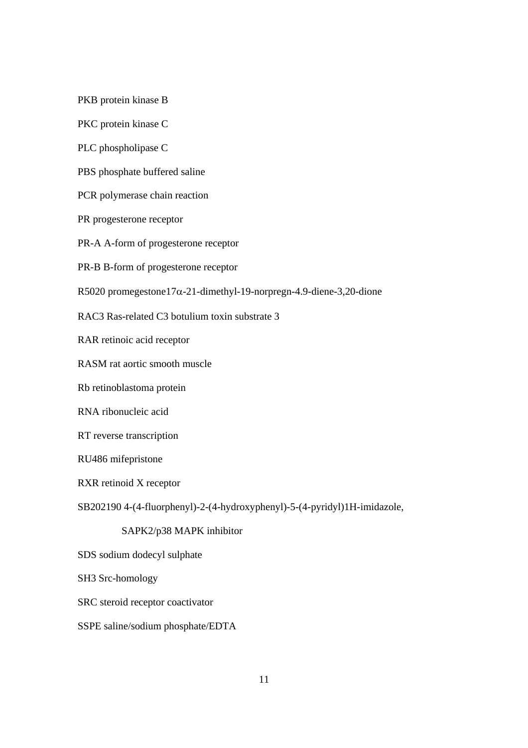PKB protein kinase B

PKC protein kinase C

PLC phospholipase C

PBS phosphate buffered saline

PCR polymerase chain reaction

PR progesterone receptor

PR-A A-form of progesterone receptor

PR-B B-form of progesterone receptor

R5020 promegestone17α-21-dimethyl-19-norpregn-4.9-diene-3,20-dione

RAC3 Ras-related C3 botulium toxin substrate 3

RAR retinoic acid receptor

RASM rat aortic smooth muscle

Rb retinoblastoma protein

RNA ribonucleic acid

RT reverse transcription

RU486 mifepristone

RXR retinoid X receptor

SB202190 4-(4-fluorphenyl)-2-(4-hydroxyphenyl)-5-(4-pyridyl)1H-imidazole,

# SAPK2/p38 MAPK inhibitor

SDS sodium dodecyl sulphate

SH3 Src-homology

SRC steroid receptor coactivator

SSPE saline/sodium phosphate/EDTA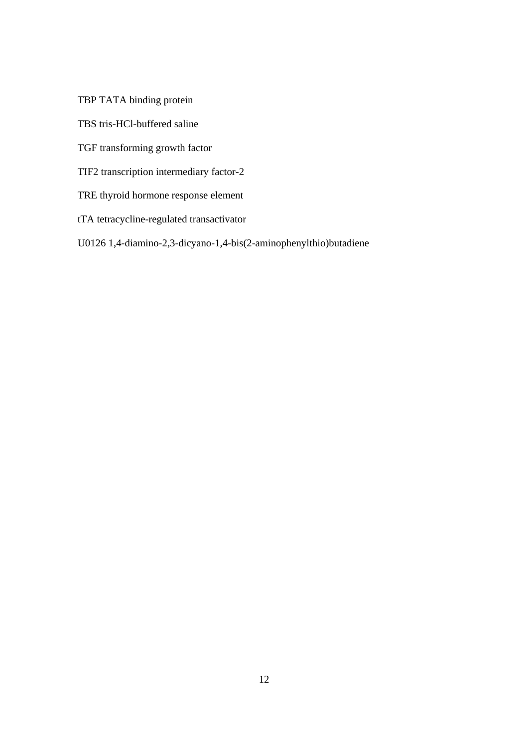TBP TATA binding protein

TBS tris-HCl-buffered saline

TGF transforming growth factor

TIF2 transcription intermediary factor-2

TRE thyroid hormone response element

tTA tetracycline-regulated transactivator

U0126 1,4-diamino-2,3-dicyano-1,4-bis(2-aminophenylthio)butadiene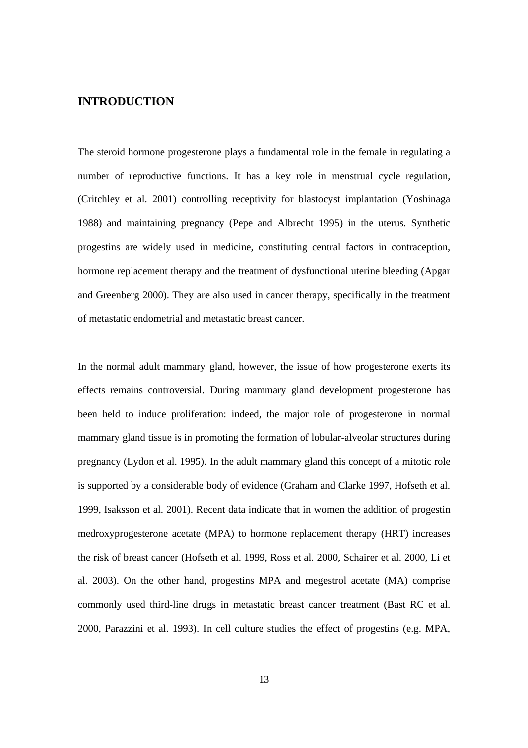# <span id="page-12-0"></span>**INTRODUCTION**

The steroid hormone progesterone plays a fundamental role in the female in regulating a number of reproductive functions. It has a key role in menstrual cycle regulation, (Critchley et al. 2001) controlling receptivity for blastocyst implantation (Yoshinaga 1988) and maintaining pregnancy (Pepe and Albrecht 1995) in the uterus. Synthetic progestins are widely used in medicine, constituting central factors in contraception, hormone replacement therapy and the treatment of dysfunctional uterine bleeding (Apgar and Greenberg 2000). They are also used in cancer therapy, specifically in the treatment of metastatic endometrial and metastatic breast cancer.

In the normal adult mammary gland, however, the issue of how progesterone exerts its effects remains controversial. During mammary gland development progesterone has been held to induce proliferation: indeed, the major role of progesterone in normal mammary gland tissue is in promoting the formation of lobular-alveolar structures during pregnancy (Lydon et al. 1995). In the adult mammary gland this concept of a mitotic role is supported by a considerable body of evidence (Graham and Clarke 1997, Hofseth et al. 1999, Isaksson et al. 2001). Recent data indicate that in women the addition of progestin medroxyprogesterone acetate (MPA) to hormone replacement therapy (HRT) increases the risk of breast cancer (Hofseth et al. 1999, Ross et al. 2000, Schairer et al. 2000, Li et al. 2003). On the other hand, progestins MPA and megestrol acetate (MA) comprise commonly used third-line drugs in metastatic breast cancer treatment (Bast RC et al. 2000, Parazzini et al. 1993). In cell culture studies the effect of progestins (e.g. MPA,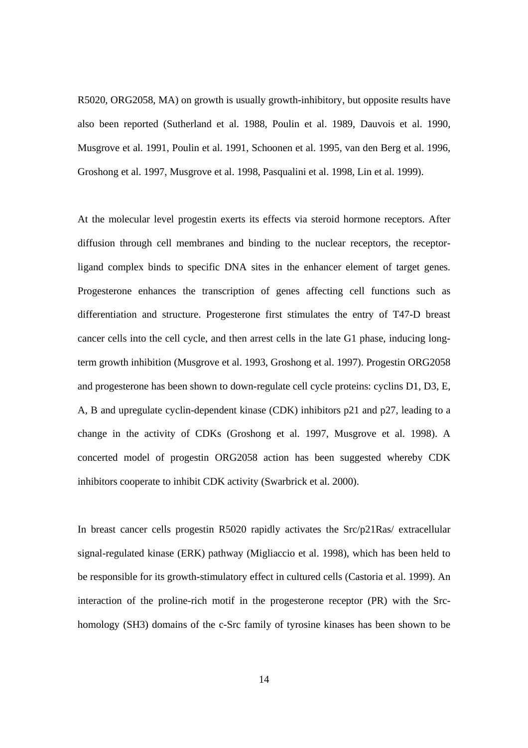R5020, ORG2058, MA) on growth is usually growth-inhibitory, but opposite results have also been reported (Sutherland et al. 1988, Poulin et al. 1989, Dauvois et al. 1990, Musgrove et al. 1991, Poulin et al. 1991, Schoonen et al. 1995, van den Berg et al. 1996, Groshong et al. 1997, Musgrove et al. 1998, Pasqualini et al. 1998, Lin et al. 1999).

At the molecular level progestin exerts its effects via steroid hormone receptors. After diffusion through cell membranes and binding to the nuclear receptors, the receptorligand complex binds to specific DNA sites in the enhancer element of target genes. Progesterone enhances the transcription of genes affecting cell functions such as differentiation and structure. Progesterone first stimulates the entry of T47-D breast cancer cells into the cell cycle, and then arrest cells in the late G1 phase, inducing longterm growth inhibition (Musgrove et al. 1993, Groshong et al. 1997). Progestin ORG2058 and progesterone has been shown to down-regulate cell cycle proteins: cyclins D1, D3, E, A, B and upregulate cyclin-dependent kinase (CDK) inhibitors p21 and p27, leading to a change in the activity of CDKs (Groshong et al. 1997, Musgrove et al. 1998). A concerted model of progestin ORG2058 action has been suggested whereby CDK inhibitors cooperate to inhibit CDK activity (Swarbrick et al. 2000).

In breast cancer cells progestin R5020 rapidly activates the Src/p21Ras/ extracellular signal-regulated kinase (ERK) pathway (Migliaccio et al. 1998), which has been held to be responsible for its growth-stimulatory effect in cultured cells (Castoria et al. 1999). An interaction of the proline-rich motif in the progesterone receptor (PR) with the Srchomology (SH3) domains of the c-Src family of tyrosine kinases has been shown to be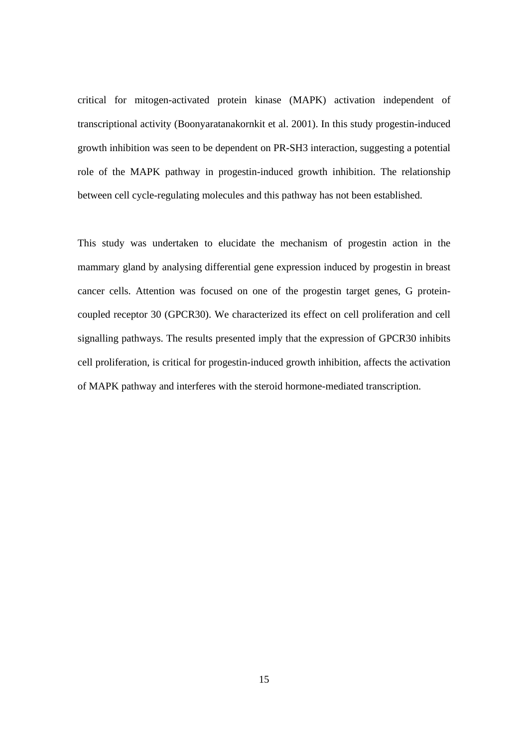critical for mitogen-activated protein kinase (MAPK) activation independent of transcriptional activity (Boonyaratanakornkit et al. 2001). In this study progestin-induced growth inhibition was seen to be dependent on PR-SH3 interaction, suggesting a potential role of the MAPK pathway in progestin-induced growth inhibition. The relationship between cell cycle-regulating molecules and this pathway has not been established.

This study was undertaken to elucidate the mechanism of progestin action in the mammary gland by analysing differential gene expression induced by progestin in breast cancer cells. Attention was focused on one of the progestin target genes, G proteincoupled receptor 30 (GPCR30). We characterized its effect on cell proliferation and cell signalling pathways. The results presented imply that the expression of GPCR30 inhibits cell proliferation, is critical for progestin-induced growth inhibition, affects the activation of MAPK pathway and interferes with the steroid hormone-mediated transcription.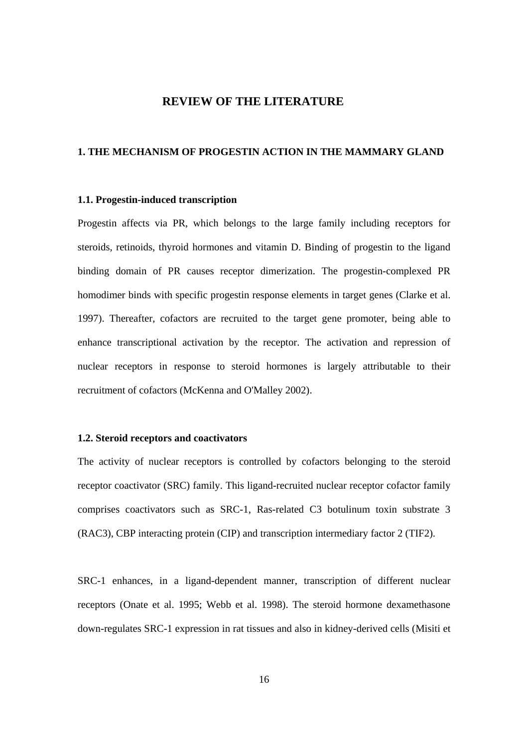# **REVIEW OF THE LITERATURE**

# <span id="page-15-0"></span>**1. THE MECHANISM OF PROGESTIN ACTION IN THE MAMMARY GLAND**

#### **1.1. Progestin-induced transcription**

Progestin affects via PR, which belongs to the large family including receptors for steroids, retinoids, thyroid hormones and vitamin D. Binding of progestin to the ligand binding domain of PR causes receptor dimerization. The progestin-complexed PR homodimer binds with specific progestin response elements in target genes (Clarke et al. 1997). Thereafter, cofactors are recruited to the target gene promoter, being able to enhance transcriptional activation by the receptor. The activation and repression of nuclear receptors in response to steroid hormones is largely attributable to their recruitment of cofactors (McKenna and O'Malley 2002).

#### **1.2. Steroid receptors and coactivators**

The activity of nuclear receptors is controlled by cofactors belonging to the steroid receptor coactivator (SRC) family. This ligand-recruited nuclear receptor cofactor family comprises coactivators such as SRC-1, Ras-related C3 botulinum toxin substrate 3 (RAC3), CBP interacting protein (CIP) and transcription intermediary factor 2 (TIF2).

SRC-1 enhances, in a ligand-dependent manner, transcription of different nuclear receptors (Onate et al. 1995; Webb et al. 1998). The steroid hormone dexamethasone down-regulates SRC-1 expression in rat tissues and also in kidney-derived cells (Misiti et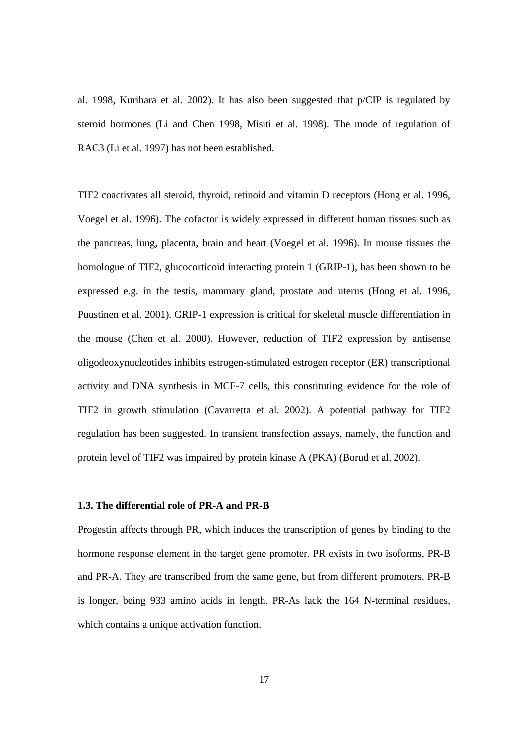<span id="page-16-0"></span>al. 1998, Kurihara et al. 2002). It has also been suggested that p/CIP is regulated by steroid hormones (Li and Chen 1998, Misiti et al. 1998). The mode of regulation of RAC3 (Li et al. 1997) has not been established.

TIF2 coactivates all steroid, thyroid, retinoid and vitamin D receptors (Hong et al. 1996, Voegel et al. 1996). The cofactor is widely expressed in different human tissues such as the pancreas, lung, placenta, brain and heart (Voegel et al. 1996). In mouse tissues the homologue of TIF2, glucocorticoid interacting protein 1 (GRIP-1), has been shown to be expressed e.g. in the testis, mammary gland, prostate and uterus (Hong et al. 1996, Puustinen et al. 2001). GRIP-1 expression is critical for skeletal muscle differentiation in the mouse (Chen et al. 2000). However, reduction of TIF2 expression by antisense oligodeoxynucleotides inhibits estrogen-stimulated estrogen receptor (ER) transcriptional activity and DNA synthesis in MCF-7 cells, this constituting evidence for the role of TIF2 in growth stimulation (Cavarretta et al. 2002). A potential pathway for TIF2 regulation has been suggested. In transient transfection assays, namely, the function and protein level of TIF2 was impaired by protein kinase A (PKA) (Borud et al. 2002).

### **1.3. The differential role of PR-A and PR-B**

Progestin affects through PR, which induces the transcription of genes by binding to the hormone response element in the target gene promoter. PR exists in two isoforms, PR-B and PR-A. They are transcribed from the same gene, but from different promoters. PR-B is longer, being 933 amino acids in length. PR-As lack the 164 N-terminal residues, which contains a unique activation function.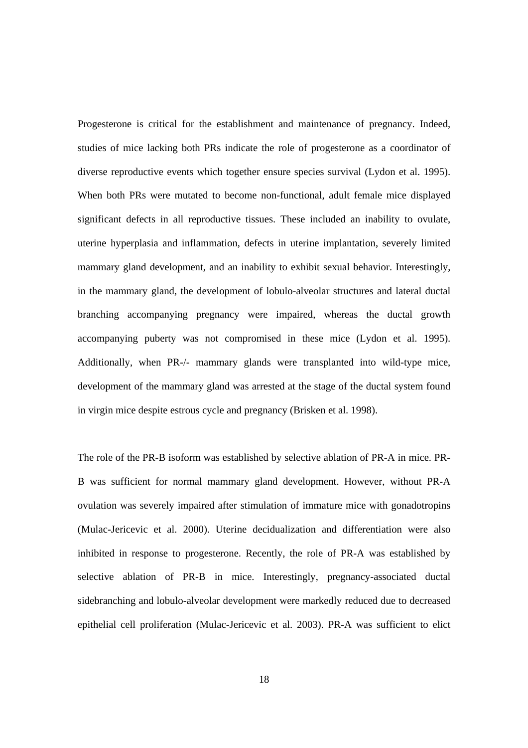Progesterone is critical for the establishment and maintenance of pregnancy. Indeed, studies of mice lacking both PRs indicate the role of progesterone as a coordinator of diverse reproductive events which together ensure species survival (Lydon et al. 1995). When both PRs were mutated to become non-functional, adult female mice displayed significant defects in all reproductive tissues. These included an inability to ovulate, uterine hyperplasia and inflammation, defects in uterine implantation, severely limited mammary gland development, and an inability to exhibit sexual behavior. Interestingly, in the mammary gland, the development of lobulo-alveolar structures and lateral ductal branching accompanying pregnancy were impaired, whereas the ductal growth accompanying puberty was not compromised in these mice (Lydon et al. 1995). Additionally, when PR-/- mammary glands were transplanted into wild-type mice, development of the mammary gland was arrested at the stage of the ductal system found in virgin mice despite estrous cycle and pregnancy (Brisken et al. 1998).

The role of the PR-B isoform was established by selective ablation of PR-A in mice. PR-B was sufficient for normal mammary gland development. However, without PR-A ovulation was severely impaired after stimulation of immature mice with gonadotropins (Mulac-Jericevic et al. 2000). Uterine decidualization and differentiation were also inhibited in response to progesterone. Recently, the role of PR-A was established by selective ablation of PR-B in mice. Interestingly, pregnancy-associated ductal sidebranching and lobulo-alveolar development were markedly reduced due to decreased epithelial cell proliferation (Mulac-Jericevic et al. 2003). PR-A was sufficient to elict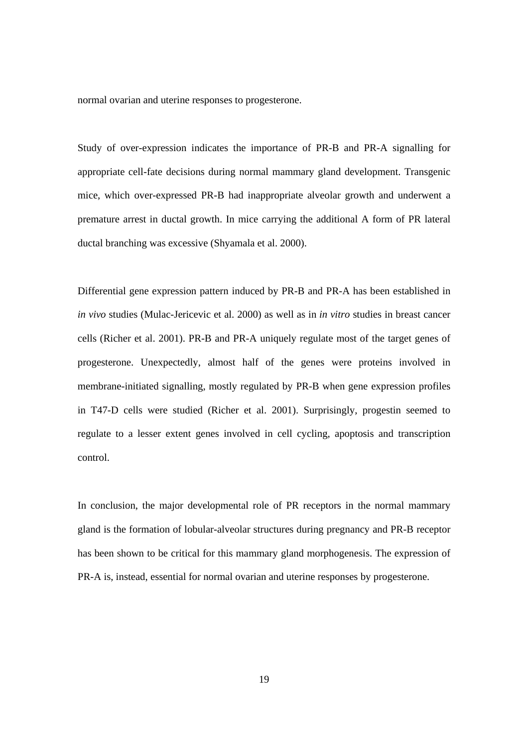normal ovarian and uterine responses to progesterone.

Study of over-expression indicates the importance of PR-B and PR-A signalling for appropriate cell-fate decisions during normal mammary gland development. Transgenic mice, which over-expressed PR-B had inappropriate alveolar growth and underwent a premature arrest in ductal growth. In mice carrying the additional A form of PR lateral ductal branching was excessive (Shyamala et al. 2000).

Differential gene expression pattern induced by PR-B and PR-A has been established in *in vivo* studies (Mulac-Jericevic et al. 2000) as well as in *in vitro* studies in breast cancer cells (Richer et al. 2001). PR-B and PR-A uniquely regulate most of the target genes of progesterone. Unexpectedly, almost half of the genes were proteins involved in membrane-initiated signalling, mostly regulated by PR-B when gene expression profiles in T47-D cells were studied (Richer et al. 2001). Surprisingly, progestin seemed to regulate to a lesser extent genes involved in cell cycling, apoptosis and transcription control.

In conclusion, the major developmental role of PR receptors in the normal mammary gland is the formation of lobular-alveolar structures during pregnancy and PR-B receptor has been shown to be critical for this mammary gland morphogenesis. The expression of PR-A is, instead, essential for normal ovarian and uterine responses by progesterone.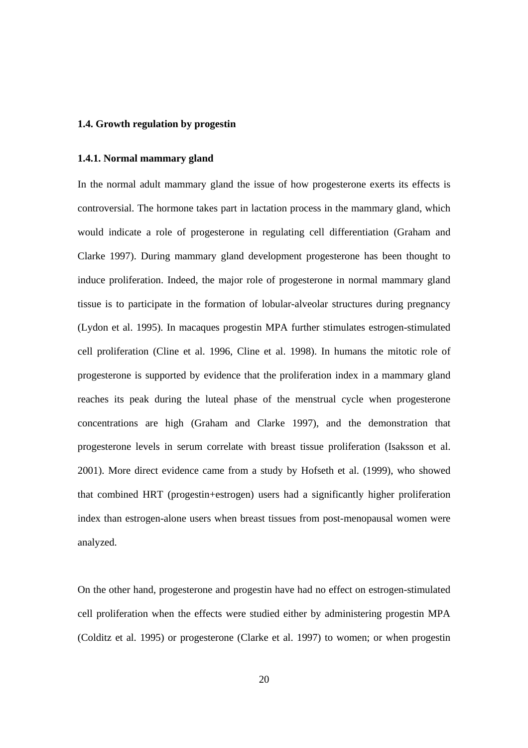## <span id="page-19-0"></span>**1.4. Growth regulation by progestin**

#### **1.4.1. Normal mammary gland**

In the normal adult mammary gland the issue of how progesterone exerts its effects is controversial. The hormone takes part in lactation process in the mammary gland, which would indicate a role of progesterone in regulating cell differentiation (Graham and Clarke 1997). During mammary gland development progesterone has been thought to induce proliferation. Indeed, the major role of progesterone in normal mammary gland tissue is to participate in the formation of lobular-alveolar structures during pregnancy (Lydon et al. 1995). In macaques progestin MPA further stimulates estrogen-stimulated cell proliferation (Cline et al. 1996, Cline et al. 1998). In humans the mitotic role of progesterone is supported by evidence that the proliferation index in a mammary gland reaches its peak during the luteal phase of the menstrual cycle when progesterone concentrations are high (Graham and Clarke 1997), and the demonstration that progesterone levels in serum correlate with breast tissue proliferation (Isaksson et al. 2001). More direct evidence came from a study by Hofseth et al. (1999), who showed that combined HRT (progestin+estrogen) users had a significantly higher proliferation index than estrogen-alone users when breast tissues from post-menopausal women were analyzed.

On the other hand, progesterone and progestin have had no effect on estrogen-stimulated cell proliferation when the effects were studied either by administering progestin MPA (Colditz et al. 1995) or progesterone (Clarke et al. 1997) to women; or when progestin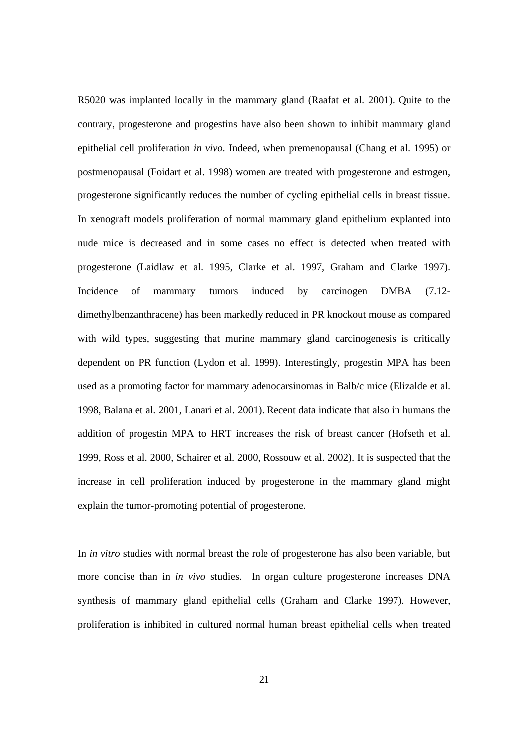R5020 was implanted locally in the mammary gland (Raafat et al. 2001). Quite to the contrary, progesterone and progestins have also been shown to inhibit mammary gland epithelial cell proliferation *in vivo*. Indeed, when premenopausal (Chang et al. 1995) or postmenopausal (Foidart et al. 1998) women are treated with progesterone and estrogen, progesterone significantly reduces the number of cycling epithelial cells in breast tissue. In xenograft models proliferation of normal mammary gland epithelium explanted into nude mice is decreased and in some cases no effect is detected when treated with progesterone (Laidlaw et al. 1995, Clarke et al. 1997, Graham and Clarke 1997). Incidence of mammary tumors induced by carcinogen DMBA (7.12 dimethylbenzanthracene) has been markedly reduced in PR knockout mouse as compared with wild types, suggesting that murine mammary gland carcinogenesis is critically dependent on PR function (Lydon et al. 1999). Interestingly, progestin MPA has been used as a promoting factor for mammary adenocarsinomas in Balb/c mice (Elizalde et al. 1998, Balana et al. 2001, Lanari et al. 2001). Recent data indicate that also in humans the addition of progestin MPA to HRT increases the risk of breast cancer (Hofseth et al. 1999, Ross et al. 2000, Schairer et al. 2000, Rossouw et al. 2002). It is suspected that the increase in cell proliferation induced by progesterone in the mammary gland might explain the tumor-promoting potential of progesterone.

In *in vitro* studies with normal breast the role of progesterone has also been variable, but more concise than in *in vivo* studies. In organ culture progesterone increases DNA synthesis of mammary gland epithelial cells (Graham and Clarke 1997). However, proliferation is inhibited in cultured normal human breast epithelial cells when treated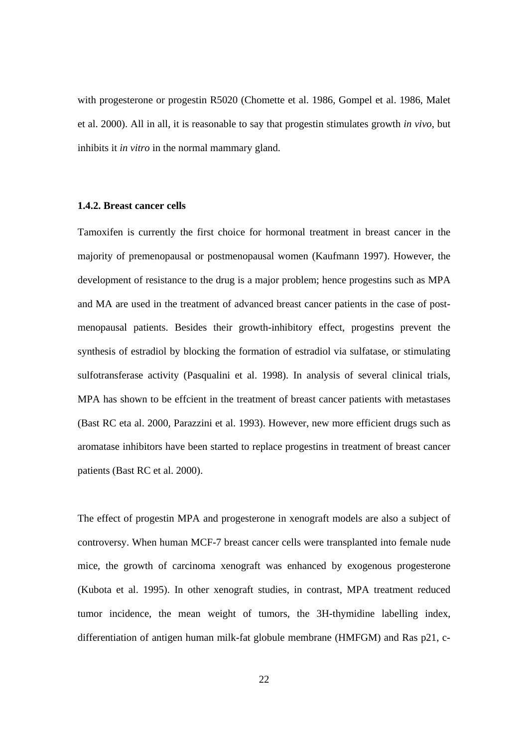<span id="page-21-0"></span>with progesterone or progestin R5020 (Chomette et al. 1986, Gompel et al. 1986, Malet et al. 2000). All in all, it is reasonable to say that progestin stimulates growth *in vivo*, but inhibits it *in vitro* in the normal mammary gland.

## **1.4.2. Breast cancer cells**

Tamoxifen is currently the first choice for hormonal treatment in breast cancer in the majority of premenopausal or postmenopausal women (Kaufmann 1997). However, the development of resistance to the drug is a major problem; hence progestins such as MPA and MA are used in the treatment of advanced breast cancer patients in the case of postmenopausal patients. Besides their growth-inhibitory effect, progestins prevent the synthesis of estradiol by blocking the formation of estradiol via sulfatase, or stimulating sulfotransferase activity (Pasqualini et al. 1998). In analysis of several clinical trials, MPA has shown to be effcient in the treatment of breast cancer patients with metastases (Bast RC eta al. 2000, Parazzini et al. 1993). However, new more efficient drugs such as aromatase inhibitors have been started to replace progestins in treatment of breast cancer patients (Bast RC et al. 2000).

The effect of progestin MPA and progesterone in xenograft models are also a subject of controversy. When human MCF-7 breast cancer cells were transplanted into female nude mice, the growth of carcinoma xenograft was enhanced by exogenous progesterone (Kubota et al. 1995). In other xenograft studies, in contrast, MPA treatment reduced tumor incidence, the mean weight of tumors, the 3H-thymidine labelling index, differentiation of antigen human milk-fat globule membrane (HMFGM) and Ras p21, c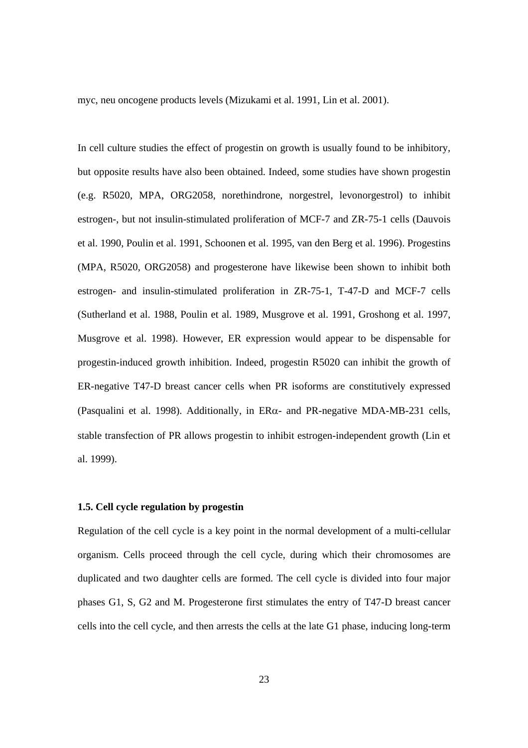<span id="page-22-0"></span>myc, neu oncogene products levels (Mizukami et al. 1991, Lin et al. 2001).

In cell culture studies the effect of progestin on growth is usually found to be inhibitory, but opposite results have also been obtained. Indeed, some studies have shown progestin (e.g. R5020, MPA, ORG2058, norethindrone, norgestrel, levonorgestrol) to inhibit estrogen-, but not insulin-stimulated proliferation of MCF-7 and ZR-75-1 cells (Dauvois et al. 1990, Poulin et al. 1991, Schoonen et al. 1995, van den Berg et al. 1996). Progestins (MPA, R5020, ORG2058) and progesterone have likewise been shown to inhibit both estrogen- and insulin-stimulated proliferation in ZR-75-1, T-47-D and MCF-7 cells (Sutherland et al. 1988, Poulin et al. 1989, Musgrove et al. 1991, Groshong et al. 1997, Musgrove et al. 1998). However, ER expression would appear to be dispensable for progestin-induced growth inhibition. Indeed, progestin R5020 can inhibit the growth of ER-negative T47-D breast cancer cells when PR isoforms are constitutively expressed (Pasqualini et al. 1998). Additionally, in ERα- and PR-negative MDA-MB-231 cells, stable transfection of PR allows progestin to inhibit estrogen-independent growth (Lin et al. 1999).

# **1.5. Cell cycle regulation by progestin**

Regulation of the cell cycle is a key point in the normal development of a multi-cellular organism. Cells proceed through the cell cycle, during which their chromosomes are duplicated and two daughter cells are formed. The cell cycle is divided into four major phases G1, S, G2 and M. Progesterone first stimulates the entry of T47-D breast cancer cells into the cell cycle, and then arrests the cells at the late G1 phase, inducing long-term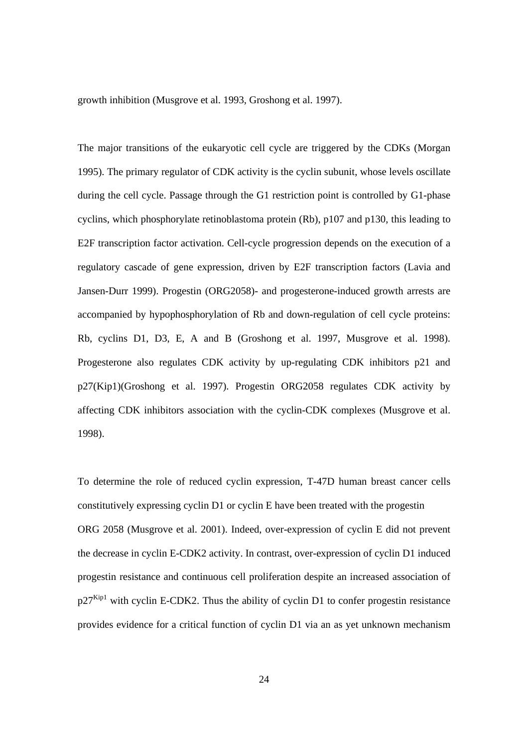growth inhibition (Musgrove et al. 1993, Groshong et al. 1997).

The major transitions of the eukaryotic cell cycle are triggered by the CDKs (Morgan 1995). The primary regulator of CDK activity is the cyclin subunit, whose levels oscillate during the cell cycle. Passage through the G1 restriction point is controlled by G1-phase cyclins, which phosphorylate retinoblastoma protein (Rb), p107 and p130, this leading to E2F transcription factor activation. Cell-cycle progression depends on the execution of a regulatory cascade of gene expression, driven by E2F transcription factors (Lavia and Jansen-Durr 1999). Progestin (ORG2058)- and progesterone-induced growth arrests are accompanied by hypophosphorylation of Rb and down-regulation of cell cycle proteins: Rb, cyclins D1, D3, E, A and B (Groshong et al. 1997, Musgrove et al. 1998). Progesterone also regulates CDK activity by up-regulating CDK inhibitors p21 and p27(Kip1)(Groshong et al. 1997). Progestin ORG2058 regulates CDK activity by affecting CDK inhibitors association with the cyclin-CDK complexes (Musgrove et al. 1998).

To determine the role of reduced cyclin expression, T-47D human breast cancer cells constitutively expressing cyclin D1 or cyclin E have been treated with the progestin ORG 2058 (Musgrove et al. 2001). Indeed, over-expression of cyclin E did not prevent the decrease in cyclin E-CDK2 activity. In contrast, over-expression of cyclin D1 induced progestin resistance and continuous cell proliferation despite an increased association of  $p27<sup>Kip1</sup>$  with cyclin E-CDK2. Thus the ability of cyclin D1 to confer progestin resistance provides evidence for a critical function of cyclin D1 via an as yet unknown mechanism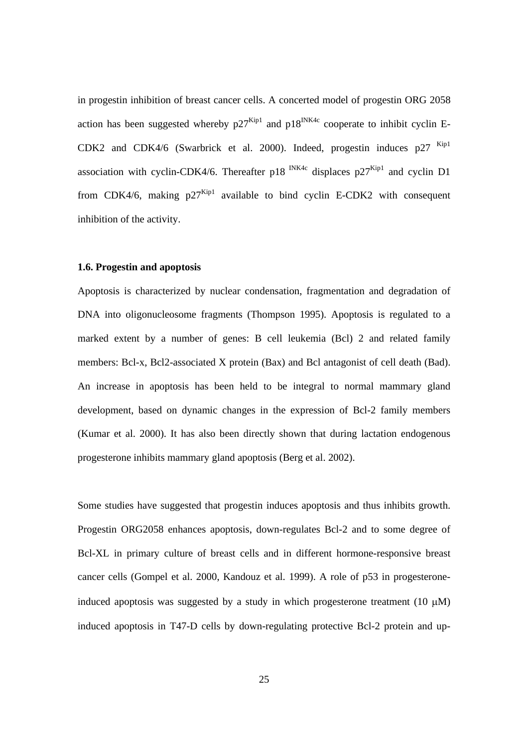<span id="page-24-0"></span>in progestin inhibition of breast cancer cells. A concerted model of progestin ORG 2058 action has been suggested whereby  $p27^{Kip1}$  and  $p18^{INK4c}$  cooperate to inhibit cyclin E-CDK2 and CDK4/6 (Swarbrick et al. 2000). Indeed, progestin induces p27 Kip1 association with cyclin-CDK4/6. Thereafter p18  $\frac{NK4c}{M}$  displaces p27 $\frac{Kn_{11}}{M}$  and cyclin D1 from CDK4/6, making  $p27^{Kip1}$  available to bind cyclin E-CDK2 with consequent inhibition of the activity.

## **1.6. Progestin and apoptosis**

Apoptosis is characterized by nuclear condensation, fragmentation and degradation of DNA into oligonucleosome fragments (Thompson 1995). Apoptosis is regulated to a marked extent by a number of genes: B cell leukemia (Bcl) 2 and related family members: Bcl-x, Bcl2-associated X protein (Bax) and Bcl antagonist of cell death (Bad). An increase in apoptosis has been held to be integral to normal mammary gland development, based on dynamic changes in the expression of Bcl-2 family members (Kumar et al. 2000). It has also been directly shown that during lactation endogenous progesterone inhibits mammary gland apoptosis (Berg et al. 2002).

Some studies have suggested that progestin induces apoptosis and thus inhibits growth. Progestin ORG2058 enhances apoptosis, down-regulates Bcl-2 and to some degree of Bcl-XL in primary culture of breast cells and in different hormone-responsive breast cancer cells (Gompel et al. 2000, Kandouz et al. 1999). A role of p53 in progesteroneinduced apoptosis was suggested by a study in which progesterone treatment (10  $\mu$ M) induced apoptosis in T47-D cells by down-regulating protective Bcl-2 protein and up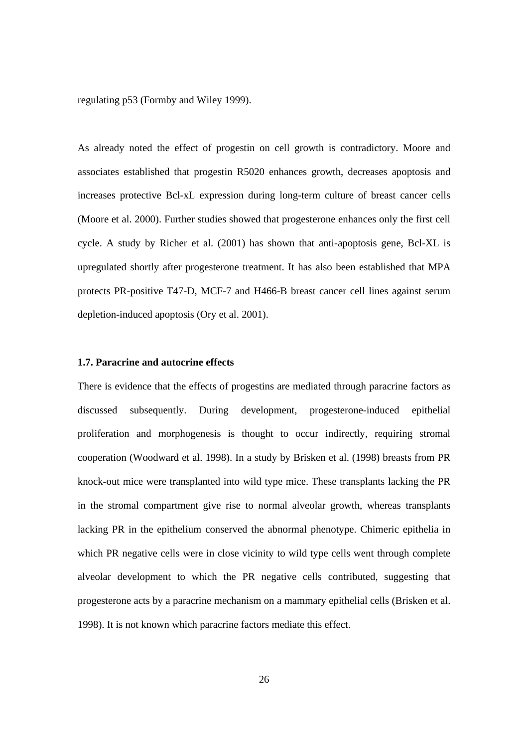<span id="page-25-0"></span>regulating p53 (Formby and Wiley 1999).

As already noted the effect of progestin on cell growth is contradictory. Moore and associates established that progestin R5020 enhances growth, decreases apoptosis and increases protective Bcl-xL expression during long-term culture of breast cancer cells (Moore et al. 2000). Further studies showed that progesterone enhances only the first cell cycle. A study by Richer et al. (2001) has shown that anti-apoptosis gene, Bcl-XL is upregulated shortly after progesterone treatment. It has also been established that MPA protects PR-positive T47-D, MCF-7 and H466-B breast cancer cell lines against serum depletion-induced apoptosis (Ory et al. 2001).

### **1.7. Paracrine and autocrine effects**

There is evidence that the effects of progestins are mediated through paracrine factors as discussed subsequently. During development, progesterone-induced epithelial proliferation and morphogenesis is thought to occur indirectly, requiring stromal cooperation (Woodward et al. 1998). In a study by Brisken et al. (1998) breasts from PR knock-out mice were transplanted into wild type mice. These transplants lacking the PR in the stromal compartment give rise to normal alveolar growth, whereas transplants lacking PR in the epithelium conserved the abnormal phenotype. Chimeric epithelia in which PR negative cells were in close vicinity to wild type cells went through complete alveolar development to which the PR negative cells contributed, suggesting that progesterone acts by a paracrine mechanism on a mammary epithelial cells (Brisken et al. 1998). It is not known which paracrine factors mediate this effect.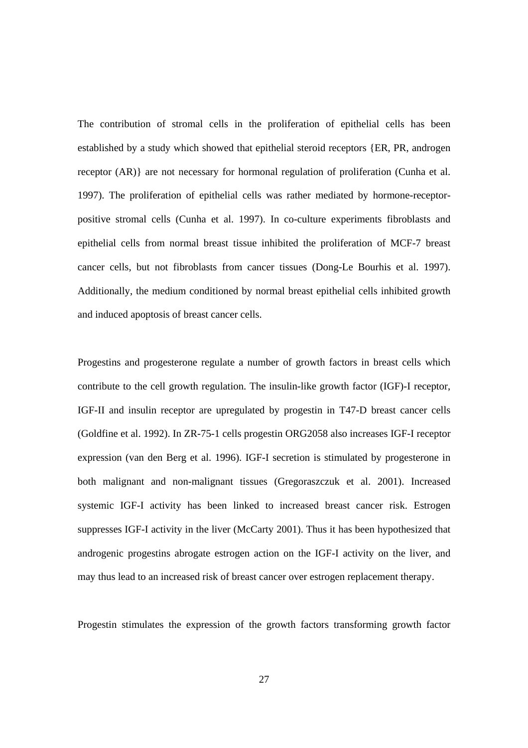The contribution of stromal cells in the proliferation of epithelial cells has been established by a study which showed that epithelial steroid receptors {ER, PR, androgen receptor (AR)} are not necessary for hormonal regulation of proliferation (Cunha et al. 1997). The proliferation of epithelial cells was rather mediated by hormone-receptorpositive stromal cells (Cunha et al. 1997). In co-culture experiments fibroblasts and epithelial cells from normal breast tissue inhibited the proliferation of MCF-7 breast cancer cells, but not fibroblasts from cancer tissues (Dong-Le Bourhis et al. 1997). Additionally, the medium conditioned by normal breast epithelial cells inhibited growth and induced apoptosis of breast cancer cells.

Progestins and progesterone regulate a number of growth factors in breast cells which contribute to the cell growth regulation. The insulin-like growth factor (IGF)-I receptor, IGF-II and insulin receptor are upregulated by progestin in T47-D breast cancer cells (Goldfine et al. 1992). In ZR-75-1 cells progestin ORG2058 also increases IGF-I receptor expression (van den Berg et al. 1996). IGF-I secretion is stimulated by progesterone in both malignant and non-malignant tissues (Gregoraszczuk et al. 2001). Increased systemic IGF-I activity has been linked to increased breast cancer risk. Estrogen suppresses IGF-I activity in the liver (McCarty 2001). Thus it has been hypothesized that androgenic progestins abrogate estrogen action on the IGF-I activity on the liver, and may thus lead to an increased risk of breast cancer over estrogen replacement therapy.

Progestin stimulates the expression of the growth factors transforming growth factor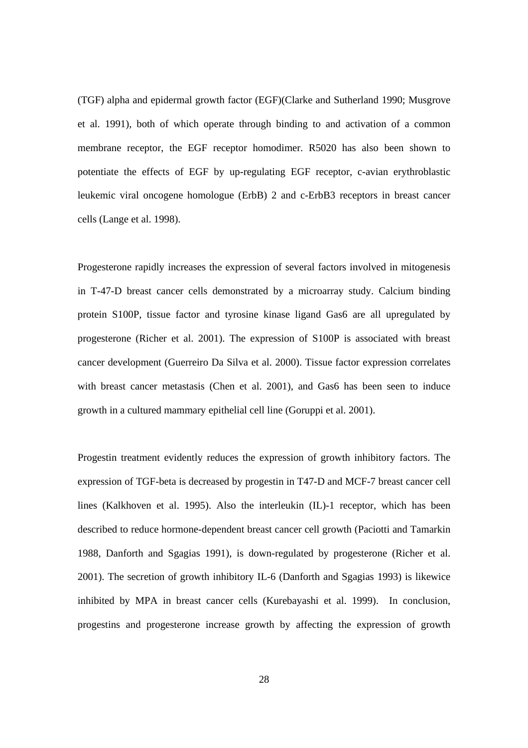(TGF) alpha and epidermal growth factor (EGF)(Clarke and Sutherland 1990; Musgrove et al. 1991), both of which operate through binding to and activation of a common membrane receptor, the EGF receptor homodimer. R5020 has also been shown to potentiate the effects of EGF by up-regulating EGF receptor, c-avian erythroblastic leukemic viral oncogene homologue (ErbB) 2 and c-ErbB3 receptors in breast cancer cells (Lange et al. 1998).

Progesterone rapidly increases the expression of several factors involved in mitogenesis in T-47-D breast cancer cells demonstrated by a microarray study. Calcium binding protein S100P, tissue factor and tyrosine kinase ligand Gas6 are all upregulated by progesterone (Richer et al. 2001). The expression of S100P is associated with breast cancer development (Guerreiro Da Silva et al. 2000). Tissue factor expression correlates with breast cancer metastasis (Chen et al. 2001), and Gas6 has been seen to induce growth in a cultured mammary epithelial cell line (Goruppi et al. 2001).

Progestin treatment evidently reduces the expression of growth inhibitory factors. The expression of TGF-beta is decreased by progestin in T47-D and MCF-7 breast cancer cell lines (Kalkhoven et al. 1995). Also the interleukin (IL)-1 receptor, which has been described to reduce hormone-dependent breast cancer cell growth (Paciotti and Tamarkin 1988, Danforth and Sgagias 1991), is down-regulated by progesterone (Richer et al. 2001). The secretion of growth inhibitory IL-6 (Danforth and Sgagias 1993) is likewice inhibited by MPA in breast cancer cells (Kurebayashi et al. 1999). In conclusion, progestins and progesterone increase growth by affecting the expression of growth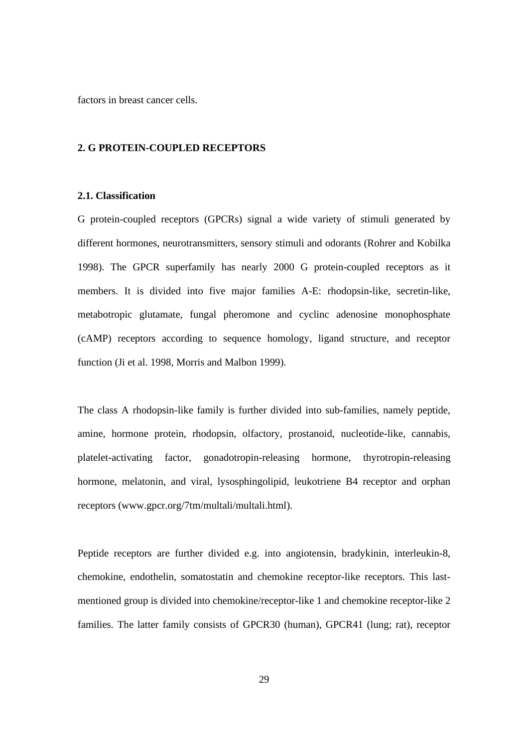<span id="page-28-0"></span>factors in breast cancer cells.

#### **2. G PROTEIN-COUPLED RECEPTORS**

### **2.1. Classification**

G protein-coupled receptors (GPCRs) signal a wide variety of stimuli generated by different hormones, neurotransmitters, sensory stimuli and odorants (Rohrer and Kobilka 1998). The GPCR superfamily has nearly 2000 G protein-coupled receptors as it members. It is divided into five major families A-E: rhodopsin-like, secretin-like, metabotropic glutamate, fungal pheromone and cyclinc adenosine monophosphate (cAMP) receptors according to sequence homology, ligand structure, and receptor function (Ji et al. 1998, Morris and Malbon 1999).

The class A rhodopsin-like family is further divided into sub-families, namely peptide, amine, hormone protein, rhodopsin, olfactory, prostanoid, nucleotide-like, cannabis, platelet-activating factor, gonadotropin-releasing hormone, thyrotropin-releasing hormone, melatonin, and viral, lysosphingolipid, leukotriene B4 receptor and orphan receptors (www.gpcr.org/7tm/multali/multali.html).

Peptide receptors are further divided e.g. into angiotensin, bradykinin, interleukin-8, chemokine, endothelin, somatostatin and chemokine receptor-like receptors. This lastmentioned group is divided into chemokine/receptor-like 1 and chemokine receptor-like 2 families. The latter family consists of GPCR30 (human), GPCR41 (lung; rat), receptor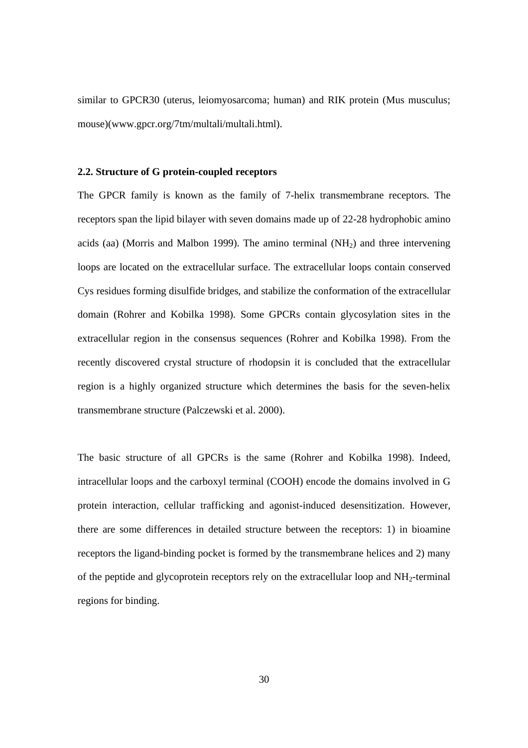<span id="page-29-0"></span>similar to GPCR30 (uterus, leiomyosarcoma; human) and RIK protein (Mus musculus; mouse)(www.gpcr.org/7tm/multali/multali.html).

#### **2.2. Structure of G protein-coupled receptors**

The GPCR family is known as the family of 7-helix transmembrane receptors. The receptors span the lipid bilayer with seven domains made up of 22-28 hydrophobic amino acids (aa) (Morris and Malbon 1999). The amino terminal  $(NH<sub>2</sub>)$  and three intervening loops are located on the extracellular surface. The extracellular loops contain conserved Cys residues forming disulfide bridges, and stabilize the conformation of the extracellular domain (Rohrer and Kobilka 1998). Some GPCRs contain glycosylation sites in the extracellular region in the consensus sequences (Rohrer and Kobilka 1998). From the recently discovered crystal structure of rhodopsin it is concluded that the extracellular region is a highly organized structure which determines the basis for the seven-helix transmembrane structure (Palczewski et al. 2000).

The basic structure of all GPCRs is the same (Rohrer and Kobilka 1998). Indeed, intracellular loops and the carboxyl terminal (COOH) encode the domains involved in G protein interaction, cellular trafficking and agonist-induced desensitization. However, there are some differences in detailed structure between the receptors: 1) in bioamine receptors the ligand-binding pocket is formed by the transmembrane helices and 2) many of the peptide and glycoprotein receptors rely on the extracellular loop and NH2-terminal regions for binding.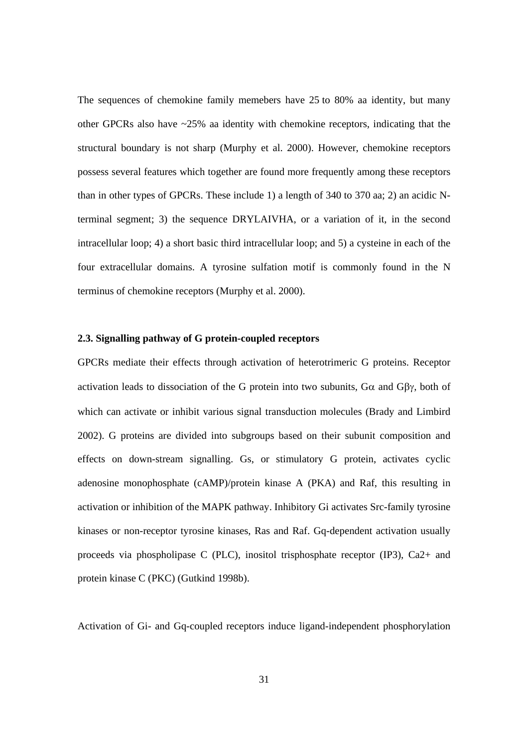<span id="page-30-0"></span>The sequences of chemokine family memebers have 25 to 80% aa identity, but many other GPCRs also have ~25% aa identity with chemokine receptors, indicating that the structural boundary is not sharp (Murphy et al. 2000). However, chemokine receptors possess several features which together are found more frequently among these receptors than in other types of GPCRs. These include 1) a length of 340 to 370 aa; 2) an acidic Nterminal segment; 3) the sequence DRYLAIVHA, or a variation of it, in the second intracellular loop; 4) a short basic third intracellular loop; and 5) a cysteine in each of the four extracellular domains. A tyrosine sulfation motif is commonly found in the N terminus of chemokine receptors (Murphy et al. 2000).

## **2.3. Signalling pathway of G protein-coupled receptors**

GPCRs mediate their effects through activation of heterotrimeric G proteins. Receptor activation leads to dissociation of the G protein into two subunits,  $G\alpha$  and  $G\beta\gamma$ , both of which can activate or inhibit various signal transduction molecules (Brady and Limbird 2002). G proteins are divided into subgroups based on their subunit composition and effects on down-stream signalling. Gs, or stimulatory G protein, activates cyclic adenosine monophosphate (cAMP)/protein kinase A (PKA) and Raf, this resulting in activation or inhibition of the MAPK pathway. Inhibitory Gi activates Src-family tyrosine kinases or non-receptor tyrosine kinases, Ras and Raf. Gq-dependent activation usually proceeds via phospholipase C (PLC), inositol trisphosphate receptor (IP3), Ca2+ and protein kinase C (PKC) (Gutkind 1998b).

Activation of Gi- and Gq-coupled receptors induce ligand-independent phosphorylation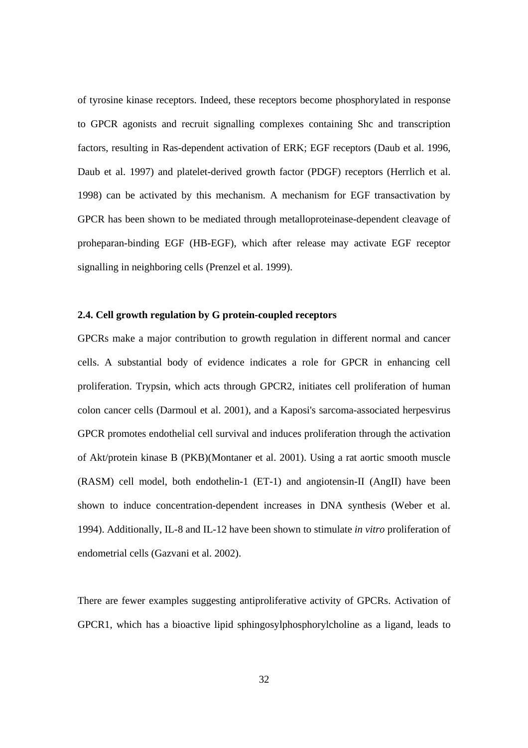<span id="page-31-0"></span>of tyrosine kinase receptors. Indeed, these receptors become phosphorylated in response to GPCR agonists and recruit signalling complexes containing Shc and transcription factors, resulting in Ras-dependent activation of ERK; EGF receptors (Daub et al. 1996, Daub et al. 1997) and platelet-derived growth factor (PDGF) receptors (Herrlich et al. 1998) can be activated by this mechanism. A mechanism for EGF transactivation by GPCR has been shown to be mediated through metalloproteinase-dependent cleavage of proheparan-binding EGF (HB-EGF), which after release may activate EGF receptor signalling in neighboring cells (Prenzel et al. 1999).

## **2.4. Cell growth regulation by G protein-coupled receptors**

GPCRs make a major contribution to growth regulation in different normal and cancer cells. A substantial body of evidence indicates a role for GPCR in enhancing cell proliferation. Trypsin, which acts through GPCR2, initiates cell proliferation of human colon cancer cells (Darmoul et al. 2001), and a Kaposi's sarcoma-associated herpesvirus GPCR promotes endothelial cell survival and induces proliferation through the activation of Akt/protein kinase B (PKB)(Montaner et al. 2001). Using a rat aortic smooth muscle (RASM) cell model, both endothelin-1 (ET-1) and angiotensin-II (AngII) have been shown to induce concentration-dependent increases in DNA synthesis (Weber et al. 1994). Additionally, IL-8 and IL-12 have been shown to stimulate *in vitro* proliferation of endometrial cells (Gazvani et al. 2002).

There are fewer examples suggesting antiproliferative activity of GPCRs. Activation of GPCR1, which has a bioactive lipid sphingosylphosphorylcholine as a ligand, leads to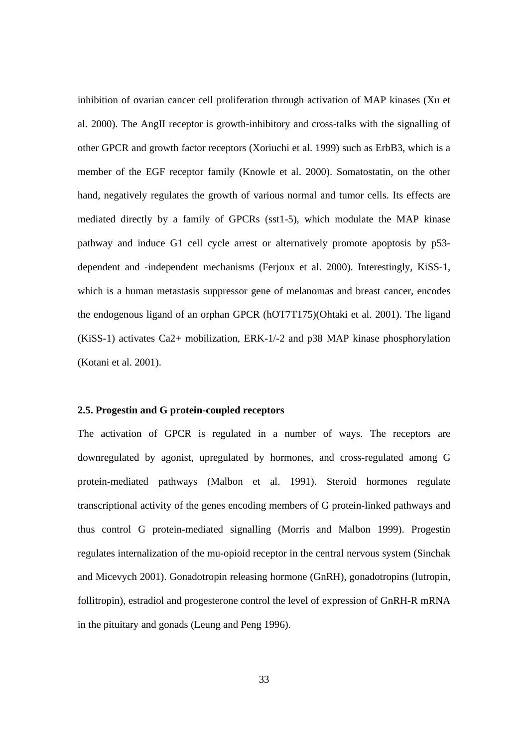<span id="page-32-0"></span>inhibition of ovarian cancer cell proliferation through activation of MAP kinases (Xu et al. 2000). The AngII receptor is growth-inhibitory and cross-talks with the signalling of other GPCR and growth factor receptors (Xoriuchi et al. 1999) such as ErbB3, which is a member of the EGF receptor family (Knowle et al. 2000). Somatostatin, on the other hand, negatively regulates the growth of various normal and tumor cells. Its effects are mediated directly by a family of GPCRs (sst1-5), which modulate the MAP kinase pathway and induce G1 cell cycle arrest or alternatively promote apoptosis by p53 dependent and -independent mechanisms (Ferjoux et al. 2000). Interestingly, KiSS-1, which is a human metastasis suppressor gene of melanomas and breast cancer, encodes the endogenous ligand of an orphan GPCR (hOT7T175)(Ohtaki et al. 2001). The ligand (KiSS-1) activates Ca2+ mobilization, ERK-1/-2 and p38 MAP kinase phosphorylation (Kotani et al. 2001).

## **2.5. Progestin and G protein-coupled receptors**

The activation of GPCR is regulated in a number of ways. The receptors are downregulated by agonist, upregulated by hormones, and cross-regulated among G protein-mediated pathways (Malbon et al. 1991). Steroid hormones regulate transcriptional activity of the genes encoding members of G protein-linked pathways and thus control G protein-mediated signalling (Morris and Malbon 1999). Progestin regulates internalization of the mu-opioid receptor in the central nervous system (Sinchak and Micevych 2001). Gonadotropin releasing hormone (GnRH), gonadotropins (lutropin, follitropin), estradiol and progesterone control the level of expression of GnRH-R mRNA in the pituitary and gonads (Leung and Peng 1996).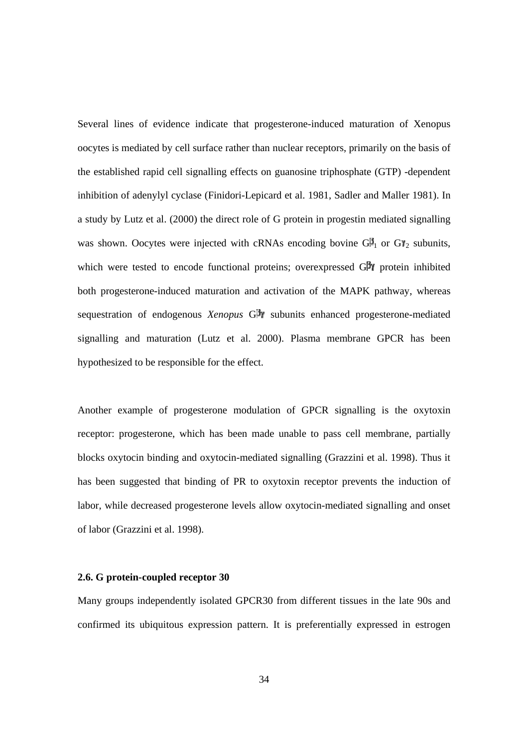<span id="page-33-0"></span>Several lines of evidence indicate that progesterone-induced maturation of Xenopus oocytes is mediated by cell surface rather than nuclear receptors, primarily on the basis of the established rapid cell signalling effects on guanosine triphosphate (GTP) -dependent inhibition of adenylyl cyclase (Finidori-Lepicard et al. 1981, Sadler and Maller 1981). In a study by Lutz et al. (2000) the direct role of G protein in progestin mediated signalling was shown. Oocytes were injected with cRNAs encoding bovine  $G_{1}^{B}$  or  $G_{12}^{B}$  subunits, which were tested to encode functional proteins; overexpressed  $G\mathbb{F}$  protein inhibited both progesterone-induced maturation and activation of the MAPK pathway, whereas sequestration of endogenous *Xenopus* G<sup><sup>t</sup> subunits enhanced progesterone-mediated</sup> signalling and maturation (Lutz et al. 2000). Plasma membrane GPCR has been hypothesized to be responsible for the effect.

Another example of progesterone modulation of GPCR signalling is the oxytoxin receptor: progesterone, which has been made unable to pass cell membrane, partially blocks oxytocin binding and oxytocin-mediated signalling (Grazzini et al. 1998). Thus it has been suggested that binding of PR to oxytoxin receptor prevents the induction of labor, while decreased progesterone levels allow oxytocin-mediated signalling and onset of labor (Grazzini et al. 1998).

## **2.6. G protein-coupled receptor 30**

Many groups independently isolated GPCR30 from different tissues in the late 90s and confirmed its ubiquitous expression pattern. It is preferentially expressed in estrogen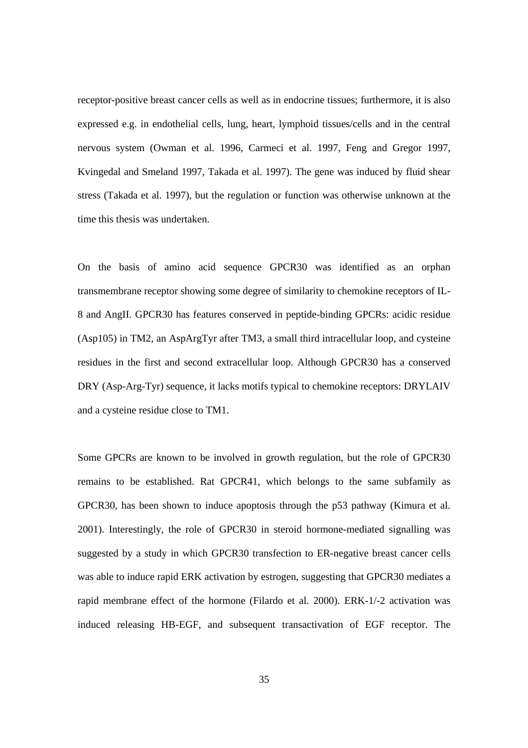receptor-positive breast cancer cells as well as in endocrine tissues; furthermore, it is also expressed e.g. in endothelial cells, lung, heart, lymphoid tissues/cells and in the central nervous system (Owman et al. 1996, Carmeci et al. 1997, Feng and Gregor 1997, Kvingedal and Smeland 1997, Takada et al. 1997). The gene was induced by fluid shear stress (Takada et al. 1997), but the regulation or function was otherwise unknown at the time this thesis was undertaken.

On the basis of amino acid sequence GPCR30 was identified as an orphan transmembrane receptor showing some degree of similarity to chemokine receptors of IL-8 and AngII. GPCR30 has features conserved in peptide-binding GPCRs: acidic residue (Asp105) in TM2, an AspArgTyr after TM3, a small third intracellular loop, and cysteine residues in the first and second extracellular loop. Although GPCR30 has a conserved DRY (Asp-Arg-Tyr) sequence, it lacks motifs typical to chemokine receptors: DRYLAIV and a cysteine residue close to TM1.

Some GPCRs are known to be involved in growth regulation, but the role of GPCR30 remains to be established. Rat GPCR41, which belongs to the same subfamily as GPCR30, has been shown to induce apoptosis through the p53 pathway (Kimura et al. 2001). Interestingly, the role of GPCR30 in steroid hormone-mediated signalling was suggested by a study in which GPCR30 transfection to ER-negative breast cancer cells was able to induce rapid ERK activation by estrogen, suggesting that GPCR30 mediates a rapid membrane effect of the hormone (Filardo et al. 2000). ERK-1/-2 activation was induced releasing HB-EGF, and subsequent transactivation of EGF receptor. The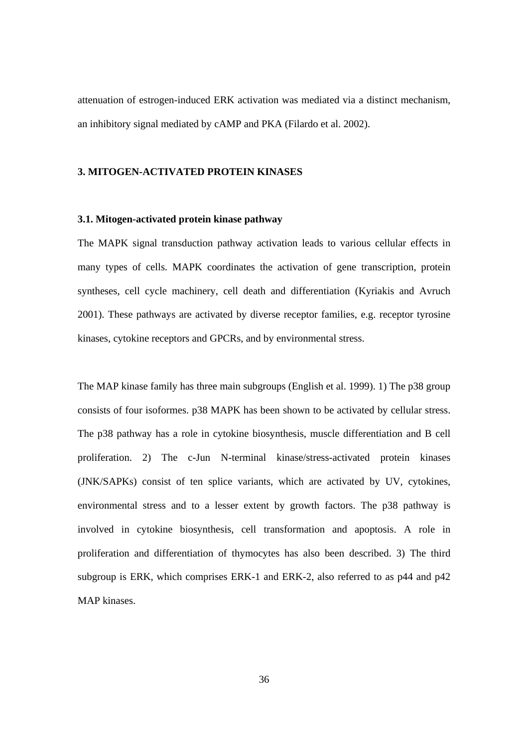<span id="page-35-0"></span>attenuation of estrogen-induced ERK activation was mediated via a distinct mechanism, an inhibitory signal mediated by cAMP and PKA (Filardo et al. 2002).

# **3. MITOGEN-ACTIVATED PROTEIN KINASES**

#### **3.1. Mitogen-activated protein kinase pathway**

The MAPK signal transduction pathway activation leads to various cellular effects in many types of cells. MAPK coordinates the activation of gene transcription, protein syntheses, cell cycle machinery, cell death and differentiation (Kyriakis and Avruch 2001). These pathways are activated by diverse receptor families, e.g. receptor tyrosine kinases, cytokine receptors and GPCRs, and by environmental stress.

The MAP kinase family has three main subgroups (English et al. 1999). 1) The p38 group consists of four isoformes. p38 MAPK has been shown to be activated by cellular stress. The p38 pathway has a role in cytokine biosynthesis, muscle differentiation and B cell proliferation. 2) The c-Jun N-terminal kinase/stress-activated protein kinases (JNK/SAPKs) consist of ten splice variants, which are activated by UV, cytokines, environmental stress and to a lesser extent by growth factors. The p38 pathway is involved in cytokine biosynthesis, cell transformation and apoptosis. A role in proliferation and differentiation of thymocytes has also been described. 3) The third subgroup is ERK, which comprises ERK-1 and ERK-2, also referred to as p44 and p42 MAP kinases.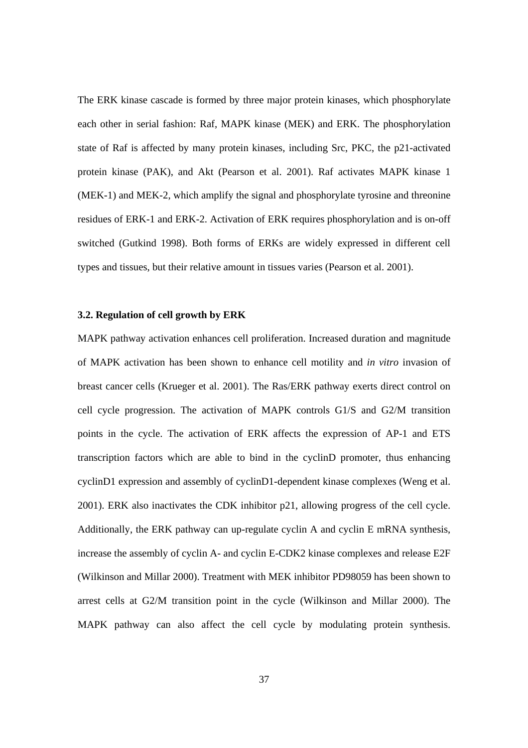The ERK kinase cascade is formed by three major protein kinases, which phosphorylate each other in serial fashion: Raf, MAPK kinase (MEK) and ERK. The phosphorylation state of Raf is affected by many protein kinases, including Src, PKC, the p21-activated protein kinase (PAK), and Akt (Pearson et al. 2001). Raf activates MAPK kinase 1 (MEK-1) and MEK-2, which amplify the signal and phosphorylate tyrosine and threonine residues of ERK-1 and ERK-2. Activation of ERK requires phosphorylation and is on-off switched (Gutkind 1998). Both forms of ERKs are widely expressed in different cell types and tissues, but their relative amount in tissues varies (Pearson et al. 2001).

## **3.2. Regulation of cell growth by ERK**

MAPK pathway activation enhances cell proliferation. Increased duration and magnitude of MAPK activation has been shown to enhance cell motility and *in vitro* invasion of breast cancer cells (Krueger et al. 2001). The Ras/ERK pathway exerts direct control on cell cycle progression. The activation of MAPK controls G1/S and G2/M transition points in the cycle. The activation of ERK affects the expression of AP-1 and ETS transcription factors which are able to bind in the cyclinD promoter, thus enhancing cyclinD1 expression and assembly of cyclinD1-dependent kinase complexes (Weng et al. 2001). ERK also inactivates the CDK inhibitor p21, allowing progress of the cell cycle. Additionally, the ERK pathway can up-regulate cyclin A and cyclin E mRNA synthesis, increase the assembly of cyclin A- and cyclin E-CDK2 kinase complexes and release E2F (Wilkinson and Millar 2000). Treatment with MEK inhibitor PD98059 has been shown to arrest cells at G2/M transition point in the cycle (Wilkinson and Millar 2000). The MAPK pathway can also affect the cell cycle by modulating protein synthesis.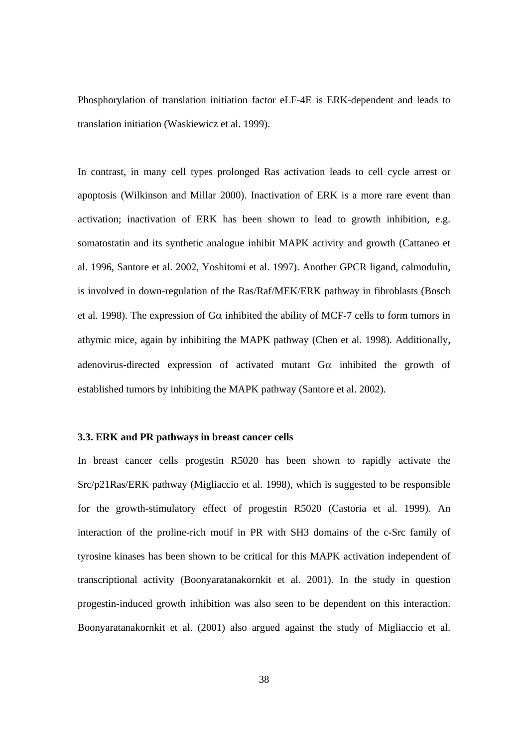Phosphorylation of translation initiation factor eLF-4E is ERK-dependent and leads to translation initiation (Waskiewicz et al. 1999).

In contrast, in many cell types prolonged Ras activation leads to cell cycle arrest or apoptosis (Wilkinson and Millar 2000). Inactivation of ERK is a more rare event than activation; inactivation of ERK has been shown to lead to growth inhibition, e.g. somatostatin and its synthetic analogue inhibit MAPK activity and growth (Cattaneo et al. 1996, Santore et al. 2002, Yoshitomi et al. 1997). Another GPCR ligand, calmodulin, is involved in down-regulation of the Ras/Raf/MEK/ERK pathway in fibroblasts (Bosch et al. 1998). The expression of  $G\alpha$  inhibited the ability of MCF-7 cells to form tumors in athymic mice, again by inhibiting the MAPK pathway (Chen et al. 1998). Additionally, adenovirus-directed expression of activated mutant  $G\alpha$  inhibited the growth of established tumors by inhibiting the MAPK pathway (Santore et al. 2002).

#### **3.3. ERK and PR pathways in breast cancer cells**

In breast cancer cells progestin R5020 has been shown to rapidly activate the Src/p21Ras/ERK pathway (Migliaccio et al. 1998), which is suggested to be responsible for the growth-stimulatory effect of progestin R5020 (Castoria et al. 1999). An interaction of the proline-rich motif in PR with SH3 domains of the c-Src family of tyrosine kinases has been shown to be critical for this MAPK activation independent of transcriptional activity (Boonyaratanakornkit et al. 2001). In the study in question progestin-induced growth inhibition was also seen to be dependent on this interaction. Boonyaratanakornkit et al. (2001) also argued against the study of Migliaccio et al.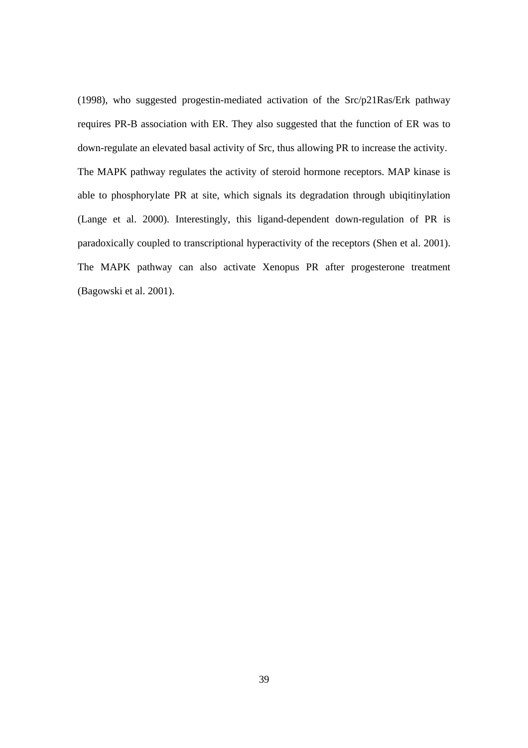(1998), who suggested progestin-mediated activation of the Src/p21Ras/Erk pathway requires PR-B association with ER. They also suggested that the function of ER was to down-regulate an elevated basal activity of Src, thus allowing PR to increase the activity. The MAPK pathway regulates the activity of steroid hormone receptors. MAP kinase is able to phosphorylate PR at site, which signals its degradation through ubiqitinylation (Lange et al. 2000). Interestingly, this ligand-dependent down-regulation of PR is paradoxically coupled to transcriptional hyperactivity of the receptors (Shen et al. 2001). The MAPK pathway can also activate Xenopus PR after progesterone treatment (Bagowski et al. 2001).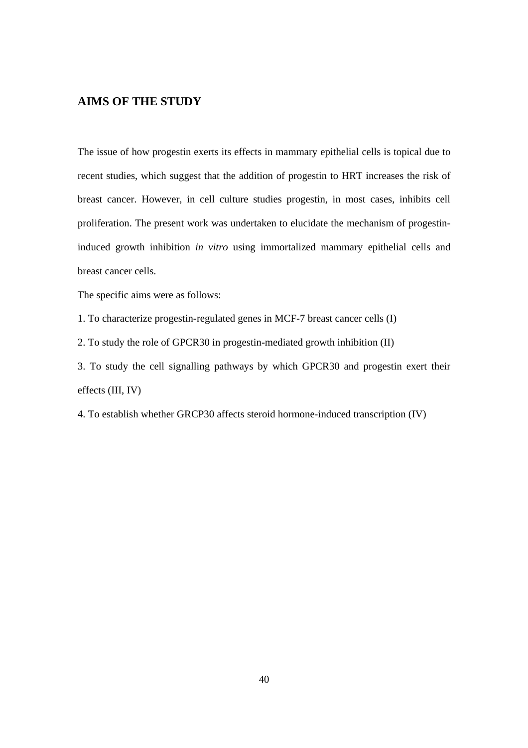# **AIMS OF THE STUDY**

The issue of how progestin exerts its effects in mammary epithelial cells is topical due to recent studies, which suggest that the addition of progestin to HRT increases the risk of breast cancer. However, in cell culture studies progestin, in most cases, inhibits cell proliferation. The present work was undertaken to elucidate the mechanism of progestininduced growth inhibition *in vitro* using immortalized mammary epithelial cells and breast cancer cells.

The specific aims were as follows:

1. To characterize progestin-regulated genes in MCF-7 breast cancer cells (I)

2. To study the role of GPCR30 in progestin-mediated growth inhibition (II)

3. To study the cell signalling pathways by which GPCR30 and progestin exert their effects (III, IV)

4. To establish whether GRCP30 affects steroid hormone-induced transcription (IV)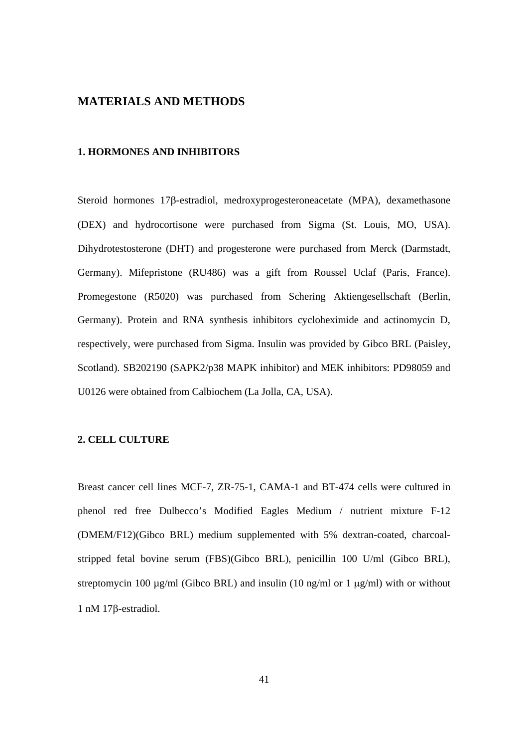# **MATERIALS AND METHODS**

# **1. HORMONES AND INHIBITORS**

Steroid hormones 17β-estradiol, medroxyprogesteroneacetate (MPA), dexamethasone (DEX) and hydrocortisone were purchased from Sigma (St. Louis, MO, USA). Dihydrotestosterone (DHT) and progesterone were purchased from Merck (Darmstadt, Germany). Mifepristone (RU486) was a gift from Roussel Uclaf (Paris, France). Promegestone (R5020) was purchased from Schering Aktiengesellschaft (Berlin, Germany). Protein and RNA synthesis inhibitors cycloheximide and actinomycin D, respectively, were purchased from Sigma. Insulin was provided by Gibco BRL (Paisley, Scotland). SB202190 (SAPK2/p38 MAPK inhibitor) and MEK inhibitors: PD98059 and U0126 were obtained from Calbiochem (La Jolla, CA, USA).

# **2. CELL CULTURE**

Breast cancer cell lines MCF-7, ZR-75-1, CAMA-1 and BT-474 cells were cultured in phenol red free Dulbecco's Modified Eagles Medium / nutrient mixture F-12 (DMEM/F12)(Gibco BRL) medium supplemented with 5% dextran-coated, charcoalstripped fetal bovine serum (FBS)(Gibco BRL), penicillin 100 U/ml (Gibco BRL), streptomycin 100  $\mu$ g/ml (Gibco BRL) and insulin (10 ng/ml or 1  $\mu$ g/ml) with or without 1 nM 17β-estradiol.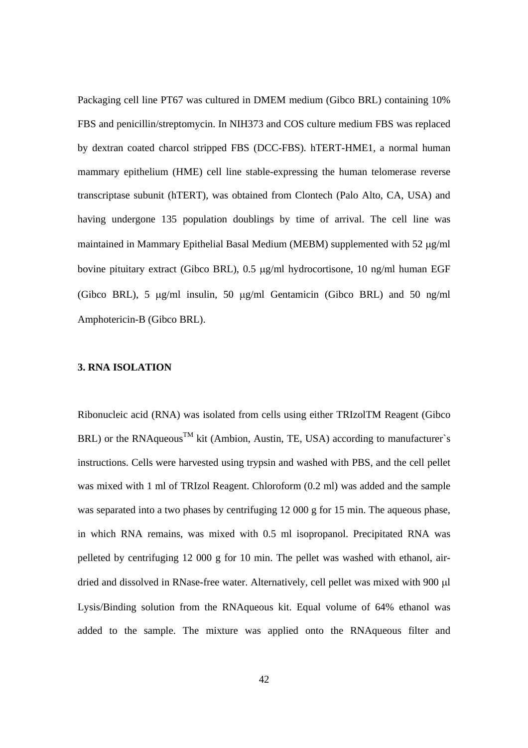Packaging cell line PT67 was cultured in DMEM medium (Gibco BRL) containing 10% FBS and penicillin/streptomycin. In NIH373 and COS culture medium FBS was replaced by dextran coated charcol stripped FBS (DCC-FBS). hTERT-HME1, a normal human mammary epithelium (HME) cell line stable-expressing the human telomerase reverse transcriptase subunit (hTERT), was obtained from Clontech (Palo Alto, CA, USA) and having undergone 135 population doublings by time of arrival. The cell line was maintained in Mammary Epithelial Basal Medium (MEBM) supplemented with 52 µg/ml bovine pituitary extract (Gibco BRL), 0.5 µg/ml hydrocortisone, 10 ng/ml human EGF (Gibco BRL), 5 µg/ml insulin, 50 µg/ml Gentamicin (Gibco BRL) and 50 ng/ml Amphotericin-B (Gibco BRL).

## **3. RNA ISOLATION**

Ribonucleic acid (RNA) was isolated from cells using either TRIzolTM Reagent (Gibco BRL) or the RNAqueous<sup>TM</sup> kit (Ambion, Austin, TE, USA) according to manufacturer`s instructions. Cells were harvested using trypsin and washed with PBS, and the cell pellet was mixed with 1 ml of TRIzol Reagent. Chloroform (0.2 ml) was added and the sample was separated into a two phases by centrifuging 12 000 g for 15 min. The aqueous phase, in which RNA remains, was mixed with 0.5 ml isopropanol. Precipitated RNA was pelleted by centrifuging 12 000 g for 10 min. The pellet was washed with ethanol, airdried and dissolved in RNase-free water. Alternatively, cell pellet was mixed with 900 µl Lysis/Binding solution from the RNAqueous kit. Equal volume of 64% ethanol was added to the sample. The mixture was applied onto the RNAqueous filter and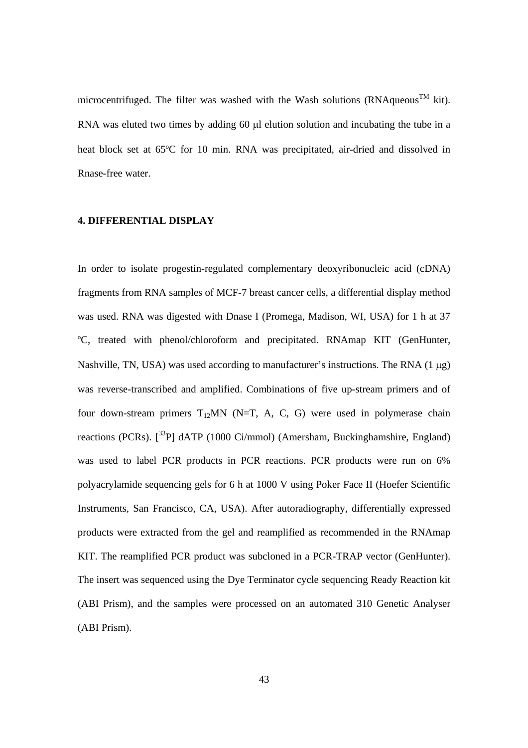microcentrifuged. The filter was washed with the Wash solutions (RNAqueous<sup>TM</sup> kit). RNA was eluted two times by adding 60 µl elution solution and incubating the tube in a heat block set at 65ºC for 10 min. RNA was precipitated, air-dried and dissolved in Rnase-free water.

# **4. DIFFERENTIAL DISPLAY**

In order to isolate progestin-regulated complementary deoxyribonucleic acid (cDNA) fragments from RNA samples of MCF-7 breast cancer cells, a differential display method was used. RNA was digested with Dnase I (Promega, Madison, WI, USA) for 1 h at 37 ºC, treated with phenol/chloroform and precipitated. RNAmap KIT (GenHunter, Nashville, TN, USA) was used according to manufacturer's instructions. The RNA  $(1 \mu g)$ was reverse-transcribed and amplified. Combinations of five up-stream primers and of four down-stream primers  $T_{12}MN$  (N=T, A, C, G) were used in polymerase chain reactions (PCRs).  $\left[\right]$ <sup>33</sup>P] dATP (1000 Ci/mmol) (Amersham, Buckinghamshire, England) was used to label PCR products in PCR reactions. PCR products were run on 6% polyacrylamide sequencing gels for 6 h at 1000 V using Poker Face II (Hoefer Scientific Instruments, San Francisco, CA, USA). After autoradiography, differentially expressed products were extracted from the gel and reamplified as recommended in the RNAmap KIT. The reamplified PCR product was subcloned in a PCR-TRAP vector (GenHunter). The insert was sequenced using the Dye Terminator cycle sequencing Ready Reaction kit (ABI Prism), and the samples were processed on an automated 310 Genetic Analyser (ABI Prism).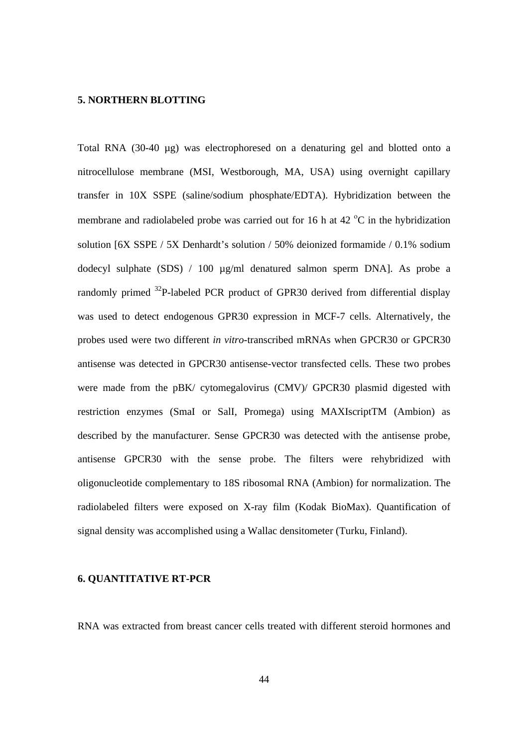#### **5. NORTHERN BLOTTING**

Total RNA (30-40 µg) was electrophoresed on a denaturing gel and blotted onto a nitrocellulose membrane (MSI, Westborough, MA, USA) using overnight capillary transfer in 10X SSPE (saline/sodium phosphate/EDTA). Hybridization between the membrane and radiolabeled probe was carried out for 16 h at 42  $\rm{^{\circ}C}$  in the hybridization solution [6X SSPE / 5X Denhardt's solution / 50% deionized formamide / 0.1% sodium dodecyl sulphate (SDS) / 100 µg/ml denatured salmon sperm DNA]. As probe a randomly primed 32P-labeled PCR product of GPR30 derived from differential display was used to detect endogenous GPR30 expression in MCF-7 cells. Alternatively, the probes used were two different *in vitro*-transcribed mRNAs when GPCR30 or GPCR30 antisense was detected in GPCR30 antisense-vector transfected cells. These two probes were made from the pBK/ cytomegalovirus (CMV)/ GPCR30 plasmid digested with restriction enzymes (SmaI or SalI, Promega) using MAXIscriptTM (Ambion) as described by the manufacturer. Sense GPCR30 was detected with the antisense probe, antisense GPCR30 with the sense probe. The filters were rehybridized with oligonucleotide complementary to 18S ribosomal RNA (Ambion) for normalization. The radiolabeled filters were exposed on X-ray film (Kodak BioMax). Quantification of signal density was accomplished using a Wallac densitometer (Turku, Finland).

## **6. QUANTITATIVE RT-PCR**

RNA was extracted from breast cancer cells treated with different steroid hormones and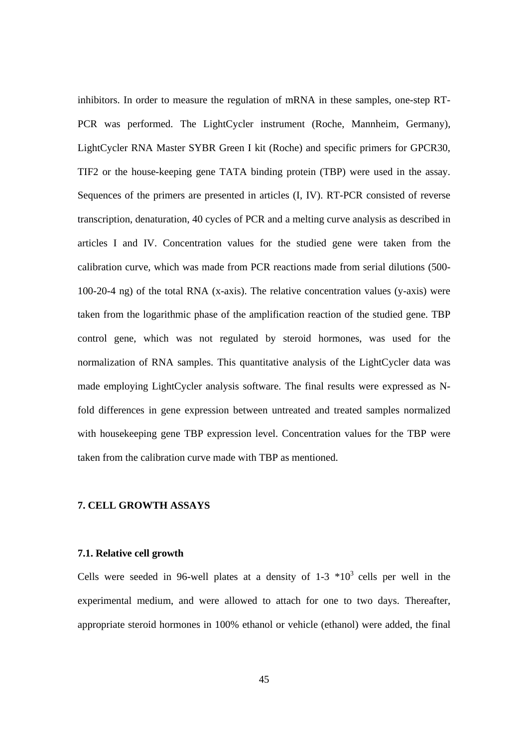inhibitors. In order to measure the regulation of mRNA in these samples, one-step RT-PCR was performed. The LightCycler instrument (Roche, Mannheim, Germany), LightCycler RNA Master SYBR Green I kit (Roche) and specific primers for GPCR30, TIF2 or the house-keeping gene TATA binding protein (TBP) were used in the assay. Sequences of the primers are presented in articles (I, IV). RT-PCR consisted of reverse transcription, denaturation, 40 cycles of PCR and a melting curve analysis as described in articles I and IV. Concentration values for the studied gene were taken from the calibration curve, which was made from PCR reactions made from serial dilutions (500- 100-20-4 ng) of the total RNA (x-axis). The relative concentration values (y-axis) were taken from the logarithmic phase of the amplification reaction of the studied gene. TBP control gene, which was not regulated by steroid hormones, was used for the normalization of RNA samples. This quantitative analysis of the LightCycler data was made employing LightCycler analysis software. The final results were expressed as Nfold differences in gene expression between untreated and treated samples normalized with housekeeping gene TBP expression level. Concentration values for the TBP were taken from the calibration curve made with TBP as mentioned.

# **7. CELL GROWTH ASSAYS**

#### **7.1. Relative cell growth**

Cells were seeded in 96-well plates at a density of  $1-3$  \*10<sup>3</sup> cells per well in the experimental medium, and were allowed to attach for one to two days. Thereafter, appropriate steroid hormones in 100% ethanol or vehicle (ethanol) were added, the final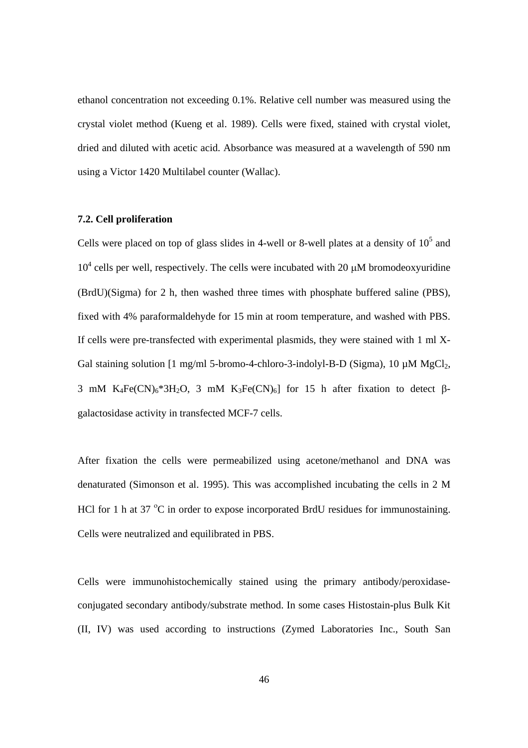ethanol concentration not exceeding 0.1%. Relative cell number was measured using the crystal violet method (Kueng et al. 1989). Cells were fixed, stained with crystal violet, dried and diluted with acetic acid. Absorbance was measured at a wavelength of 590 nm using a Victor 1420 Multilabel counter (Wallac).

# **7.2. Cell proliferation**

Cells were placed on top of glass slides in 4-well or 8-well plates at a density of  $10<sup>5</sup>$  and  $10<sup>4</sup>$  cells per well, respectively. The cells were incubated with 20  $\mu$ M bromodeoxyuridine (BrdU)(Sigma) for 2 h, then washed three times with phosphate buffered saline (PBS), fixed with 4% paraformaldehyde for 15 min at room temperature, and washed with PBS. If cells were pre-transfected with experimental plasmids, they were stained with 1 ml X-Gal staining solution  $[1 \text{ mg/ml } 5\text{-bromo-4-chloro-3-indolyl-B-D (Sigma), 10 µM MgCl<sub>2</sub>,$ 3 mM K<sub>4</sub>Fe(CN)<sub>6</sub>\*3H<sub>2</sub>O, 3 mM K<sub>3</sub>Fe(CN)<sub>6</sub>] for 15 h after fixation to detect βgalactosidase activity in transfected MCF-7 cells.

After fixation the cells were permeabilized using acetone/methanol and DNA was denaturated (Simonson et al. 1995). This was accomplished incubating the cells in 2 M HCl for 1 h at 37 $\mathrm{^{\circ}C}$  in order to expose incorporated BrdU residues for immunostaining. Cells were neutralized and equilibrated in PBS.

Cells were immunohistochemically stained using the primary antibody/peroxidaseconjugated secondary antibody/substrate method. In some cases Histostain-plus Bulk Kit (II, IV) was used according to instructions (Zymed Laboratories Inc., South San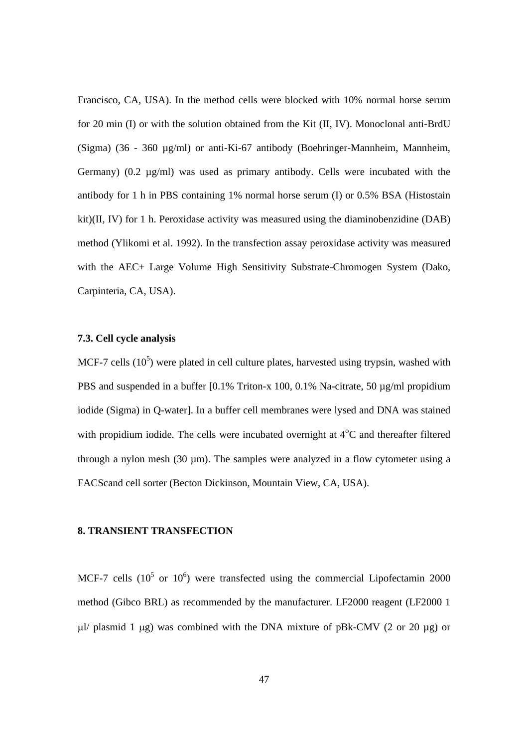Francisco, CA, USA). In the method cells were blocked with 10% normal horse serum for 20 min (I) or with the solution obtained from the Kit (II, IV). Monoclonal anti-BrdU (Sigma) (36 - 360 µg/ml) or anti-Ki-67 antibody (Boehringer-Mannheim, Mannheim, Germany) (0.2 µg/ml) was used as primary antibody. Cells were incubated with the antibody for 1 h in PBS containing 1% normal horse serum (I) or 0.5% BSA (Histostain kit)(II, IV) for 1 h. Peroxidase activity was measured using the diaminobenzidine (DAB) method (Ylikomi et al. 1992). In the transfection assay peroxidase activity was measured with the AEC+ Large Volume High Sensitivity Substrate-Chromogen System (Dako, Carpinteria, CA, USA).

## **7.3. Cell cycle analysis**

MCF-7 cells  $(10^5)$  were plated in cell culture plates, harvested using trypsin, washed with PBS and suspended in a buffer  $[0.1\%$  Triton-x 100, 0.1% Na-citrate, 50  $\mu$ g/ml propidium iodide (Sigma) in Q-water]. In a buffer cell membranes were lysed and DNA was stained with propidium iodide. The cells were incubated overnight at  $4^{\circ}$ C and thereafter filtered through a nylon mesh (30 µm). The samples were analyzed in a flow cytometer using a FACScand cell sorter (Becton Dickinson, Mountain View, CA, USA).

# **8. TRANSIENT TRANSFECTION**

MCF-7 cells  $(10^5 \text{ or } 10^6)$  were transfected using the commercial Lipofectamin 2000 method (Gibco BRL) as recommended by the manufacturer. LF2000 reagent (LF2000 1  $\mu$ / plasmid 1  $\mu$ g) was combined with the DNA mixture of pBk-CMV (2 or 20  $\mu$ g) or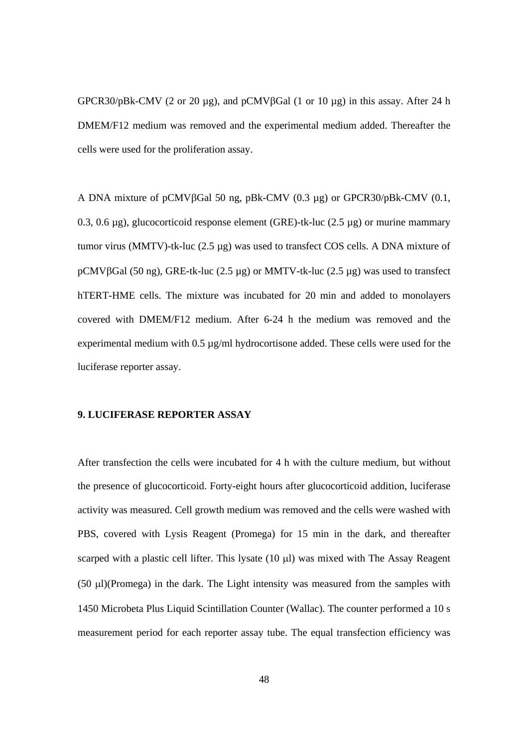GPCR30/pBk-CMV (2 or 20  $\mu$ g), and pCMV $\beta$ Gal (1 or 10  $\mu$ g) in this assay. After 24 h DMEM/F12 medium was removed and the experimental medium added. Thereafter the cells were used for the proliferation assay.

A DNA mixture of pCMVβGal 50 ng, pBk-CMV (0.3 µg) or GPCR30/pBk-CMV (0.1, 0.3, 0.6  $\mu$ g), glucocorticoid response element (GRE)-tk-luc (2.5  $\mu$ g) or murine mammary tumor virus (MMTV)-tk-luc (2.5 µg) was used to transfect COS cells. A DNA mixture of pCMVβGal (50 ng), GRE-tk-luc (2.5 µg) or MMTV-tk-luc (2.5 µg) was used to transfect hTERT-HME cells. The mixture was incubated for 20 min and added to monolayers covered with DMEM/F12 medium. After 6-24 h the medium was removed and the experimental medium with 0.5 µg/ml hydrocortisone added. These cells were used for the luciferase reporter assay.

# **9. LUCIFERASE REPORTER ASSAY**

After transfection the cells were incubated for 4 h with the culture medium, but without the presence of glucocorticoid. Forty-eight hours after glucocorticoid addition, luciferase activity was measured. Cell growth medium was removed and the cells were washed with PBS, covered with Lysis Reagent (Promega) for 15 min in the dark, and thereafter scarped with a plastic cell lifter. This lysate  $(10 \mu l)$  was mixed with The Assay Reagent (50 µl)(Promega) in the dark. The Light intensity was measured from the samples with 1450 Microbeta Plus Liquid Scintillation Counter (Wallac). The counter performed a 10 s measurement period for each reporter assay tube. The equal transfection efficiency was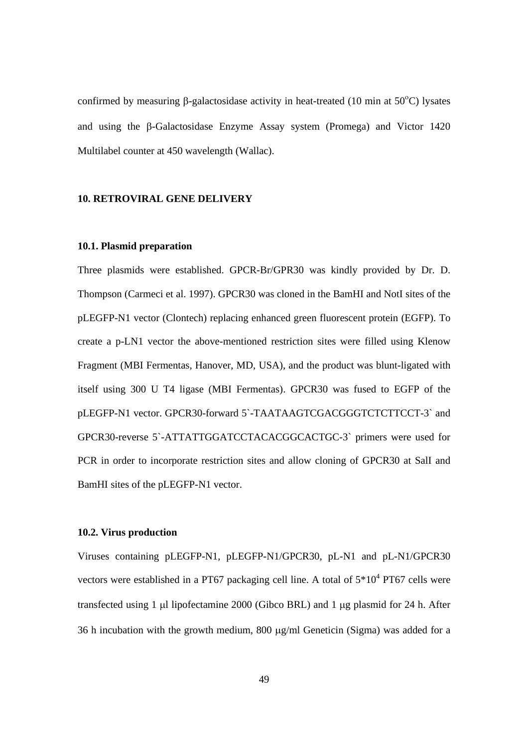confirmed by measuring  $\beta$ -galactosidase activity in heat-treated (10 min at 50°C) lysates and using the β-Galactosidase Enzyme Assay system (Promega) and Victor 1420 Multilabel counter at 450 wavelength (Wallac).

## **10. RETROVIRAL GENE DELIVERY**

# **10.1. Plasmid preparation**

Three plasmids were established. GPCR-Br/GPR30 was kindly provided by Dr. D. Thompson (Carmeci et al. 1997). GPCR30 was cloned in the BamHI and NotI sites of the pLEGFP-N1 vector (Clontech) replacing enhanced green fluorescent protein (EGFP). To create a p-LN1 vector the above-mentioned restriction sites were filled using Klenow Fragment (MBI Fermentas, Hanover, MD, USA), and the product was blunt-ligated with itself using 300 U T4 ligase (MBI Fermentas). GPCR30 was fused to EGFP of the pLEGFP-N1 vector. GPCR30-forward 5`-TAATAAGTCGACGGGTCTCTTCCT-3` and GPCR30-reverse 5`-ATTATTGGATCCTACACGGCACTGC-3` primers were used for PCR in order to incorporate restriction sites and allow cloning of GPCR30 at SalI and BamHI sites of the pLEGFP-N1 vector.

# **10.2. Virus production**

Viruses containing pLEGFP-N1, pLEGFP-N1/GPCR30, pL-N1 and pL-N1/GPCR30 vectors were established in a PT67 packaging cell line. A total of  $5*10^4$  PT67 cells were transfected using 1  $\mu$ l lipofectamine 2000 (Gibco BRL) and 1  $\mu$ g plasmid for 24 h. After 36 h incubation with the growth medium, 800 µg/ml Geneticin (Sigma) was added for a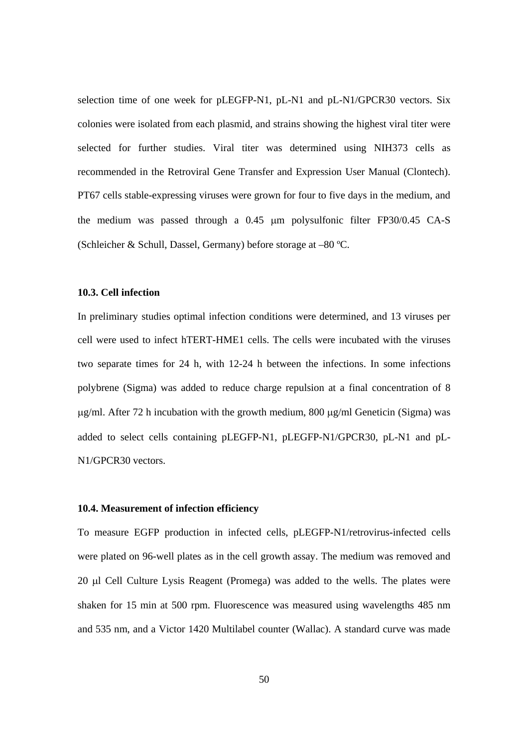selection time of one week for pLEGFP-N1, pL-N1 and pL-N1/GPCR30 vectors. Six colonies were isolated from each plasmid, and strains showing the highest viral titer were selected for further studies. Viral titer was determined using NIH373 cells as recommended in the Retroviral Gene Transfer and Expression User Manual (Clontech). PT67 cells stable-expressing viruses were grown for four to five days in the medium, and the medium was passed through a 0.45 µm polysulfonic filter FP30/0.45 CA-S (Schleicher & Schull, Dassel, Germany) before storage at –80 ºC.

## **10.3. Cell infection**

In preliminary studies optimal infection conditions were determined, and 13 viruses per cell were used to infect hTERT-HME1 cells. The cells were incubated with the viruses two separate times for 24 h, with 12-24 h between the infections. In some infections polybrene (Sigma) was added to reduce charge repulsion at a final concentration of 8 µg/ml. After 72 h incubation with the growth medium, 800 µg/ml Geneticin (Sigma) was added to select cells containing pLEGFP-N1, pLEGFP-N1/GPCR30, pL-N1 and pL-N1/GPCR30 vectors.

#### **10.4. Measurement of infection efficiency**

To measure EGFP production in infected cells, pLEGFP-N1/retrovirus-infected cells were plated on 96-well plates as in the cell growth assay. The medium was removed and 20 µl Cell Culture Lysis Reagent (Promega) was added to the wells. The plates were shaken for 15 min at 500 rpm. Fluorescence was measured using wavelengths 485 nm and 535 nm, and a Victor 1420 Multilabel counter (Wallac). A standard curve was made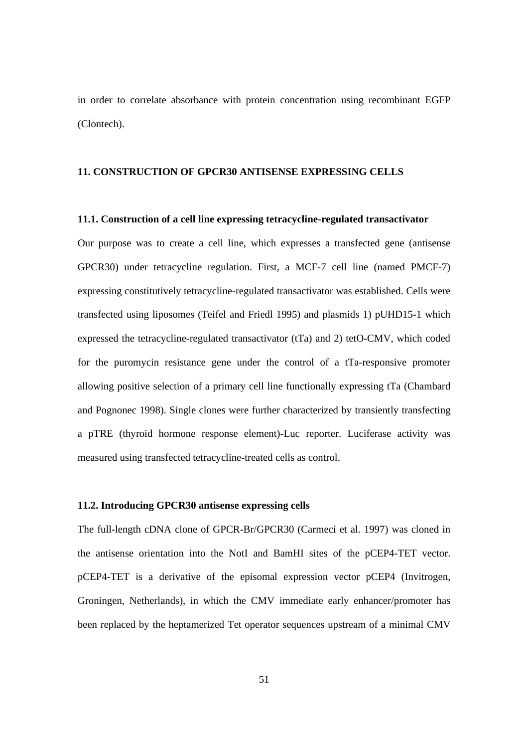in order to correlate absorbance with protein concentration using recombinant EGFP (Clontech).

# **11. CONSTRUCTION OF GPCR30 ANTISENSE EXPRESSING CELLS**

#### **11.1. Construction of a cell line expressing tetracycline-regulated transactivator**

Our purpose was to create a cell line, which expresses a transfected gene (antisense GPCR30) under tetracycline regulation. First, a MCF-7 cell line (named PMCF-7) expressing constitutively tetracycline-regulated transactivator was established. Cells were transfected using liposomes (Teifel and Friedl 1995) and plasmids 1) pUHD15-1 which expressed the tetracycline-regulated transactivator (tTa) and 2) tetO-CMV, which coded for the puromycin resistance gene under the control of a tTa-responsive promoter allowing positive selection of a primary cell line functionally expressing tTa (Chambard and Pognonec 1998). Single clones were further characterized by transiently transfecting a pTRE (thyroid hormone response element)-Luc reporter. Luciferase activity was measured using transfected tetracycline-treated cells as control.

#### **11.2. Introducing GPCR30 antisense expressing cells**

The full-length cDNA clone of GPCR-Br/GPCR30 (Carmeci et al. 1997) was cloned in the antisense orientation into the NotI and BamHI sites of the pCEP4-TET vector. pCEP4-TET is a derivative of the episomal expression vector pCEP4 (Invitrogen, Groningen, Netherlands), in which the CMV immediate early enhancer/promoter has been replaced by the heptamerized Tet operator sequences upstream of a minimal CMV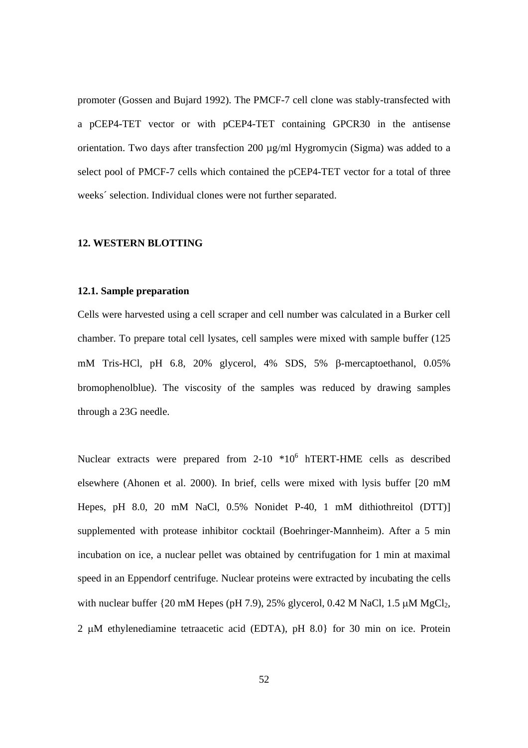promoter (Gossen and Bujard 1992). The PMCF-7 cell clone was stably-transfected with a pCEP4-TET vector or with pCEP4-TET containing GPCR30 in the antisense orientation. Two days after transfection 200 µg/ml Hygromycin (Sigma) was added to a select pool of PMCF-7 cells which contained the pCEP4-TET vector for a total of three weeks´ selection. Individual clones were not further separated.

#### **12. WESTERN BLOTTING**

#### **12.1. Sample preparation**

Cells were harvested using a cell scraper and cell number was calculated in a Burker cell chamber. To prepare total cell lysates, cell samples were mixed with sample buffer (125 mM Tris-HCl, pH 6.8, 20% glycerol, 4% SDS, 5% β-mercaptoethanol, 0.05% bromophenolblue). The viscosity of the samples was reduced by drawing samples through a 23G needle.

Nuclear extracts were prepared from  $2-10$   $*10<sup>6</sup>$  hTERT-HME cells as described elsewhere (Ahonen et al. 2000). In brief, cells were mixed with lysis buffer [20 mM Hepes, pH 8.0, 20 mM NaCl, 0.5% Nonidet P-40, 1 mM dithiothreitol (DTT)] supplemented with protease inhibitor cocktail (Boehringer-Mannheim). After a 5 min incubation on ice, a nuclear pellet was obtained by centrifugation for 1 min at maximal speed in an Eppendorf centrifuge. Nuclear proteins were extracted by incubating the cells with nuclear buffer  $\{20 \text{ mM Hepes (pH 7.9)}, 25\%$  glycerol, 0.42 M NaCl, 1.5  $\mu$ M MgCl<sub>2</sub>, 2 µM ethylenediamine tetraacetic acid (EDTA), pH 8.0} for 30 min on ice. Protein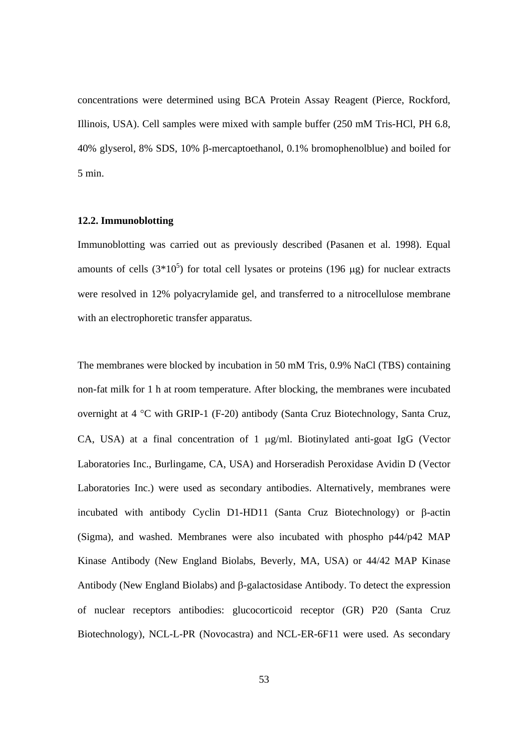concentrations were determined using BCA Protein Assay Reagent (Pierce, Rockford, Illinois, USA). Cell samples were mixed with sample buffer (250 mM Tris-HCl, PH 6.8, 40% glyserol, 8% SDS, 10% β-mercaptoethanol, 0.1% bromophenolblue) and boiled for 5 min.

# **12.2. Immunoblotting**

Immunoblotting was carried out as previously described (Pasanen et al. 1998). Equal amounts of cells  $(3*10^5)$  for total cell lysates or proteins (196 µg) for nuclear extracts were resolved in 12% polyacrylamide gel, and transferred to a nitrocellulose membrane with an electrophoretic transfer apparatus.

The membranes were blocked by incubation in 50 mM Tris, 0.9% NaCl (TBS) containing non-fat milk for 1 h at room temperature. After blocking, the membranes were incubated overnight at 4 °C with GRIP-1 (F-20) antibody (Santa Cruz Biotechnology, Santa Cruz, CA, USA) at a final concentration of 1 µg/ml. Biotinylated anti-goat IgG (Vector Laboratories Inc., Burlingame, CA, USA) and Horseradish Peroxidase Avidin D (Vector Laboratories Inc.) were used as secondary antibodies. Alternatively, membranes were incubated with antibody Cyclin D1-HD11 (Santa Cruz Biotechnology) or β-actin (Sigma), and washed. Membranes were also incubated with phospho p44/p42 MAP Kinase Antibody (New England Biolabs, Beverly, MA, USA) or 44/42 MAP Kinase Antibody (New England Biolabs) and β-galactosidase Antibody. To detect the expression of nuclear receptors antibodies: glucocorticoid receptor (GR) P20 (Santa Cruz Biotechnology), NCL-L-PR (Novocastra) and NCL-ER-6F11 were used. As secondary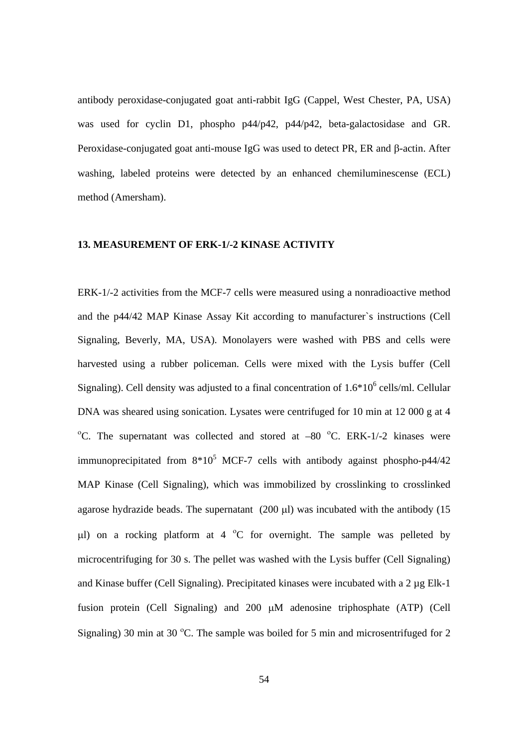antibody peroxidase-conjugated goat anti-rabbit IgG (Cappel, West Chester, PA, USA) was used for cyclin D1, phospho p44/p42, p44/p42, beta-galactosidase and GR. Peroxidase-conjugated goat anti-mouse IgG was used to detect PR, ER and β-actin. After washing, labeled proteins were detected by an enhanced chemiluminescense (ECL) method (Amersham).

### **13. MEASUREMENT OF ERK-1/-2 KINASE ACTIVITY**

ERK-1/-2 activities from the MCF-7 cells were measured using a nonradioactive method and the p44/42 MAP Kinase Assay Kit according to manufacturer`s instructions (Cell Signaling, Beverly, MA, USA). Monolayers were washed with PBS and cells were harvested using a rubber policeman. Cells were mixed with the Lysis buffer (Cell Signaling). Cell density was adjusted to a final concentration of  $1.6*10^6$  cells/ml. Cellular DNA was sheared using sonication. Lysates were centrifuged for 10 min at 12 000 g at 4 <sup>o</sup>C. The supernatant was collected and stored at  $-80$  <sup>o</sup>C. ERK-1/-2 kinases were immunoprecipitated from  $8*10^5$  MCF-7 cells with antibody against phospho-p44/42 MAP Kinase (Cell Signaling), which was immobilized by crosslinking to crosslinked agarose hydrazide beads. The supernatant (200 µl) was incubated with the antibody (15  $\mu$ l) on a rocking platform at 4 °C for overnight. The sample was pelleted by microcentrifuging for 30 s. The pellet was washed with the Lysis buffer (Cell Signaling) and Kinase buffer (Cell Signaling). Precipitated kinases were incubated with a 2 µg Elk-1 fusion protein (Cell Signaling) and 200 µM adenosine triphosphate (ATP) (Cell Signaling) 30 min at 30 °C. The sample was boiled for 5 min and microsentrifuged for 2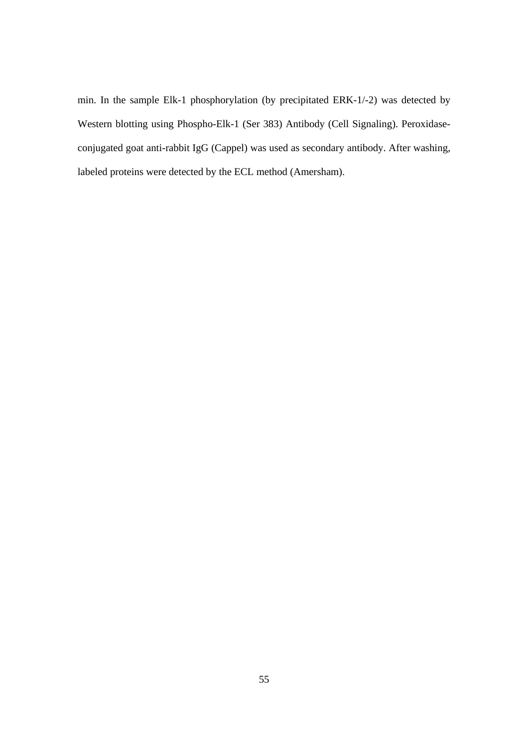min. In the sample Elk-1 phosphorylation (by precipitated ERK-1/-2) was detected by Western blotting using Phospho-Elk-1 (Ser 383) Antibody (Cell Signaling). Peroxidaseconjugated goat anti-rabbit IgG (Cappel) was used as secondary antibody. After washing, labeled proteins were detected by the ECL method (Amersham).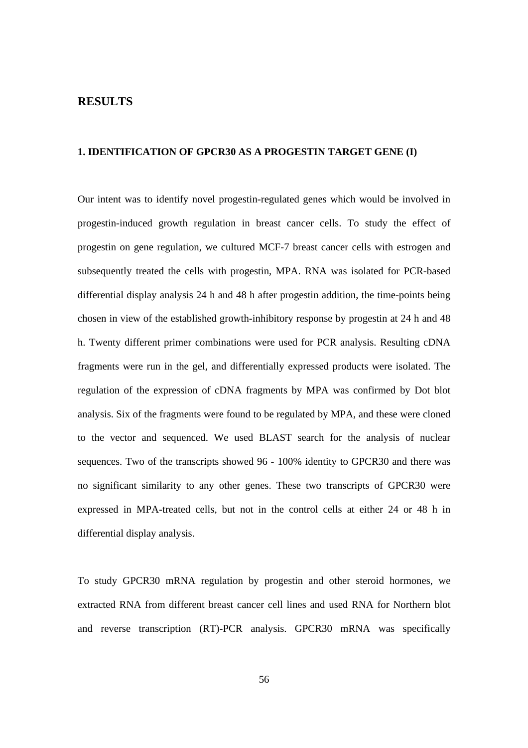# **RESULTS**

# **1. IDENTIFICATION OF GPCR30 AS A PROGESTIN TARGET GENE (I)**

Our intent was to identify novel progestin-regulated genes which would be involved in progestin-induced growth regulation in breast cancer cells. To study the effect of progestin on gene regulation, we cultured MCF-7 breast cancer cells with estrogen and subsequently treated the cells with progestin, MPA. RNA was isolated for PCR-based differential display analysis 24 h and 48 h after progestin addition, the time-points being chosen in view of the established growth-inhibitory response by progestin at 24 h and 48 h. Twenty different primer combinations were used for PCR analysis. Resulting cDNA fragments were run in the gel, and differentially expressed products were isolated. The regulation of the expression of cDNA fragments by MPA was confirmed by Dot blot analysis. Six of the fragments were found to be regulated by MPA, and these were cloned to the vector and sequenced. We used BLAST search for the analysis of nuclear sequences. Two of the transcripts showed 96 - 100% identity to GPCR30 and there was no significant similarity to any other genes. These two transcripts of GPCR30 were expressed in MPA-treated cells, but not in the control cells at either 24 or 48 h in differential display analysis.

To study GPCR30 mRNA regulation by progestin and other steroid hormones, we extracted RNA from different breast cancer cell lines and used RNA for Northern blot and reverse transcription (RT)-PCR analysis. GPCR30 mRNA was specifically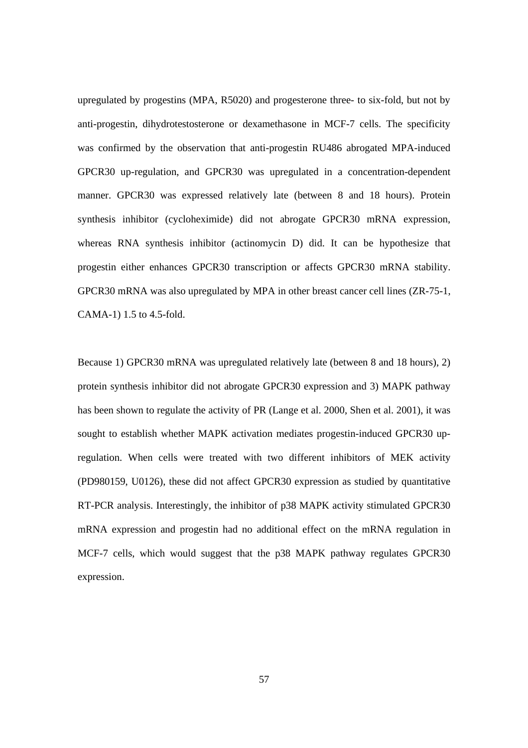upregulated by progestins (MPA, R5020) and progesterone three- to six-fold, but not by anti-progestin, dihydrotestosterone or dexamethasone in MCF-7 cells. The specificity was confirmed by the observation that anti-progestin RU486 abrogated MPA-induced GPCR30 up-regulation, and GPCR30 was upregulated in a concentration-dependent manner. GPCR30 was expressed relatively late (between 8 and 18 hours). Protein synthesis inhibitor (cycloheximide) did not abrogate GPCR30 mRNA expression, whereas RNA synthesis inhibitor (actinomycin D) did. It can be hypothesize that progestin either enhances GPCR30 transcription or affects GPCR30 mRNA stability. GPCR30 mRNA was also upregulated by MPA in other breast cancer cell lines (ZR-75-1, CAMA-1) 1.5 to 4.5-fold.

Because 1) GPCR30 mRNA was upregulated relatively late (between 8 and 18 hours), 2) protein synthesis inhibitor did not abrogate GPCR30 expression and 3) MAPK pathway has been shown to regulate the activity of PR (Lange et al. 2000, Shen et al. 2001), it was sought to establish whether MAPK activation mediates progestin-induced GPCR30 upregulation. When cells were treated with two different inhibitors of MEK activity (PD980159, U0126), these did not affect GPCR30 expression as studied by quantitative RT-PCR analysis. Interestingly, the inhibitor of p38 MAPK activity stimulated GPCR30 mRNA expression and progestin had no additional effect on the mRNA regulation in MCF-7 cells, which would suggest that the p38 MAPK pathway regulates GPCR30 expression.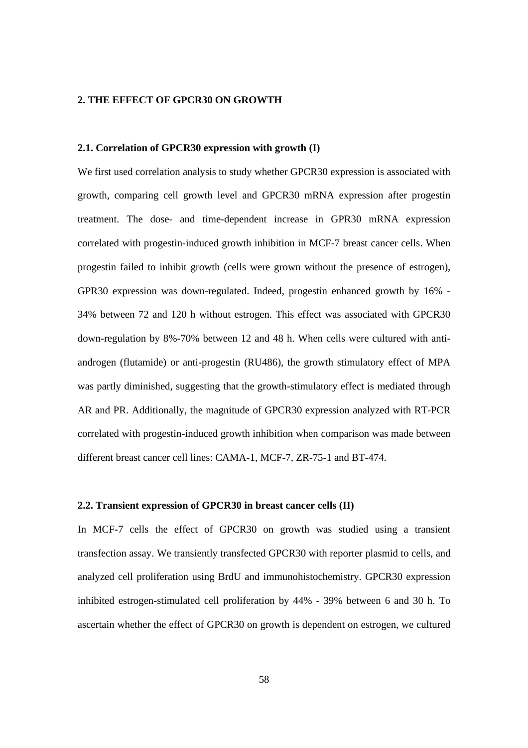### **2. THE EFFECT OF GPCR30 ON GROWTH**

## **2.1. Correlation of GPCR30 expression with growth (I)**

We first used correlation analysis to study whether GPCR30 expression is associated with growth, comparing cell growth level and GPCR30 mRNA expression after progestin treatment. The dose- and time-dependent increase in GPR30 mRNA expression correlated with progestin-induced growth inhibition in MCF-7 breast cancer cells. When progestin failed to inhibit growth (cells were grown without the presence of estrogen), GPR30 expression was down-regulated. Indeed, progestin enhanced growth by 16% - 34% between 72 and 120 h without estrogen. This effect was associated with GPCR30 down-regulation by 8%-70% between 12 and 48 h. When cells were cultured with antiandrogen (flutamide) or anti-progestin (RU486), the growth stimulatory effect of MPA was partly diminished, suggesting that the growth-stimulatory effect is mediated through AR and PR. Additionally, the magnitude of GPCR30 expression analyzed with RT-PCR correlated with progestin-induced growth inhibition when comparison was made between different breast cancer cell lines: CAMA-1, MCF-7, ZR-75-1 and BT-474.

#### **2.2. Transient expression of GPCR30 in breast cancer cells (II)**

In MCF-7 cells the effect of GPCR30 on growth was studied using a transient transfection assay. We transiently transfected GPCR30 with reporter plasmid to cells, and analyzed cell proliferation using BrdU and immunohistochemistry. GPCR30 expression inhibited estrogen-stimulated cell proliferation by 44% - 39% between 6 and 30 h. To ascertain whether the effect of GPCR30 on growth is dependent on estrogen, we cultured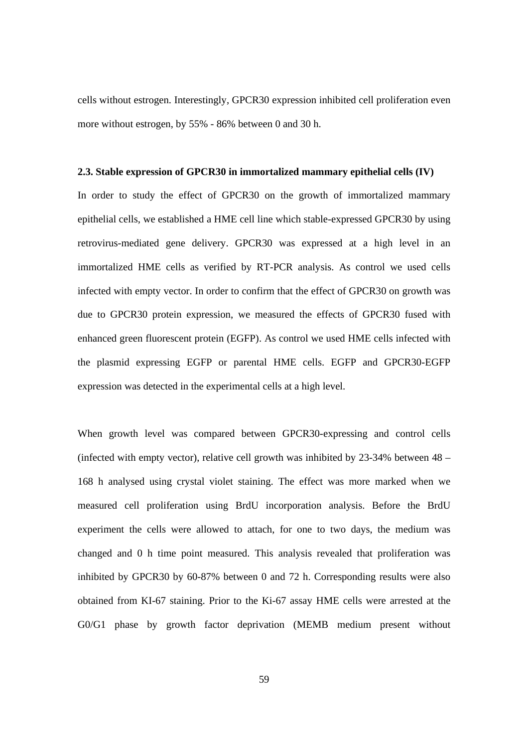cells without estrogen. Interestingly, GPCR30 expression inhibited cell proliferation even more without estrogen, by 55% - 86% between 0 and 30 h.

#### **2.3. Stable expression of GPCR30 in immortalized mammary epithelial cells (IV)**

In order to study the effect of GPCR30 on the growth of immortalized mammary epithelial cells, we established a HME cell line which stable-expressed GPCR30 by using retrovirus-mediated gene delivery. GPCR30 was expressed at a high level in an immortalized HME cells as verified by RT-PCR analysis. As control we used cells infected with empty vector. In order to confirm that the effect of GPCR30 on growth was due to GPCR30 protein expression, we measured the effects of GPCR30 fused with enhanced green fluorescent protein (EGFP). As control we used HME cells infected with the plasmid expressing EGFP or parental HME cells. EGFP and GPCR30-EGFP expression was detected in the experimental cells at a high level.

When growth level was compared between GPCR30-expressing and control cells (infected with empty vector), relative cell growth was inhibited by 23-34% between 48 – 168 h analysed using crystal violet staining. The effect was more marked when we measured cell proliferation using BrdU incorporation analysis. Before the BrdU experiment the cells were allowed to attach, for one to two days, the medium was changed and 0 h time point measured. This analysis revealed that proliferation was inhibited by GPCR30 by 60-87% between 0 and 72 h. Corresponding results were also obtained from KI-67 staining. Prior to the Ki-67 assay HME cells were arrested at the G0/G1 phase by growth factor deprivation (MEMB medium present without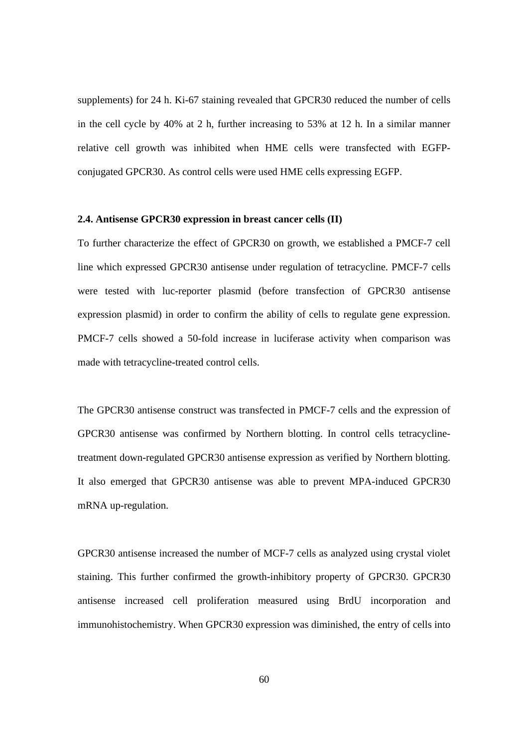supplements) for 24 h. Ki-67 staining revealed that GPCR30 reduced the number of cells in the cell cycle by 40% at 2 h, further increasing to 53% at 12 h. In a similar manner relative cell growth was inhibited when HME cells were transfected with EGFPconjugated GPCR30. As control cells were used HME cells expressing EGFP.

#### **2.4. Antisense GPCR30 expression in breast cancer cells (II)**

To further characterize the effect of GPCR30 on growth, we established a PMCF-7 cell line which expressed GPCR30 antisense under regulation of tetracycline. PMCF-7 cells were tested with luc-reporter plasmid (before transfection of GPCR30 antisense expression plasmid) in order to confirm the ability of cells to regulate gene expression. PMCF-7 cells showed a 50-fold increase in luciferase activity when comparison was made with tetracycline-treated control cells.

The GPCR30 antisense construct was transfected in PMCF-7 cells and the expression of GPCR30 antisense was confirmed by Northern blotting. In control cells tetracyclinetreatment down-regulated GPCR30 antisense expression as verified by Northern blotting. It also emerged that GPCR30 antisense was able to prevent MPA-induced GPCR30 mRNA up-regulation.

GPCR30 antisense increased the number of MCF-7 cells as analyzed using crystal violet staining. This further confirmed the growth-inhibitory property of GPCR30. GPCR30 antisense increased cell proliferation measured using BrdU incorporation and immunohistochemistry. When GPCR30 expression was diminished, the entry of cells into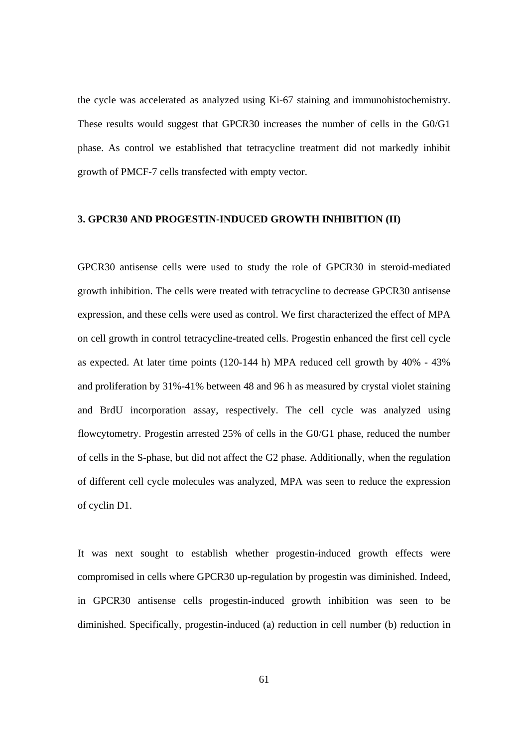the cycle was accelerated as analyzed using Ki-67 staining and immunohistochemistry. These results would suggest that GPCR30 increases the number of cells in the G0/G1 phase. As control we established that tetracycline treatment did not markedly inhibit growth of PMCF-7 cells transfected with empty vector.

#### **3. GPCR30 AND PROGESTIN-INDUCED GROWTH INHIBITION (II)**

GPCR30 antisense cells were used to study the role of GPCR30 in steroid-mediated growth inhibition. The cells were treated with tetracycline to decrease GPCR30 antisense expression, and these cells were used as control. We first characterized the effect of MPA on cell growth in control tetracycline-treated cells. Progestin enhanced the first cell cycle as expected. At later time points (120-144 h) MPA reduced cell growth by 40% - 43% and proliferation by 31%-41% between 48 and 96 h as measured by crystal violet staining and BrdU incorporation assay, respectively. The cell cycle was analyzed using flowcytometry. Progestin arrested 25% of cells in the G0/G1 phase, reduced the number of cells in the S-phase, but did not affect the G2 phase. Additionally, when the regulation of different cell cycle molecules was analyzed, MPA was seen to reduce the expression of cyclin D1.

It was next sought to establish whether progestin-induced growth effects were compromised in cells where GPCR30 up-regulation by progestin was diminished. Indeed, in GPCR30 antisense cells progestin-induced growth inhibition was seen to be diminished. Specifically, progestin-induced (a) reduction in cell number (b) reduction in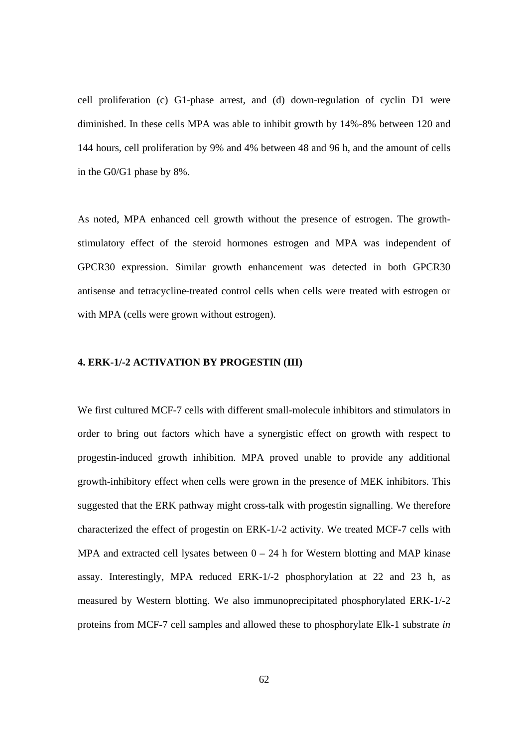cell proliferation (c) G1-phase arrest, and (d) down-regulation of cyclin D1 were diminished. In these cells MPA was able to inhibit growth by 14%-8% between 120 and 144 hours, cell proliferation by 9% and 4% between 48 and 96 h, and the amount of cells in the G0/G1 phase by 8%.

As noted, MPA enhanced cell growth without the presence of estrogen. The growthstimulatory effect of the steroid hormones estrogen and MPA was independent of GPCR30 expression. Similar growth enhancement was detected in both GPCR30 antisense and tetracycline-treated control cells when cells were treated with estrogen or with MPA (cells were grown without estrogen).

## **4. ERK-1/-2 ACTIVATION BY PROGESTIN (III)**

We first cultured MCF-7 cells with different small-molecule inhibitors and stimulators in order to bring out factors which have a synergistic effect on growth with respect to progestin-induced growth inhibition. MPA proved unable to provide any additional growth-inhibitory effect when cells were grown in the presence of MEK inhibitors. This suggested that the ERK pathway might cross-talk with progestin signalling. We therefore characterized the effect of progestin on ERK-1/-2 activity. We treated MCF-7 cells with MPA and extracted cell lysates between  $0 - 24$  h for Western blotting and MAP kinase assay. Interestingly, MPA reduced ERK-1/-2 phosphorylation at 22 and 23 h, as measured by Western blotting. We also immunoprecipitated phosphorylated ERK-1/-2 proteins from MCF-7 cell samples and allowed these to phosphorylate Elk-1 substrate *in*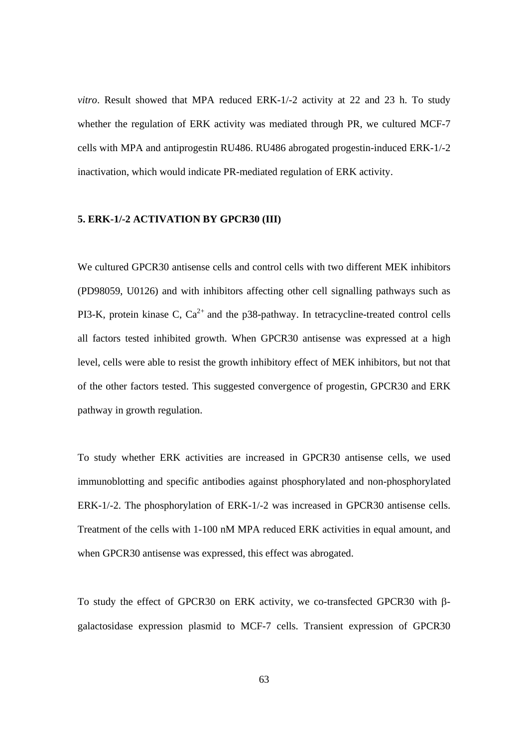*vitro*. Result showed that MPA reduced ERK-1/-2 activity at 22 and 23 h. To study whether the regulation of ERK activity was mediated through PR, we cultured MCF-7 cells with MPA and antiprogestin RU486. RU486 abrogated progestin-induced ERK-1/-2 inactivation, which would indicate PR-mediated regulation of ERK activity.

## **5. ERK-1/-2 ACTIVATION BY GPCR30 (III)**

We cultured GPCR30 antisense cells and control cells with two different MEK inhibitors (PD98059, U0126) and with inhibitors affecting other cell signalling pathways such as PI3-K, protein kinase C,  $Ca^{2+}$  and the p38-pathway. In tetracycline-treated control cells all factors tested inhibited growth. When GPCR30 antisense was expressed at a high level, cells were able to resist the growth inhibitory effect of MEK inhibitors, but not that of the other factors tested. This suggested convergence of progestin, GPCR30 and ERK pathway in growth regulation.

To study whether ERK activities are increased in GPCR30 antisense cells, we used immunoblotting and specific antibodies against phosphorylated and non-phosphorylated ERK-1/-2. The phosphorylation of ERK-1/-2 was increased in GPCR30 antisense cells. Treatment of the cells with 1-100 nM MPA reduced ERK activities in equal amount, and when GPCR30 antisense was expressed, this effect was abrogated.

To study the effect of GPCR30 on ERK activity, we co-transfected GPCR30 with βgalactosidase expression plasmid to MCF-7 cells. Transient expression of GPCR30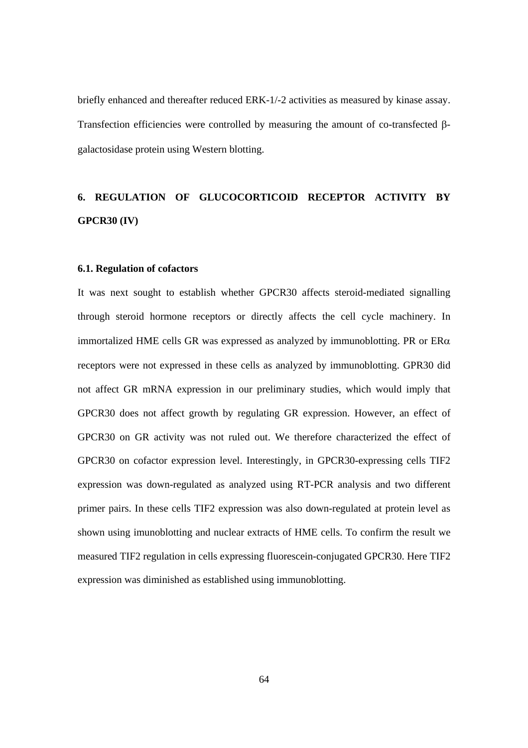briefly enhanced and thereafter reduced ERK-1/-2 activities as measured by kinase assay. Transfection efficiencies were controlled by measuring the amount of co-transfected βgalactosidase protein using Western blotting.

# **6. REGULATION OF GLUCOCORTICOID RECEPTOR ACTIVITY BY GPCR30 (IV)**

#### **6.1. Regulation of cofactors**

It was next sought to establish whether GPCR30 affects steroid-mediated signalling through steroid hormone receptors or directly affects the cell cycle machinery. In immortalized HME cells GR was expressed as analyzed by immunoblotting. PR or ERα receptors were not expressed in these cells as analyzed by immunoblotting. GPR30 did not affect GR mRNA expression in our preliminary studies, which would imply that GPCR30 does not affect growth by regulating GR expression. However, an effect of GPCR30 on GR activity was not ruled out. We therefore characterized the effect of GPCR30 on cofactor expression level. Interestingly, in GPCR30-expressing cells TIF2 expression was down-regulated as analyzed using RT-PCR analysis and two different primer pairs. In these cells TIF2 expression was also down-regulated at protein level as shown using imunoblotting and nuclear extracts of HME cells. To confirm the result we measured TIF2 regulation in cells expressing fluorescein-conjugated GPCR30. Here TIF2 expression was diminished as established using immunoblotting.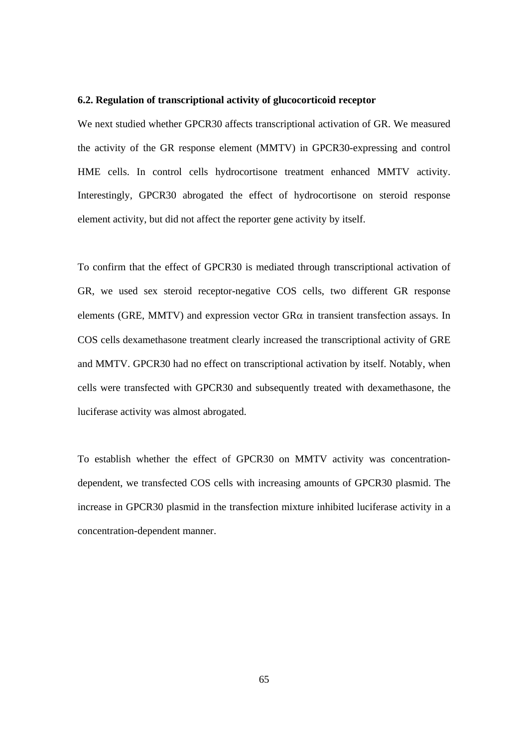#### **6.2. Regulation of transcriptional activity of glucocorticoid receptor**

We next studied whether GPCR30 affects transcriptional activation of GR. We measured the activity of the GR response element (MMTV) in GPCR30-expressing and control HME cells. In control cells hydrocortisone treatment enhanced MMTV activity. Interestingly, GPCR30 abrogated the effect of hydrocortisone on steroid response element activity, but did not affect the reporter gene activity by itself.

To confirm that the effect of GPCR30 is mediated through transcriptional activation of GR, we used sex steroid receptor-negative COS cells, two different GR response elements (GRE, MMTV) and expression vector  $G R\alpha$  in transient transfection assays. In COS cells dexamethasone treatment clearly increased the transcriptional activity of GRE and MMTV. GPCR30 had no effect on transcriptional activation by itself. Notably, when cells were transfected with GPCR30 and subsequently treated with dexamethasone, the luciferase activity was almost abrogated.

To establish whether the effect of GPCR30 on MMTV activity was concentrationdependent, we transfected COS cells with increasing amounts of GPCR30 plasmid. The increase in GPCR30 plasmid in the transfection mixture inhibited luciferase activity in a concentration-dependent manner.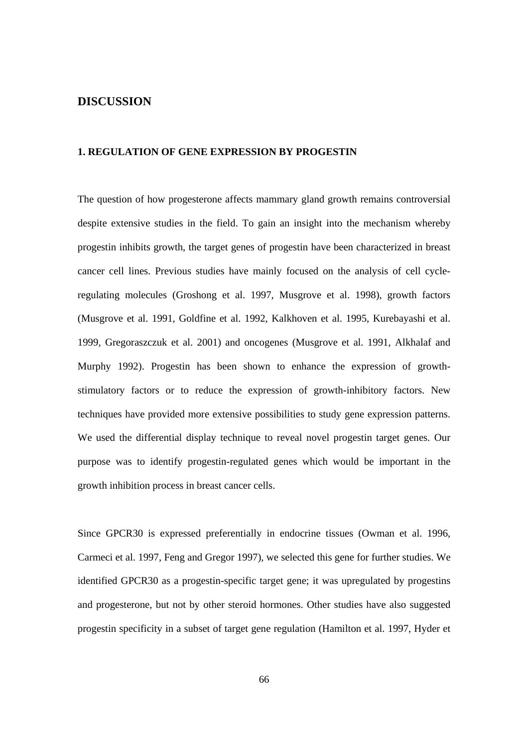# **DISCUSSION**

# **1. REGULATION OF GENE EXPRESSION BY PROGESTIN**

The question of how progesterone affects mammary gland growth remains controversial despite extensive studies in the field. To gain an insight into the mechanism whereby progestin inhibits growth, the target genes of progestin have been characterized in breast cancer cell lines. Previous studies have mainly focused on the analysis of cell cycleregulating molecules (Groshong et al. 1997, Musgrove et al. 1998), growth factors (Musgrove et al. 1991, Goldfine et al. 1992, Kalkhoven et al. 1995, Kurebayashi et al. 1999, Gregoraszczuk et al. 2001) and oncogenes (Musgrove et al. 1991, Alkhalaf and Murphy 1992). Progestin has been shown to enhance the expression of growthstimulatory factors or to reduce the expression of growth-inhibitory factors. New techniques have provided more extensive possibilities to study gene expression patterns. We used the differential display technique to reveal novel progestin target genes. Our purpose was to identify progestin-regulated genes which would be important in the growth inhibition process in breast cancer cells.

Since GPCR30 is expressed preferentially in endocrine tissues (Owman et al. 1996, Carmeci et al. 1997, Feng and Gregor 1997), we selected this gene for further studies. We identified GPCR30 as a progestin-specific target gene; it was upregulated by progestins and progesterone, but not by other steroid hormones. Other studies have also suggested progestin specificity in a subset of target gene regulation (Hamilton et al. 1997, Hyder et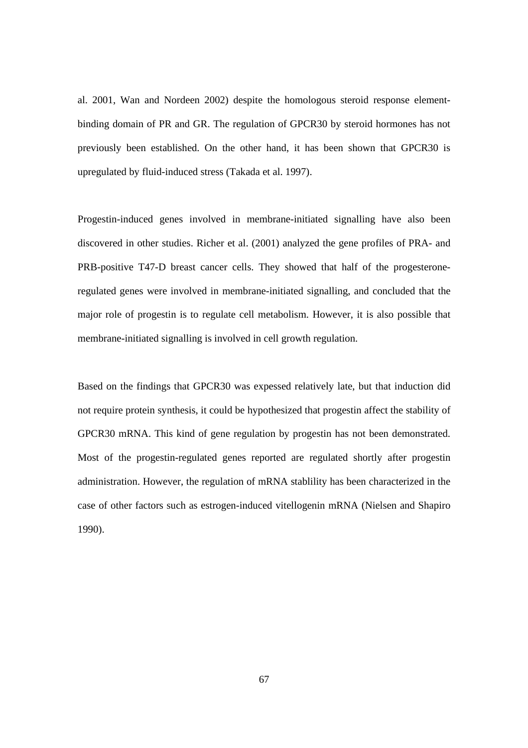al. 2001, Wan and Nordeen 2002) despite the homologous steroid response elementbinding domain of PR and GR. The regulation of GPCR30 by steroid hormones has not previously been established. On the other hand, it has been shown that GPCR30 is upregulated by fluid-induced stress (Takada et al. 1997).

Progestin-induced genes involved in membrane-initiated signalling have also been discovered in other studies. Richer et al. (2001) analyzed the gene profiles of PRA- and PRB-positive T47-D breast cancer cells. They showed that half of the progesteroneregulated genes were involved in membrane-initiated signalling, and concluded that the major role of progestin is to regulate cell metabolism. However, it is also possible that membrane-initiated signalling is involved in cell growth regulation.

Based on the findings that GPCR30 was expessed relatively late, but that induction did not require protein synthesis, it could be hypothesized that progestin affect the stability of GPCR30 mRNA. This kind of gene regulation by progestin has not been demonstrated. Most of the progestin-regulated genes reported are regulated shortly after progestin administration. However, the regulation of mRNA stablility has been characterized in the case of other factors such as estrogen-induced vitellogenin mRNA (Nielsen and Shapiro 1990).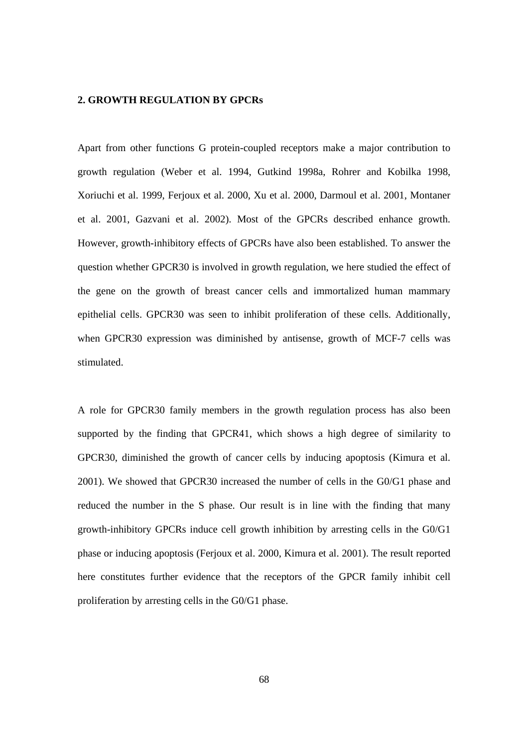# **2. GROWTH REGULATION BY GPCRs**

Apart from other functions G protein-coupled receptors make a major contribution to growth regulation (Weber et al. 1994, Gutkind 1998a, Rohrer and Kobilka 1998, Xoriuchi et al. 1999, Ferjoux et al. 2000, Xu et al. 2000, Darmoul et al. 2001, Montaner et al. 2001, Gazvani et al. 2002). Most of the GPCRs described enhance growth. However, growth-inhibitory effects of GPCRs have also been established. To answer the question whether GPCR30 is involved in growth regulation, we here studied the effect of the gene on the growth of breast cancer cells and immortalized human mammary epithelial cells. GPCR30 was seen to inhibit proliferation of these cells. Additionally, when GPCR30 expression was diminished by antisense, growth of MCF-7 cells was stimulated.

A role for GPCR30 family members in the growth regulation process has also been supported by the finding that GPCR41, which shows a high degree of similarity to GPCR30, diminished the growth of cancer cells by inducing apoptosis (Kimura et al. 2001). We showed that GPCR30 increased the number of cells in the G0/G1 phase and reduced the number in the S phase. Our result is in line with the finding that many growth-inhibitory GPCRs induce cell growth inhibition by arresting cells in the G0/G1 phase or inducing apoptosis (Ferjoux et al. 2000, Kimura et al. 2001). The result reported here constitutes further evidence that the receptors of the GPCR family inhibit cell proliferation by arresting cells in the G0/G1 phase.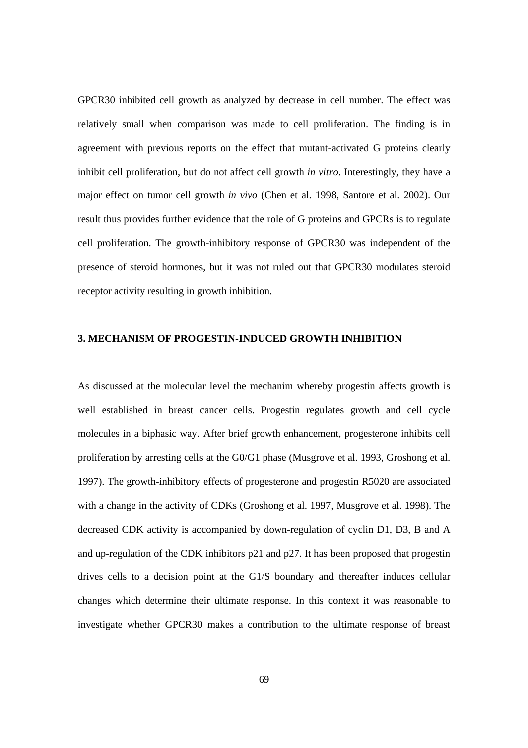GPCR30 inhibited cell growth as analyzed by decrease in cell number. The effect was relatively small when comparison was made to cell proliferation. The finding is in agreement with previous reports on the effect that mutant-activated G proteins clearly inhibit cell proliferation, but do not affect cell growth *in vitro*. Interestingly, they have a major effect on tumor cell growth *in vivo* (Chen et al. 1998, Santore et al. 2002). Our result thus provides further evidence that the role of G proteins and GPCRs is to regulate cell proliferation. The growth-inhibitory response of GPCR30 was independent of the presence of steroid hormones, but it was not ruled out that GPCR30 modulates steroid receptor activity resulting in growth inhibition.

#### **3. MECHANISM OF PROGESTIN-INDUCED GROWTH INHIBITION**

As discussed at the molecular level the mechanim whereby progestin affects growth is well established in breast cancer cells. Progestin regulates growth and cell cycle molecules in a biphasic way. After brief growth enhancement, progesterone inhibits cell proliferation by arresting cells at the G0/G1 phase (Musgrove et al. 1993, Groshong et al. 1997). The growth-inhibitory effects of progesterone and progestin R5020 are associated with a change in the activity of CDKs (Groshong et al. 1997, Musgrove et al. 1998). The decreased CDK activity is accompanied by down-regulation of cyclin D1, D3, B and A and up-regulation of the CDK inhibitors p21 and p27. It has been proposed that progestin drives cells to a decision point at the G1/S boundary and thereafter induces cellular changes which determine their ultimate response. In this context it was reasonable to investigate whether GPCR30 makes a contribution to the ultimate response of breast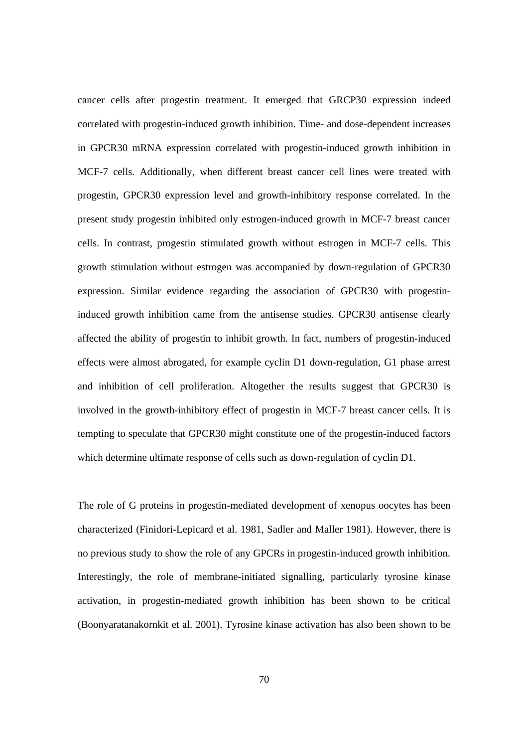cancer cells after progestin treatment. It emerged that GRCP30 expression indeed correlated with progestin-induced growth inhibition. Time- and dose-dependent increases in GPCR30 mRNA expression correlated with progestin-induced growth inhibition in MCF-7 cells. Additionally, when different breast cancer cell lines were treated with progestin, GPCR30 expression level and growth-inhibitory response correlated. In the present study progestin inhibited only estrogen-induced growth in MCF-7 breast cancer cells. In contrast, progestin stimulated growth without estrogen in MCF-7 cells. This growth stimulation without estrogen was accompanied by down-regulation of GPCR30 expression. Similar evidence regarding the association of GPCR30 with progestininduced growth inhibition came from the antisense studies. GPCR30 antisense clearly affected the ability of progestin to inhibit growth. In fact, numbers of progestin-induced effects were almost abrogated, for example cyclin D1 down-regulation, G1 phase arrest and inhibition of cell proliferation. Altogether the results suggest that GPCR30 is involved in the growth-inhibitory effect of progestin in MCF-7 breast cancer cells. It is tempting to speculate that GPCR30 might constitute one of the progestin-induced factors which determine ultimate response of cells such as down-regulation of cyclin D1.

The role of G proteins in progestin-mediated development of xenopus oocytes has been characterized (Finidori-Lepicard et al. 1981, Sadler and Maller 1981). However, there is no previous study to show the role of any GPCRs in progestin-induced growth inhibition. Interestingly, the role of membrane-initiated signalling, particularly tyrosine kinase activation, in progestin-mediated growth inhibition has been shown to be critical (Boonyaratanakornkit et al. 2001). Tyrosine kinase activation has also been shown to be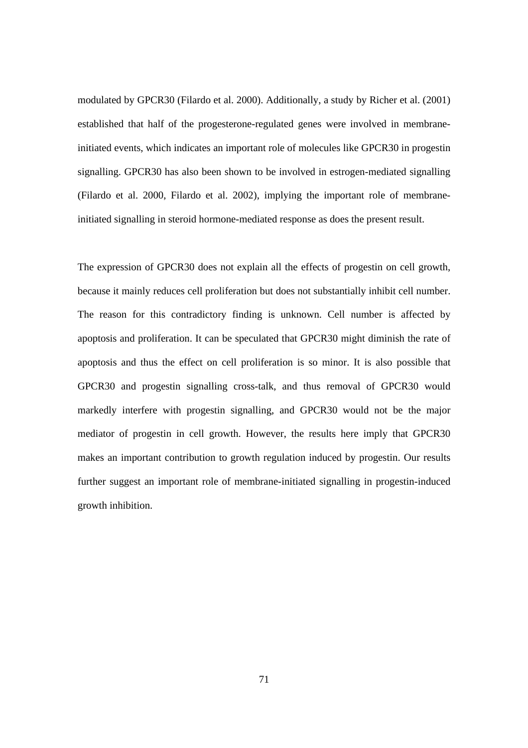modulated by GPCR30 (Filardo et al. 2000). Additionally, a study by Richer et al. (2001) established that half of the progesterone-regulated genes were involved in membraneinitiated events, which indicates an important role of molecules like GPCR30 in progestin signalling. GPCR30 has also been shown to be involved in estrogen-mediated signalling (Filardo et al. 2000, Filardo et al. 2002), implying the important role of membraneinitiated signalling in steroid hormone-mediated response as does the present result.

The expression of GPCR30 does not explain all the effects of progestin on cell growth, because it mainly reduces cell proliferation but does not substantially inhibit cell number. The reason for this contradictory finding is unknown. Cell number is affected by apoptosis and proliferation. It can be speculated that GPCR30 might diminish the rate of apoptosis and thus the effect on cell proliferation is so minor. It is also possible that GPCR30 and progestin signalling cross-talk, and thus removal of GPCR30 would markedly interfere with progestin signalling, and GPCR30 would not be the major mediator of progestin in cell growth. However, the results here imply that GPCR30 makes an important contribution to growth regulation induced by progestin. Our results further suggest an important role of membrane-initiated signalling in progestin-induced growth inhibition.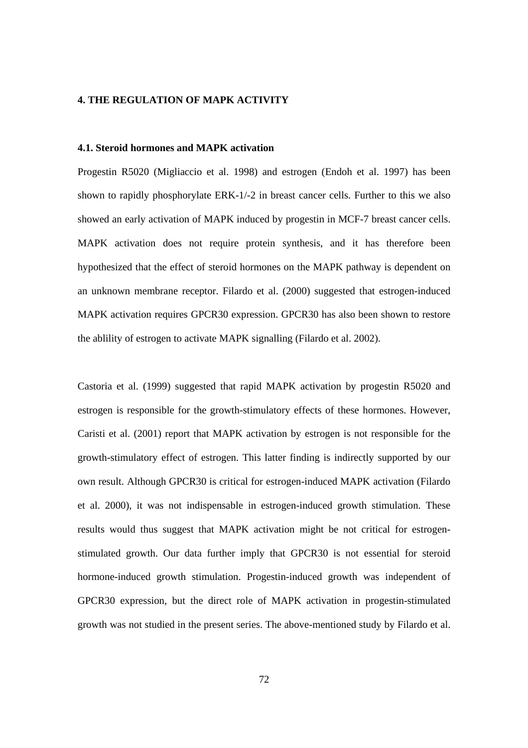## **4. THE REGULATION OF MAPK ACTIVITY**

#### **4.1. Steroid hormones and MAPK activation**

Progestin R5020 (Migliaccio et al. 1998) and estrogen (Endoh et al. 1997) has been shown to rapidly phosphorylate ERK-1/-2 in breast cancer cells. Further to this we also showed an early activation of MAPK induced by progestin in MCF-7 breast cancer cells. MAPK activation does not require protein synthesis, and it has therefore been hypothesized that the effect of steroid hormones on the MAPK pathway is dependent on an unknown membrane receptor. Filardo et al. (2000) suggested that estrogen-induced MAPK activation requires GPCR30 expression. GPCR30 has also been shown to restore the ablility of estrogen to activate MAPK signalling (Filardo et al. 2002).

Castoria et al. (1999) suggested that rapid MAPK activation by progestin R5020 and estrogen is responsible for the growth-stimulatory effects of these hormones. However, Caristi et al. (2001) report that MAPK activation by estrogen is not responsible for the growth-stimulatory effect of estrogen. This latter finding is indirectly supported by our own result. Although GPCR30 is critical for estrogen-induced MAPK activation (Filardo et al. 2000), it was not indispensable in estrogen-induced growth stimulation. These results would thus suggest that MAPK activation might be not critical for estrogenstimulated growth. Our data further imply that GPCR30 is not essential for steroid hormone-induced growth stimulation. Progestin-induced growth was independent of GPCR30 expression, but the direct role of MAPK activation in progestin-stimulated growth was not studied in the present series. The above-mentioned study by Filardo et al.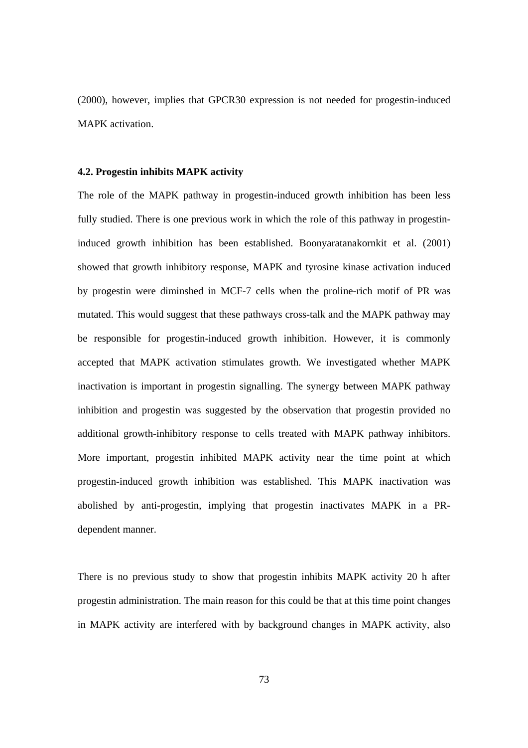(2000), however, implies that GPCR30 expression is not needed for progestin-induced MAPK activation.

### **4.2. Progestin inhibits MAPK activity**

The role of the MAPK pathway in progestin-induced growth inhibition has been less fully studied. There is one previous work in which the role of this pathway in progestininduced growth inhibition has been established. Boonyaratanakornkit et al. (2001) showed that growth inhibitory response, MAPK and tyrosine kinase activation induced by progestin were diminshed in MCF-7 cells when the proline-rich motif of PR was mutated. This would suggest that these pathways cross-talk and the MAPK pathway may be responsible for progestin-induced growth inhibition. However, it is commonly accepted that MAPK activation stimulates growth. We investigated whether MAPK inactivation is important in progestin signalling. The synergy between MAPK pathway inhibition and progestin was suggested by the observation that progestin provided no additional growth-inhibitory response to cells treated with MAPK pathway inhibitors. More important, progestin inhibited MAPK activity near the time point at which progestin-induced growth inhibition was established. This MAPK inactivation was abolished by anti-progestin, implying that progestin inactivates MAPK in a PRdependent manner.

There is no previous study to show that progestin inhibits MAPK activity 20 h after progestin administration. The main reason for this could be that at this time point changes in MAPK activity are interfered with by background changes in MAPK activity, also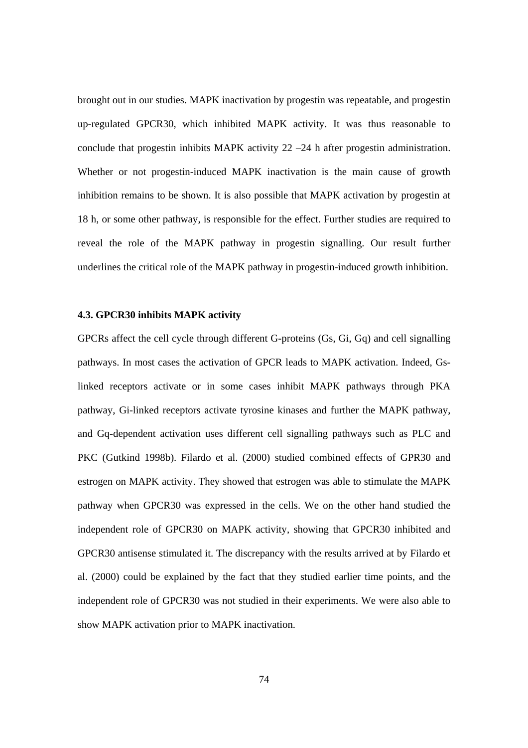brought out in our studies. MAPK inactivation by progestin was repeatable, and progestin up-regulated GPCR30, which inhibited MAPK activity. It was thus reasonable to conclude that progestin inhibits MAPK activity 22 –24 h after progestin administration. Whether or not progestin-induced MAPK inactivation is the main cause of growth inhibition remains to be shown. It is also possible that MAPK activation by progestin at 18 h, or some other pathway, is responsible for the effect. Further studies are required to reveal the role of the MAPK pathway in progestin signalling. Our result further underlines the critical role of the MAPK pathway in progestin-induced growth inhibition.

### **4.3. GPCR30 inhibits MAPK activity**

GPCRs affect the cell cycle through different G-proteins (Gs, Gi, Gq) and cell signalling pathways. In most cases the activation of GPCR leads to MAPK activation. Indeed, Gslinked receptors activate or in some cases inhibit MAPK pathways through PKA pathway, Gi-linked receptors activate tyrosine kinases and further the MAPK pathway, and Gq-dependent activation uses different cell signalling pathways such as PLC and PKC (Gutkind 1998b). Filardo et al. (2000) studied combined effects of GPR30 and estrogen on MAPK activity. They showed that estrogen was able to stimulate the MAPK pathway when GPCR30 was expressed in the cells. We on the other hand studied the independent role of GPCR30 on MAPK activity, showing that GPCR30 inhibited and GPCR30 antisense stimulated it. The discrepancy with the results arrived at by Filardo et al. (2000) could be explained by the fact that they studied earlier time points, and the independent role of GPCR30 was not studied in their experiments. We were also able to show MAPK activation prior to MAPK inactivation.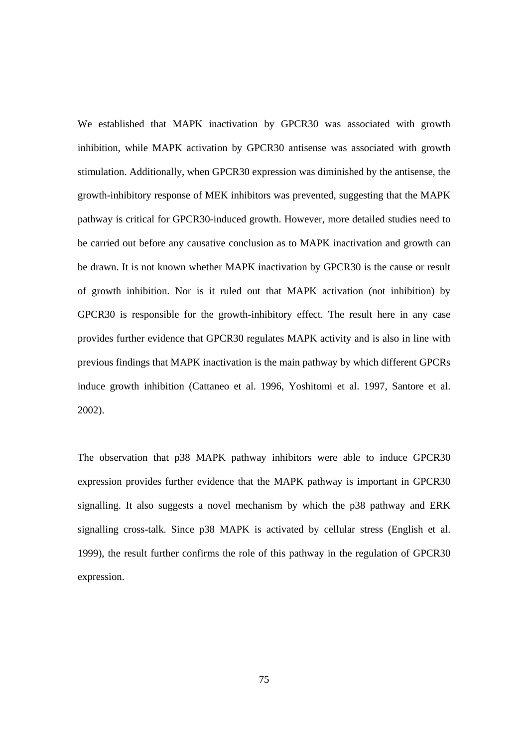We established that MAPK inactivation by GPCR30 was associated with growth inhibition, while MAPK activation by GPCR30 antisense was associated with growth stimulation. Additionally, when GPCR30 expression was diminished by the antisense, the growth-inhibitory response of MEK inhibitors was prevented, suggesting that the MAPK pathway is critical for GPCR30-induced growth. However, more detailed studies need to be carried out before any causative conclusion as to MAPK inactivation and growth can be drawn. It is not known whether MAPK inactivation by GPCR30 is the cause or result of growth inhibition. Nor is it ruled out that MAPK activation (not inhibition) by GPCR30 is responsible for the growth-inhibitory effect. The result here in any case provides further evidence that GPCR30 regulates MAPK activity and is also in line with previous findings that MAPK inactivation is the main pathway by which different GPCRs induce growth inhibition (Cattaneo et al. 1996, Yoshitomi et al. 1997, Santore et al. 2002).

The observation that p38 MAPK pathway inhibitors were able to induce GPCR30 expression provides further evidence that the MAPK pathway is important in GPCR30 signalling. It also suggests a novel mechanism by which the p38 pathway and ERK signalling cross-talk. Since p38 MAPK is activated by cellular stress (English et al. 1999), the result further confirms the role of this pathway in the regulation of GPCR30 expression.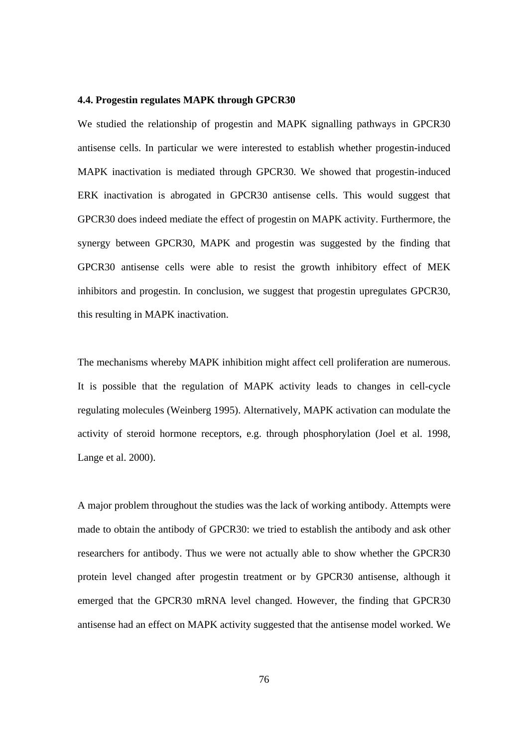#### **4.4. Progestin regulates MAPK through GPCR30**

We studied the relationship of progestin and MAPK signalling pathways in GPCR30 antisense cells. In particular we were interested to establish whether progestin-induced MAPK inactivation is mediated through GPCR30. We showed that progestin-induced ERK inactivation is abrogated in GPCR30 antisense cells. This would suggest that GPCR30 does indeed mediate the effect of progestin on MAPK activity. Furthermore, the synergy between GPCR30, MAPK and progestin was suggested by the finding that GPCR30 antisense cells were able to resist the growth inhibitory effect of MEK inhibitors and progestin. In conclusion, we suggest that progestin upregulates GPCR30, this resulting in MAPK inactivation.

The mechanisms whereby MAPK inhibition might affect cell proliferation are numerous. It is possible that the regulation of MAPK activity leads to changes in cell-cycle regulating molecules (Weinberg 1995). Alternatively, MAPK activation can modulate the activity of steroid hormone receptors, e.g. through phosphorylation (Joel et al. 1998, Lange et al. 2000).

A major problem throughout the studies was the lack of working antibody. Attempts were made to obtain the antibody of GPCR30: we tried to establish the antibody and ask other researchers for antibody. Thus we were not actually able to show whether the GPCR30 protein level changed after progestin treatment or by GPCR30 antisense, although it emerged that the GPCR30 mRNA level changed. However, the finding that GPCR30 antisense had an effect on MAPK activity suggested that the antisense model worked. We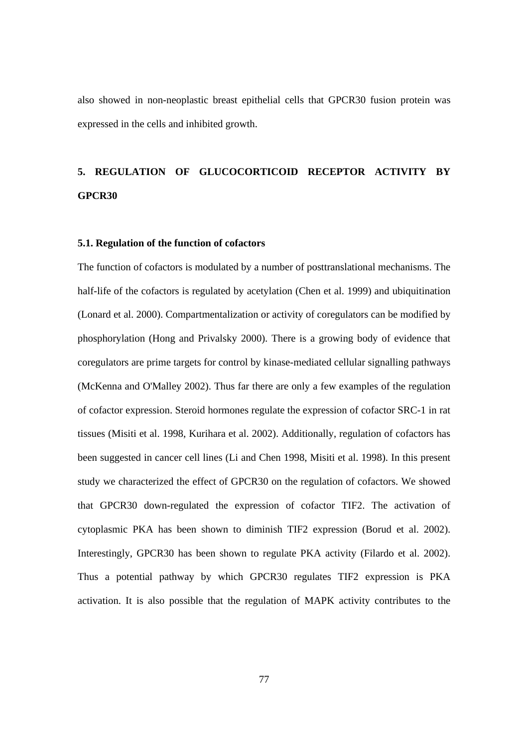also showed in non-neoplastic breast epithelial cells that GPCR30 fusion protein was expressed in the cells and inhibited growth.

# **5. REGULATION OF GLUCOCORTICOID RECEPTOR ACTIVITY BY GPCR30**

#### **5.1. Regulation of the function of cofactors**

The function of cofactors is modulated by a number of posttranslational mechanisms. The half-life of the cofactors is regulated by acetylation (Chen et al. 1999) and ubiquitination (Lonard et al. 2000). Compartmentalization or activity of coregulators can be modified by phosphorylation (Hong and Privalsky 2000). There is a growing body of evidence that coregulators are prime targets for control by kinase-mediated cellular signalling pathways (McKenna and O'Malley 2002). Thus far there are only a few examples of the regulation of cofactor expression. Steroid hormones regulate the expression of cofactor SRC-1 in rat tissues (Misiti et al. 1998, Kurihara et al. 2002). Additionally, regulation of cofactors has been suggested in cancer cell lines (Li and Chen 1998, Misiti et al. 1998). In this present study we characterized the effect of GPCR30 on the regulation of cofactors. We showed that GPCR30 down-regulated the expression of cofactor TIF2. The activation of cytoplasmic PKA has been shown to diminish TIF2 expression (Borud et al. 2002). Interestingly, GPCR30 has been shown to regulate PKA activity (Filardo et al. 2002). Thus a potential pathway by which GPCR30 regulates TIF2 expression is PKA activation. It is also possible that the regulation of MAPK activity contributes to the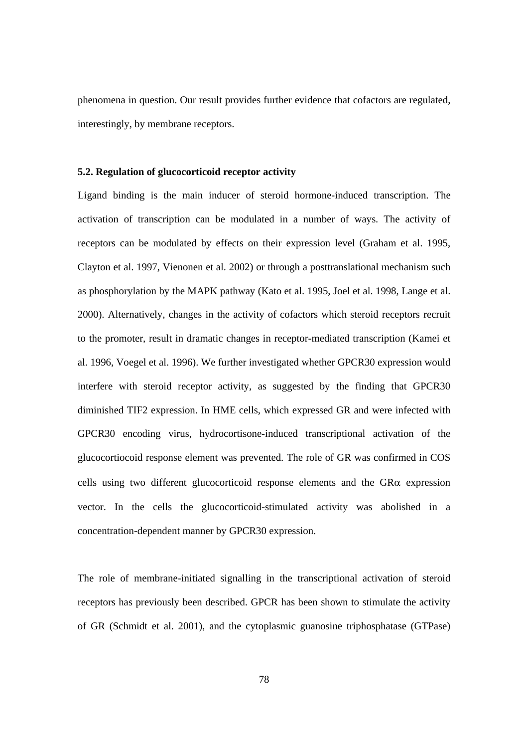phenomena in question. Our result provides further evidence that cofactors are regulated, interestingly, by membrane receptors.

### **5.2. Regulation of glucocorticoid receptor activity**

Ligand binding is the main inducer of steroid hormone-induced transcription. The activation of transcription can be modulated in a number of ways. The activity of receptors can be modulated by effects on their expression level (Graham et al. 1995, Clayton et al. 1997, Vienonen et al. 2002) or through a posttranslational mechanism such as phosphorylation by the MAPK pathway (Kato et al. 1995, Joel et al. 1998, Lange et al. 2000). Alternatively, changes in the activity of cofactors which steroid receptors recruit to the promoter, result in dramatic changes in receptor-mediated transcription (Kamei et al. 1996, Voegel et al. 1996). We further investigated whether GPCR30 expression would interfere with steroid receptor activity, as suggested by the finding that GPCR30 diminished TIF2 expression. In HME cells, which expressed GR and were infected with GPCR30 encoding virus, hydrocortisone-induced transcriptional activation of the glucocortiocoid response element was prevented. The role of GR was confirmed in COS cells using two different glucocorticoid response elements and the  $G R\alpha$  expression vector. In the cells the glucocorticoid-stimulated activity was abolished in a concentration-dependent manner by GPCR30 expression.

The role of membrane-initiated signalling in the transcriptional activation of steroid receptors has previously been described. GPCR has been shown to stimulate the activity of GR (Schmidt et al. 2001), and the cytoplasmic guanosine triphosphatase (GTPase)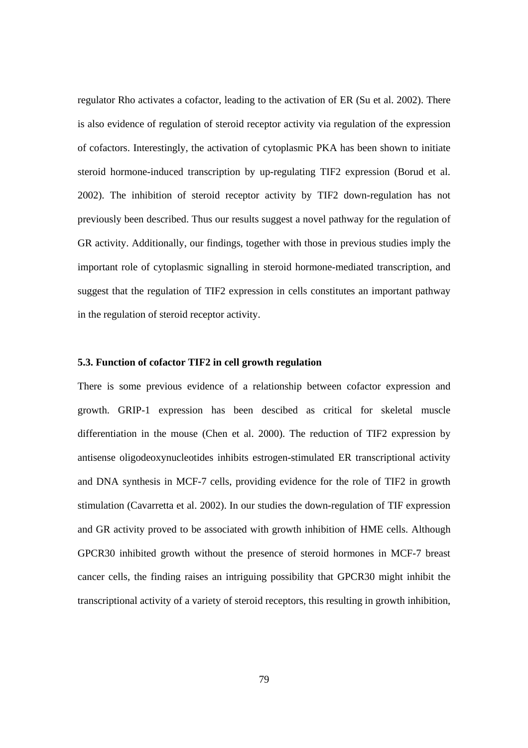regulator Rho activates a cofactor, leading to the activation of ER (Su et al. 2002). There is also evidence of regulation of steroid receptor activity via regulation of the expression of cofactors. Interestingly, the activation of cytoplasmic PKA has been shown to initiate steroid hormone-induced transcription by up-regulating TIF2 expression (Borud et al. 2002). The inhibition of steroid receptor activity by TIF2 down-regulation has not previously been described. Thus our results suggest a novel pathway for the regulation of GR activity. Additionally, our findings, together with those in previous studies imply the important role of cytoplasmic signalling in steroid hormone-mediated transcription, and suggest that the regulation of TIF2 expression in cells constitutes an important pathway in the regulation of steroid receptor activity.

### **5.3. Function of cofactor TIF2 in cell growth regulation**

There is some previous evidence of a relationship between cofactor expression and growth. GRIP-1 expression has been descibed as critical for skeletal muscle differentiation in the mouse (Chen et al. 2000). The reduction of TIF2 expression by antisense oligodeoxynucleotides inhibits estrogen-stimulated ER transcriptional activity and DNA synthesis in MCF-7 cells, providing evidence for the role of TIF2 in growth stimulation (Cavarretta et al. 2002). In our studies the down-regulation of TIF expression and GR activity proved to be associated with growth inhibition of HME cells. Although GPCR30 inhibited growth without the presence of steroid hormones in MCF-7 breast cancer cells, the finding raises an intriguing possibility that GPCR30 might inhibit the transcriptional activity of a variety of steroid receptors, this resulting in growth inhibition,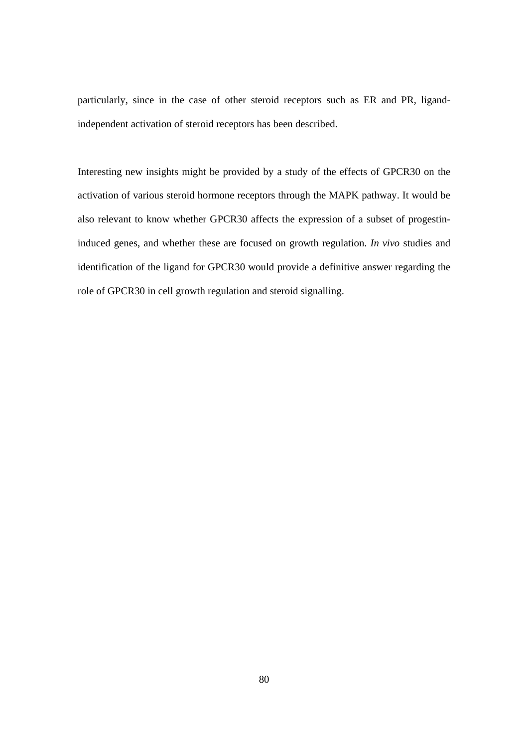particularly, since in the case of other steroid receptors such as ER and PR, ligandindependent activation of steroid receptors has been described.

Interesting new insights might be provided by a study of the effects of GPCR30 on the activation of various steroid hormone receptors through the MAPK pathway. It would be also relevant to know whether GPCR30 affects the expression of a subset of progestininduced genes, and whether these are focused on growth regulation. *In vivo* studies and identification of the ligand for GPCR30 would provide a definitive answer regarding the role of GPCR30 in cell growth regulation and steroid signalling.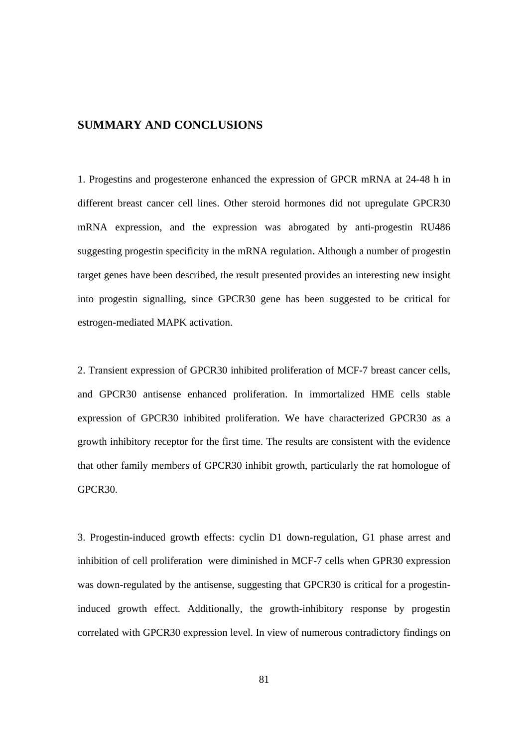# **SUMMARY AND CONCLUSIONS**

1. Progestins and progesterone enhanced the expression of GPCR mRNA at 24-48 h in different breast cancer cell lines. Other steroid hormones did not upregulate GPCR30 mRNA expression, and the expression was abrogated by anti-progestin RU486 suggesting progestin specificity in the mRNA regulation. Although a number of progestin target genes have been described, the result presented provides an interesting new insight into progestin signalling, since GPCR30 gene has been suggested to be critical for estrogen-mediated MAPK activation.

2. Transient expression of GPCR30 inhibited proliferation of MCF-7 breast cancer cells, and GPCR30 antisense enhanced proliferation. In immortalized HME cells stable expression of GPCR30 inhibited proliferation. We have characterized GPCR30 as a growth inhibitory receptor for the first time. The results are consistent with the evidence that other family members of GPCR30 inhibit growth, particularly the rat homologue of GPCR30.

3. Progestin-induced growth effects: cyclin D1 down-regulation, G1 phase arrest and inhibition of cell proliferation were diminished in MCF-7 cells when GPR30 expression was down-regulated by the antisense, suggesting that GPCR30 is critical for a progestininduced growth effect. Additionally, the growth-inhibitory response by progestin correlated with GPCR30 expression level. In view of numerous contradictory findings on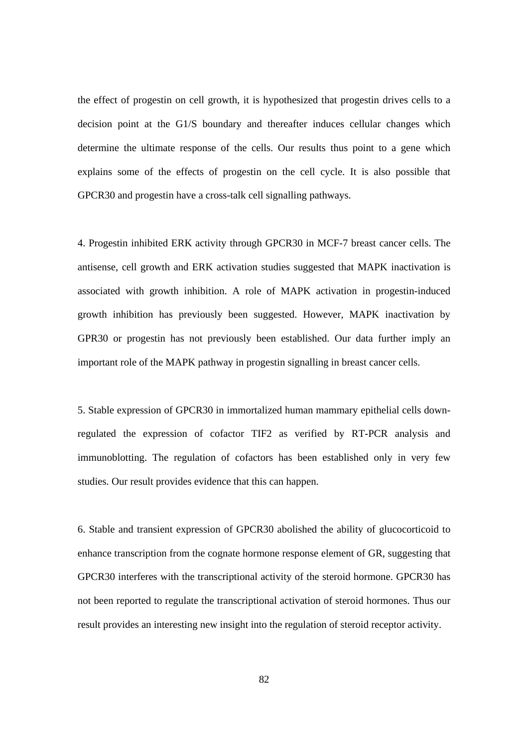the effect of progestin on cell growth, it is hypothesized that progestin drives cells to a decision point at the G1/S boundary and thereafter induces cellular changes which determine the ultimate response of the cells. Our results thus point to a gene which explains some of the effects of progestin on the cell cycle. It is also possible that GPCR30 and progestin have a cross-talk cell signalling pathways.

4. Progestin inhibited ERK activity through GPCR30 in MCF-7 breast cancer cells. The antisense, cell growth and ERK activation studies suggested that MAPK inactivation is associated with growth inhibition. A role of MAPK activation in progestin-induced growth inhibition has previously been suggested. However, MAPK inactivation by GPR30 or progestin has not previously been established. Our data further imply an important role of the MAPK pathway in progestin signalling in breast cancer cells.

5. Stable expression of GPCR30 in immortalized human mammary epithelial cells downregulated the expression of cofactor TIF2 as verified by RT-PCR analysis and immunoblotting. The regulation of cofactors has been established only in very few studies. Our result provides evidence that this can happen.

6. Stable and transient expression of GPCR30 abolished the ability of glucocorticoid to enhance transcription from the cognate hormone response element of GR, suggesting that GPCR30 interferes with the transcriptional activity of the steroid hormone. GPCR30 has not been reported to regulate the transcriptional activation of steroid hormones. Thus our result provides an interesting new insight into the regulation of steroid receptor activity.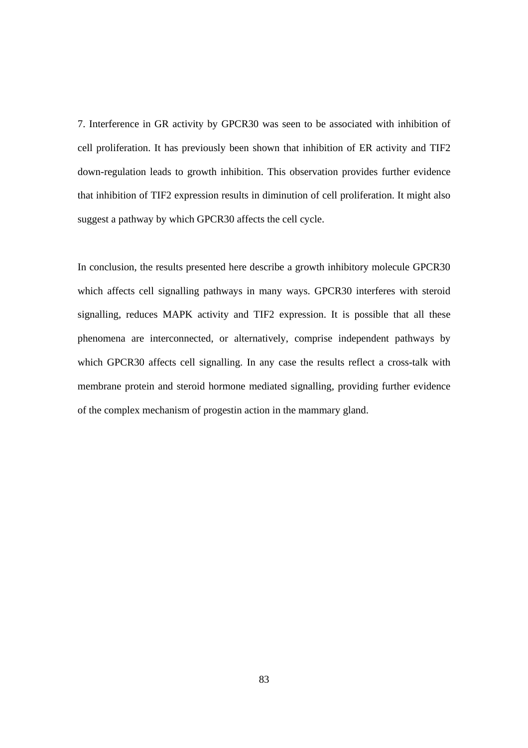7. Interference in GR activity by GPCR30 was seen to be associated with inhibition of cell proliferation. It has previously been shown that inhibition of ER activity and TIF2 down-regulation leads to growth inhibition. This observation provides further evidence that inhibition of TIF2 expression results in diminution of cell proliferation. It might also suggest a pathway by which GPCR30 affects the cell cycle.

In conclusion, the results presented here describe a growth inhibitory molecule GPCR30 which affects cell signalling pathways in many ways. GPCR30 interferes with steroid signalling, reduces MAPK activity and TIF2 expression. It is possible that all these phenomena are interconnected, or alternatively, comprise independent pathways by which GPCR30 affects cell signalling. In any case the results reflect a cross-talk with membrane protein and steroid hormone mediated signalling, providing further evidence of the complex mechanism of progestin action in the mammary gland.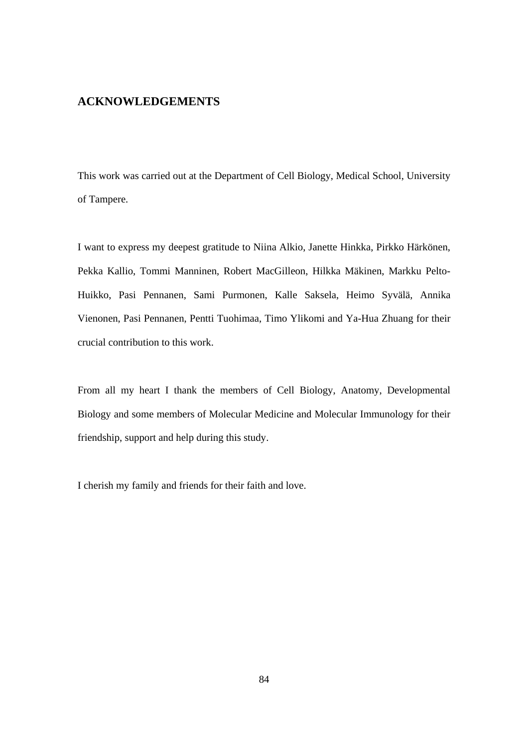## **ACKNOWLEDGEMENTS**

This work was carried out at the Department of Cell Biology, Medical School, University of Tampere.

I want to express my deepest gratitude to Niina Alkio, Janette Hinkka, Pirkko Härkönen, Pekka Kallio, Tommi Manninen, Robert MacGilleon, Hilkka Mäkinen, Markku Pelto-Huikko, Pasi Pennanen, Sami Purmonen, Kalle Saksela, Heimo Syvälä, Annika Vienonen, Pasi Pennanen, Pentti Tuohimaa, Timo Ylikomi and Ya-Hua Zhuang for their crucial contribution to this work.

From all my heart I thank the members of Cell Biology, Anatomy, Developmental Biology and some members of Molecular Medicine and Molecular Immunology for their friendship, support and help during this study.

I cherish my family and friends for their faith and love.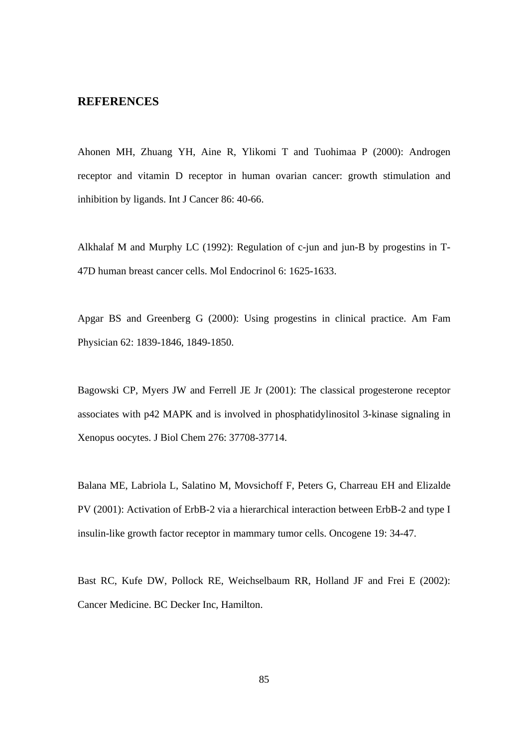## **REFERENCES**

Ahonen MH, Zhuang YH, Aine R, Ylikomi T and Tuohimaa P (2000): Androgen receptor and vitamin D receptor in human ovarian cancer: growth stimulation and inhibition by ligands. Int J Cancer 86: 40-66.

Alkhalaf M and Murphy LC (1992): Regulation of c-jun and jun-B by progestins in T-47D human breast cancer cells. Mol Endocrinol 6: 1625-1633.

Apgar BS and Greenberg G (2000): Using progestins in clinical practice. Am Fam Physician 62: 1839-1846, 1849-1850.

Bagowski CP, Myers JW and Ferrell JE Jr (2001): The classical progesterone receptor associates with p42 MAPK and is involved in phosphatidylinositol 3-kinase signaling in Xenopus oocytes. J Biol Chem 276: 37708-37714.

Balana ME, Labriola L, Salatino M, Movsichoff F, Peters G, Charreau EH and Elizalde PV (2001): Activation of ErbB-2 via a hierarchical interaction between ErbB-2 and type I insulin-like growth factor receptor in mammary tumor cells. Oncogene 19: 34-47.

Bast RC, Kufe DW, Pollock RE, Weichselbaum RR, Holland JF and Frei E (2002): Cancer Medicine. BC Decker Inc, Hamilton.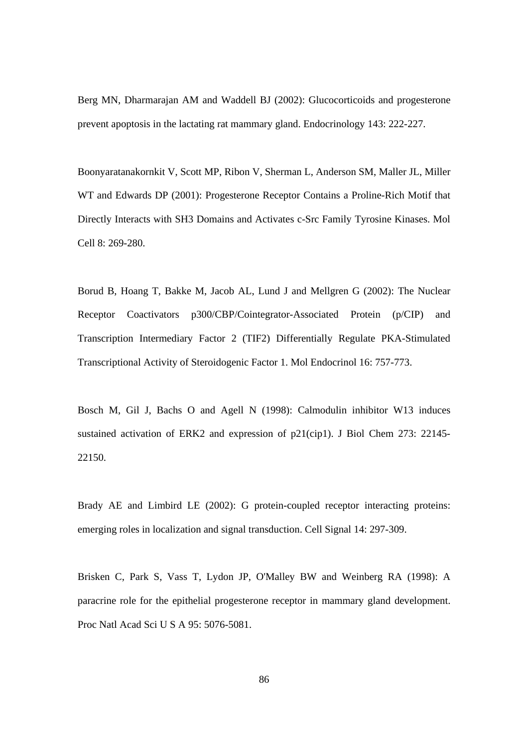Berg MN, Dharmarajan AM and Waddell BJ (2002): Glucocorticoids and progesterone prevent apoptosis in the lactating rat mammary gland. Endocrinology 143: 222-227.

Boonyaratanakornkit V, Scott MP, Ribon V, Sherman L, Anderson SM, Maller JL, Miller WT and Edwards DP (2001): Progesterone Receptor Contains a Proline-Rich Motif that Directly Interacts with SH3 Domains and Activates c-Src Family Tyrosine Kinases. Mol Cell 8: 269-280.

Borud B, Hoang T, Bakke M, Jacob AL, Lund J and Mellgren G (2002): The Nuclear Receptor Coactivators p300/CBP/Cointegrator-Associated Protein (p/CIP) and Transcription Intermediary Factor 2 (TIF2) Differentially Regulate PKA-Stimulated Transcriptional Activity of Steroidogenic Factor 1. Mol Endocrinol 16: 757-773.

Bosch M, Gil J, Bachs O and Agell N (1998): Calmodulin inhibitor W13 induces sustained activation of ERK2 and expression of p21(cip1). J Biol Chem 273: 22145- 22150.

Brady AE and Limbird LE (2002): G protein-coupled receptor interacting proteins: emerging roles in localization and signal transduction. Cell Signal 14: 297-309.

Brisken C, Park S, Vass T, Lydon JP, O'Malley BW and Weinberg RA (1998): A paracrine role for the epithelial progesterone receptor in mammary gland development. Proc Natl Acad Sci U S A 95: 5076-5081.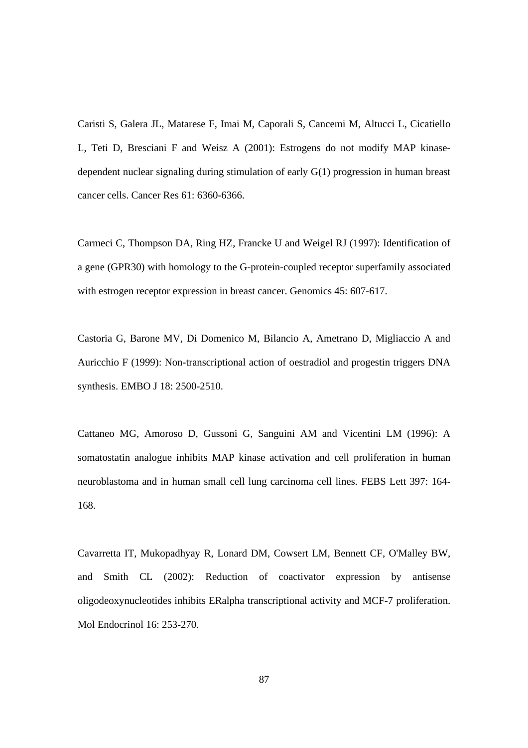Caristi S, Galera JL, Matarese F, Imai M, Caporali S, Cancemi M, Altucci L, Cicatiello L, Teti D, Bresciani F and Weisz A (2001): Estrogens do not modify MAP kinasedependent nuclear signaling during stimulation of early G(1) progression in human breast cancer cells. Cancer Res 61: 6360-6366.

Carmeci C, Thompson DA, Ring HZ, Francke U and Weigel RJ (1997): Identification of a gene (GPR30) with homology to the G-protein-coupled receptor superfamily associated with estrogen receptor expression in breast cancer. Genomics 45: 607-617.

Castoria G, Barone MV, Di Domenico M, Bilancio A, Ametrano D, Migliaccio A and Auricchio F (1999): Non-transcriptional action of oestradiol and progestin triggers DNA synthesis. EMBO J 18: 2500-2510.

Cattaneo MG, Amoroso D, Gussoni G, Sanguini AM and Vicentini LM (1996): A somatostatin analogue inhibits MAP kinase activation and cell proliferation in human neuroblastoma and in human small cell lung carcinoma cell lines. FEBS Lett 397: 164- 168.

Cavarretta IT, Mukopadhyay R, Lonard DM, Cowsert LM, Bennett CF, O'Malley BW, and Smith CL (2002): Reduction of coactivator expression by antisense oligodeoxynucleotides inhibits ERalpha transcriptional activity and MCF-7 proliferation. Mol Endocrinol 16: 253-270.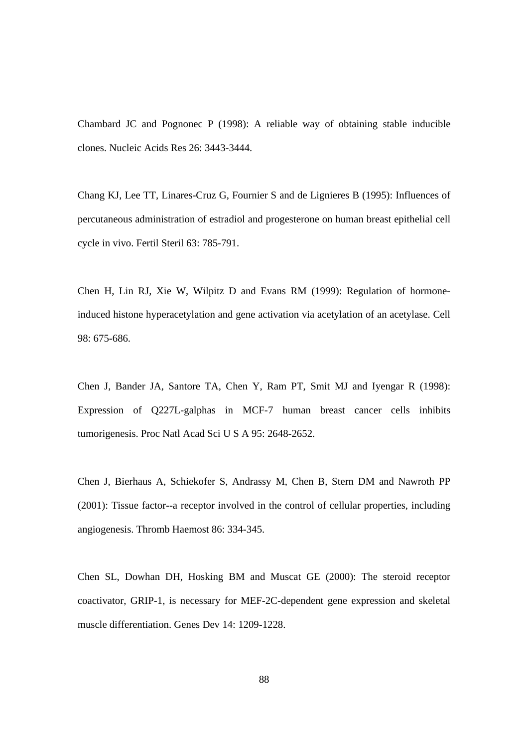Chambard JC and Pognonec P (1998): A reliable way of obtaining stable inducible clones. Nucleic Acids Res 26: 3443-3444.

Chang KJ, Lee TT, Linares-Cruz G, Fournier S and de Lignieres B (1995): Influences of percutaneous administration of estradiol and progesterone on human breast epithelial cell cycle in vivo. Fertil Steril 63: 785-791.

Chen H, Lin RJ, Xie W, Wilpitz D and Evans RM (1999): Regulation of hormoneinduced histone hyperacetylation and gene activation via acetylation of an acetylase. Cell 98: 675-686.

Chen J, Bander JA, Santore TA, Chen Y, Ram PT, Smit MJ and Iyengar R (1998): Expression of Q227L-galphas in MCF-7 human breast cancer cells inhibits tumorigenesis. Proc Natl Acad Sci U S A 95: 2648-2652.

Chen J, Bierhaus A, Schiekofer S, Andrassy M, Chen B, Stern DM and Nawroth PP (2001): Tissue factor--a receptor involved in the control of cellular properties, including angiogenesis. Thromb Haemost 86: 334-345.

Chen SL, Dowhan DH, Hosking BM and Muscat GE (2000): The steroid receptor coactivator, GRIP-1, is necessary for MEF-2C-dependent gene expression and skeletal muscle differentiation. Genes Dev 14: 1209-1228.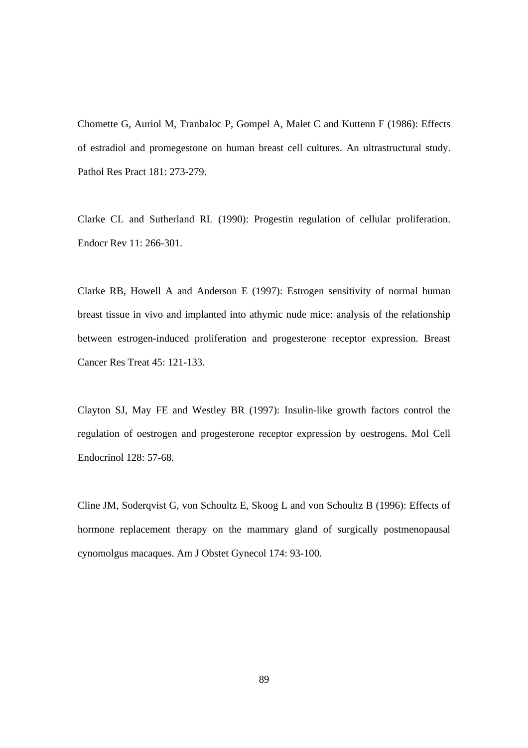Chomette G, Auriol M, Tranbaloc P, Gompel A, Malet C and Kuttenn F (1986): Effects of estradiol and promegestone on human breast cell cultures. An ultrastructural study. Pathol Res Pract 181: 273-279.

Clarke CL and Sutherland RL (1990): Progestin regulation of cellular proliferation. Endocr Rev 11: 266-301.

Clarke RB, Howell A and Anderson E (1997): Estrogen sensitivity of normal human breast tissue in vivo and implanted into athymic nude mice: analysis of the relationship between estrogen-induced proliferation and progesterone receptor expression. Breast Cancer Res Treat 45: 121-133.

Clayton SJ, May FE and Westley BR (1997): Insulin-like growth factors control the regulation of oestrogen and progesterone receptor expression by oestrogens. Mol Cell Endocrinol 128: 57-68.

Cline JM, Soderqvist G, von Schoultz E, Skoog L and von Schoultz B (1996): Effects of hormone replacement therapy on the mammary gland of surgically postmenopausal cynomolgus macaques. Am J Obstet Gynecol 174: 93-100.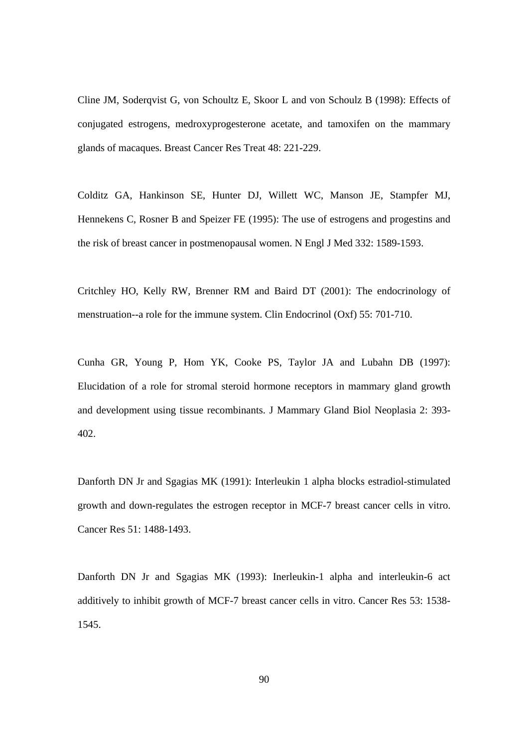Cline JM, Soderqvist G, von Schoultz E, Skoor L and von Schoulz B (1998): Effects of conjugated estrogens, medroxyprogesterone acetate, and tamoxifen on the mammary glands of macaques. Breast Cancer Res Treat 48: 221-229.

Colditz GA, Hankinson SE, Hunter DJ, Willett WC, Manson JE, Stampfer MJ, Hennekens C, Rosner B and Speizer FE (1995): The use of estrogens and progestins and the risk of breast cancer in postmenopausal women. N Engl J Med 332: 1589-1593.

Critchley HO, Kelly RW, Brenner RM and Baird DT (2001): The endocrinology of menstruation--a role for the immune system. Clin Endocrinol (Oxf) 55: 701-710.

Cunha GR, Young P, Hom YK, Cooke PS, Taylor JA and Lubahn DB (1997): Elucidation of a role for stromal steroid hormone receptors in mammary gland growth and development using tissue recombinants. J Mammary Gland Biol Neoplasia 2: 393- 402.

Danforth DN Jr and Sgagias MK (1991): Interleukin 1 alpha blocks estradiol-stimulated growth and down-regulates the estrogen receptor in MCF-7 breast cancer cells in vitro. Cancer Res 51: 1488-1493.

Danforth DN Jr and Sgagias MK (1993): Inerleukin-1 alpha and interleukin-6 act additively to inhibit growth of MCF-7 breast cancer cells in vitro. Cancer Res 53: 1538- 1545.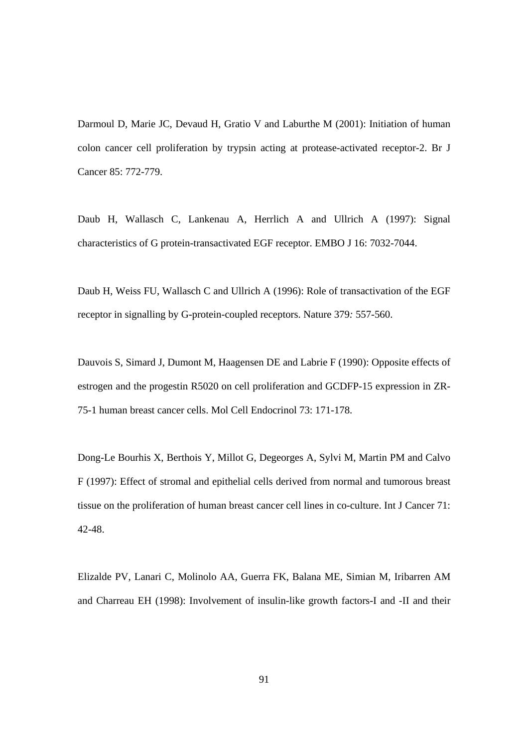Darmoul D, Marie JC, Devaud H, Gratio V and Laburthe M (2001): Initiation of human colon cancer cell proliferation by trypsin acting at protease-activated receptor-2. Br J Cancer 85: 772-779.

Daub H, Wallasch C, Lankenau A, Herrlich A and Ullrich A (1997): Signal characteristics of G protein-transactivated EGF receptor. EMBO J 16: 7032-7044.

Daub H, Weiss FU, Wallasch C and Ullrich A (1996): Role of transactivation of the EGF receptor in signalling by G-protein-coupled receptors. Nature 379*:* 557-560.

Dauvois S, Simard J, Dumont M, Haagensen DE and Labrie F (1990): Opposite effects of estrogen and the progestin R5020 on cell proliferation and GCDFP-15 expression in ZR-75-1 human breast cancer cells. Mol Cell Endocrinol 73: 171-178.

Dong-Le Bourhis X, Berthois Y, Millot G, Degeorges A, Sylvi M, Martin PM and Calvo F (1997): Effect of stromal and epithelial cells derived from normal and tumorous breast tissue on the proliferation of human breast cancer cell lines in co-culture. Int J Cancer 71: 42-48.

Elizalde PV, Lanari C, Molinolo AA, Guerra FK, Balana ME, Simian M, Iribarren AM and Charreau EH (1998): Involvement of insulin-like growth factors-I and -II and their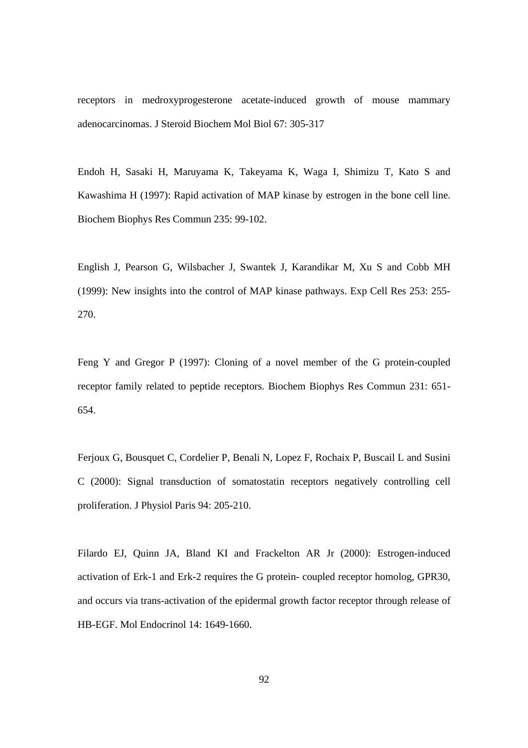receptors in medroxyprogesterone acetate-induced growth of mouse mammary adenocarcinomas. J Steroid Biochem Mol Biol 67: 305-317

Endoh H, Sasaki H, Maruyama K, Takeyama K, Waga I, Shimizu T, Kato S and Kawashima H (1997): Rapid activation of MAP kinase by estrogen in the bone cell line. Biochem Biophys Res Commun 235: 99-102.

English J, Pearson G, Wilsbacher J, Swantek J, Karandikar M, Xu S and Cobb MH (1999): New insights into the control of MAP kinase pathways. Exp Cell Res 253: 255- 270.

Feng Y and Gregor P (1997): Cloning of a novel member of the G protein-coupled receptor family related to peptide receptors. Biochem Biophys Res Commun 231: 651- 654.

Ferjoux G, Bousquet C, Cordelier P, Benali N, Lopez F, Rochaix P, Buscail L and Susini C (2000): Signal transduction of somatostatin receptors negatively controlling cell proliferation. J Physiol Paris 94: 205-210.

Filardo EJ, Quinn JA, Bland KI and Frackelton AR Jr (2000): Estrogen-induced activation of Erk-1 and Erk-2 requires the G protein- coupled receptor homolog, GPR30, and occurs via trans-activation of the epidermal growth factor receptor through release of HB-EGF. Mol Endocrinol 14: 1649-1660.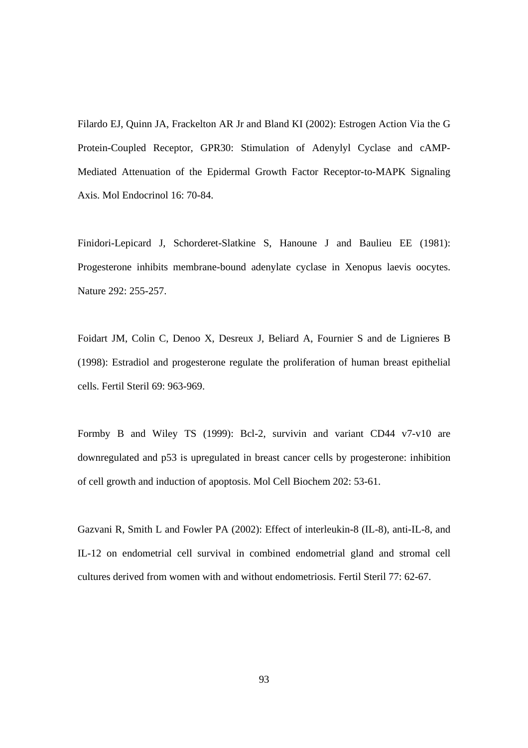Filardo EJ, Quinn JA, Frackelton AR Jr and Bland KI (2002): Estrogen Action Via the G Protein-Coupled Receptor, GPR30: Stimulation of Adenylyl Cyclase and cAMP-Mediated Attenuation of the Epidermal Growth Factor Receptor-to-MAPK Signaling Axis. Mol Endocrinol 16: 70-84.

Finidori-Lepicard J, Schorderet-Slatkine S, Hanoune J and Baulieu EE (1981): Progesterone inhibits membrane-bound adenylate cyclase in Xenopus laevis oocytes. Nature 292: 255-257.

Foidart JM, Colin C, Denoo X, Desreux J, Beliard A, Fournier S and de Lignieres B (1998): Estradiol and progesterone regulate the proliferation of human breast epithelial cells. Fertil Steril 69: 963-969.

Formby B and Wiley TS (1999): Bcl-2, survivin and variant CD44 v7-v10 are downregulated and p53 is upregulated in breast cancer cells by progesterone: inhibition of cell growth and induction of apoptosis. Mol Cell Biochem 202: 53-61.

Gazvani R, Smith L and Fowler PA (2002): Effect of interleukin-8 (IL-8), anti-IL-8, and IL-12 on endometrial cell survival in combined endometrial gland and stromal cell cultures derived from women with and without endometriosis. Fertil Steril 77: 62-67.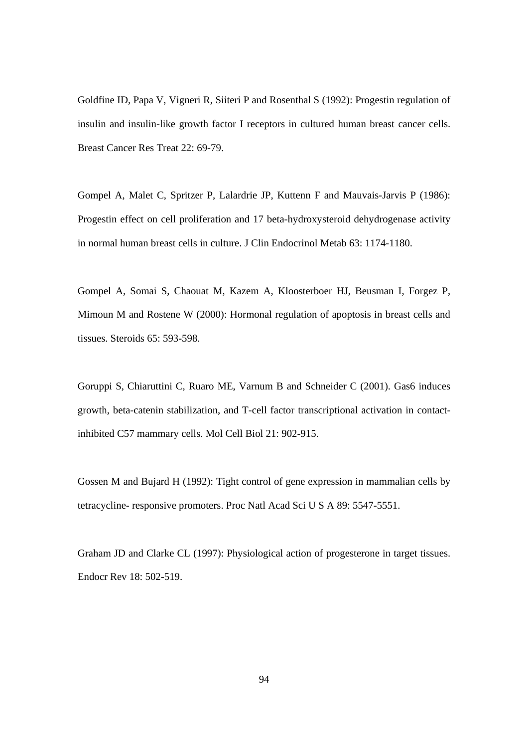Goldfine ID, Papa V, Vigneri R, Siiteri P and Rosenthal S (1992): Progestin regulation of insulin and insulin-like growth factor I receptors in cultured human breast cancer cells. Breast Cancer Res Treat 22: 69-79.

Gompel A, Malet C, Spritzer P, Lalardrie JP, Kuttenn F and Mauvais-Jarvis P (1986): Progestin effect on cell proliferation and 17 beta-hydroxysteroid dehydrogenase activity in normal human breast cells in culture. J Clin Endocrinol Metab 63: 1174-1180.

Gompel A, Somai S, Chaouat M, Kazem A, Kloosterboer HJ, Beusman I, Forgez P, Mimoun M and Rostene W (2000): Hormonal regulation of apoptosis in breast cells and tissues. Steroids 65: 593-598.

Goruppi S, Chiaruttini C, Ruaro ME, Varnum B and Schneider C (2001). Gas6 induces growth, beta-catenin stabilization, and T-cell factor transcriptional activation in contactinhibited C57 mammary cells. Mol Cell Biol 21: 902-915.

Gossen M and Bujard H (1992): Tight control of gene expression in mammalian cells by tetracycline- responsive promoters. Proc Natl Acad Sci U S A 89: 5547-5551.

Graham JD and Clarke CL (1997): Physiological action of progesterone in target tissues. Endocr Rev 18: 502-519.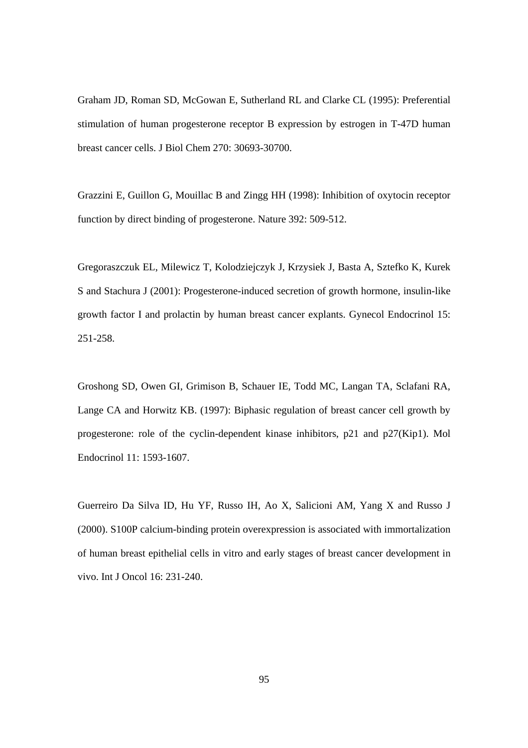Graham JD, Roman SD, McGowan E, Sutherland RL and Clarke CL (1995): Preferential stimulation of human progesterone receptor B expression by estrogen in T-47D human breast cancer cells. J Biol Chem 270: 30693-30700.

Grazzini E, Guillon G, Mouillac B and Zingg HH (1998): Inhibition of oxytocin receptor function by direct binding of progesterone. Nature 392: 509-512.

Gregoraszczuk EL, Milewicz T, Kolodziejczyk J, Krzysiek J, Basta A, Sztefko K, Kurek S and Stachura J (2001): Progesterone-induced secretion of growth hormone, insulin-like growth factor I and prolactin by human breast cancer explants. Gynecol Endocrinol 15: 251-258.

Groshong SD, Owen GI, Grimison B, Schauer IE, Todd MC, Langan TA, Sclafani RA, Lange CA and Horwitz KB. (1997): Biphasic regulation of breast cancer cell growth by progesterone: role of the cyclin-dependent kinase inhibitors, p21 and p27(Kip1). Mol Endocrinol 11: 1593-1607.

Guerreiro Da Silva ID, Hu YF, Russo IH, Ao X, Salicioni AM, Yang X and Russo J (2000). S100P calcium-binding protein overexpression is associated with immortalization of human breast epithelial cells in vitro and early stages of breast cancer development in vivo. Int J Oncol 16: 231-240.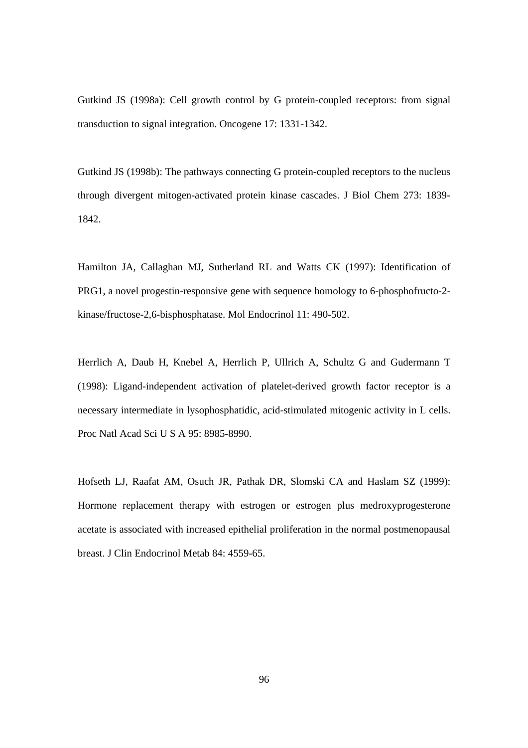Gutkind JS (1998a): Cell growth control by G protein-coupled receptors: from signal transduction to signal integration. Oncogene 17: 1331-1342.

Gutkind JS (1998b): The pathways connecting G protein-coupled receptors to the nucleus through divergent mitogen-activated protein kinase cascades. J Biol Chem 273: 1839- 1842.

Hamilton JA, Callaghan MJ, Sutherland RL and Watts CK (1997): Identification of PRG1, a novel progestin-responsive gene with sequence homology to 6-phosphofructo-2 kinase/fructose-2,6-bisphosphatase. Mol Endocrinol 11: 490-502.

Herrlich A, Daub H, Knebel A, Herrlich P, Ullrich A, Schultz G and Gudermann T (1998): Ligand-independent activation of platelet-derived growth factor receptor is a necessary intermediate in lysophosphatidic, acid-stimulated mitogenic activity in L cells. Proc Natl Acad Sci U S A 95: 8985-8990.

Hofseth LJ, Raafat AM, Osuch JR, Pathak DR, Slomski CA and Haslam SZ (1999): Hormone replacement therapy with estrogen or estrogen plus medroxyprogesterone acetate is associated with increased epithelial proliferation in the normal postmenopausal breast. J Clin Endocrinol Metab 84: 4559-65.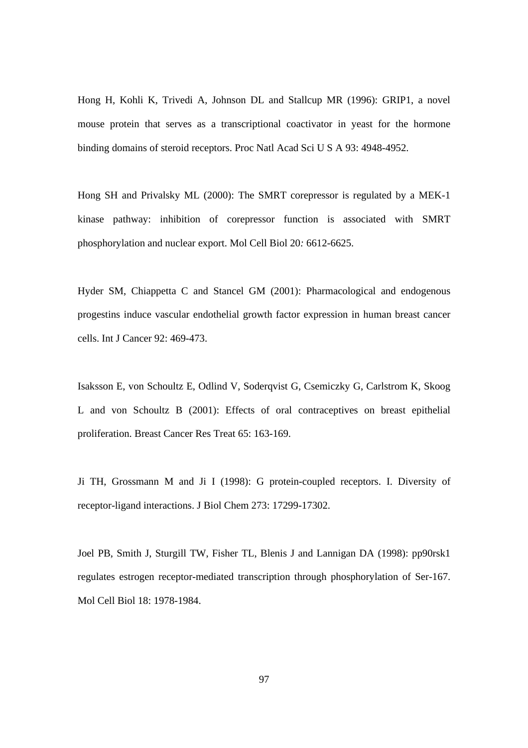Hong H, Kohli K, Trivedi A, Johnson DL and Stallcup MR (1996): GRIP1, a novel mouse protein that serves as a transcriptional coactivator in yeast for the hormone binding domains of steroid receptors. Proc Natl Acad Sci U S A 93: 4948-4952.

Hong SH and Privalsky ML (2000): The SMRT corepressor is regulated by a MEK-1 kinase pathway: inhibition of corepressor function is associated with SMRT phosphorylation and nuclear export. Mol Cell Biol 20*:* 6612-6625.

Hyder SM, Chiappetta C and Stancel GM (2001): Pharmacological and endogenous progestins induce vascular endothelial growth factor expression in human breast cancer cells. Int J Cancer 92: 469-473.

Isaksson E, von Schoultz E, Odlind V, Soderqvist G, Csemiczky G, Carlstrom K, Skoog L and von Schoultz B (2001): Effects of oral contraceptives on breast epithelial proliferation. Breast Cancer Res Treat 65: 163-169.

Ji TH, Grossmann M and Ji I (1998): G protein-coupled receptors. I. Diversity of receptor-ligand interactions. J Biol Chem 273: 17299-17302.

Joel PB, Smith J, Sturgill TW, Fisher TL, Blenis J and Lannigan DA (1998): pp90rsk1 regulates estrogen receptor-mediated transcription through phosphorylation of Ser-167. Mol Cell Biol 18: 1978-1984.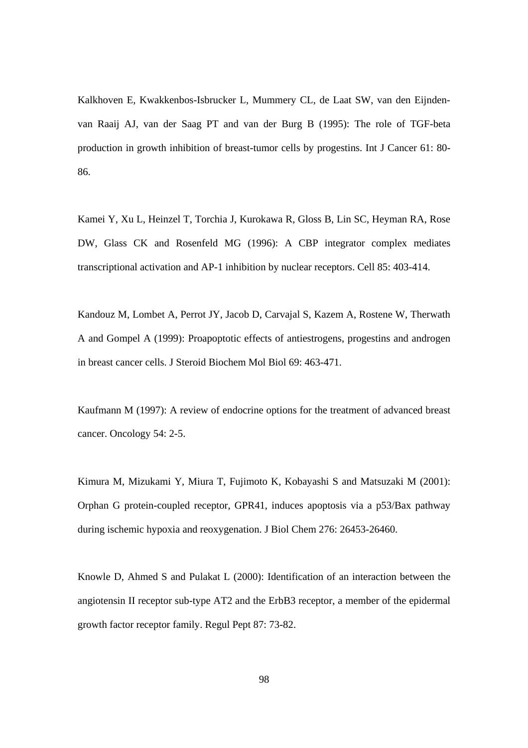Kalkhoven E, Kwakkenbos-Isbrucker L, Mummery CL, de Laat SW, van den Eijndenvan Raaij AJ, van der Saag PT and van der Burg B (1995): The role of TGF-beta production in growth inhibition of breast-tumor cells by progestins. Int J Cancer 61: 80- 86.

Kamei Y, Xu L, Heinzel T, Torchia J, Kurokawa R, Gloss B, Lin SC, Heyman RA, Rose DW, Glass CK and Rosenfeld MG (1996): A CBP integrator complex mediates transcriptional activation and AP-1 inhibition by nuclear receptors. Cell 85: 403-414.

Kandouz M, Lombet A, Perrot JY, Jacob D, Carvajal S, Kazem A, Rostene W, Therwath A and Gompel A (1999): Proapoptotic effects of antiestrogens, progestins and androgen in breast cancer cells. J Steroid Biochem Mol Biol 69: 463-471.

Kaufmann M (1997): A review of endocrine options for the treatment of advanced breast cancer. Oncology 54: 2-5.

Kimura M, Mizukami Y, Miura T, Fujimoto K, Kobayashi S and Matsuzaki M (2001): Orphan G protein-coupled receptor, GPR41, induces apoptosis via a p53/Bax pathway during ischemic hypoxia and reoxygenation. J Biol Chem 276: 26453-26460.

Knowle D, Ahmed S and Pulakat L (2000): Identification of an interaction between the angiotensin II receptor sub-type AT2 and the ErbB3 receptor, a member of the epidermal growth factor receptor family. Regul Pept 87: 73-82.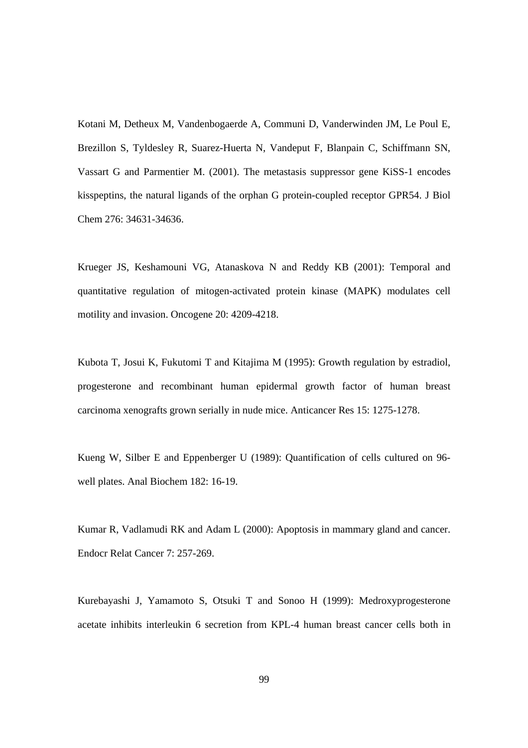Kotani M, Detheux M, Vandenbogaerde A, Communi D, Vanderwinden JM, Le Poul E, Brezillon S, Tyldesley R, Suarez-Huerta N, Vandeput F, Blanpain C, Schiffmann SN, Vassart G and Parmentier M. (2001). The metastasis suppressor gene KiSS-1 encodes kisspeptins, the natural ligands of the orphan G protein-coupled receptor GPR54. J Biol Chem 276: 34631-34636.

Krueger JS, Keshamouni VG, Atanaskova N and Reddy KB (2001): Temporal and quantitative regulation of mitogen-activated protein kinase (MAPK) modulates cell motility and invasion. Oncogene 20: 4209-4218.

Kubota T, Josui K, Fukutomi T and Kitajima M (1995): Growth regulation by estradiol, progesterone and recombinant human epidermal growth factor of human breast carcinoma xenografts grown serially in nude mice. Anticancer Res 15: 1275-1278.

Kueng W, Silber E and Eppenberger U (1989): Quantification of cells cultured on 96 well plates. Anal Biochem 182: 16-19.

Kumar R, Vadlamudi RK and Adam L (2000): Apoptosis in mammary gland and cancer. Endocr Relat Cancer 7: 257-269.

Kurebayashi J, Yamamoto S, Otsuki T and Sonoo H (1999): Medroxyprogesterone acetate inhibits interleukin 6 secretion from KPL-4 human breast cancer cells both in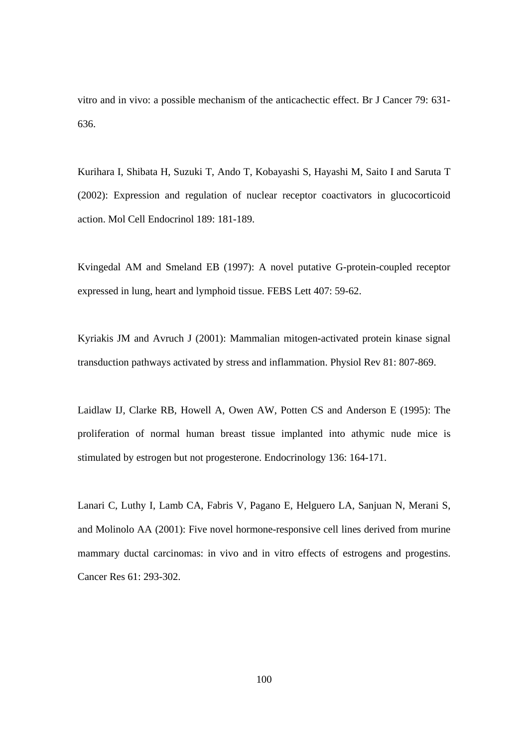vitro and in vivo: a possible mechanism of the anticachectic effect. Br J Cancer 79: 631- 636.

Kurihara I, Shibata H, Suzuki T, Ando T, Kobayashi S, Hayashi M, Saito I and Saruta T (2002): Expression and regulation of nuclear receptor coactivators in glucocorticoid action. Mol Cell Endocrinol 189: 181-189.

Kvingedal AM and Smeland EB (1997): A novel putative G-protein-coupled receptor expressed in lung, heart and lymphoid tissue. FEBS Lett 407: 59-62.

Kyriakis JM and Avruch J (2001): Mammalian mitogen-activated protein kinase signal transduction pathways activated by stress and inflammation. Physiol Rev 81: 807-869.

Laidlaw IJ, Clarke RB, Howell A, Owen AW, Potten CS and Anderson E (1995): The proliferation of normal human breast tissue implanted into athymic nude mice is stimulated by estrogen but not progesterone. Endocrinology 136: 164-171.

Lanari C, Luthy I, Lamb CA, Fabris V, Pagano E, Helguero LA, Sanjuan N, Merani S, and Molinolo AA (2001): Five novel hormone-responsive cell lines derived from murine mammary ductal carcinomas: in vivo and in vitro effects of estrogens and progestins. Cancer Res 61: 293-302.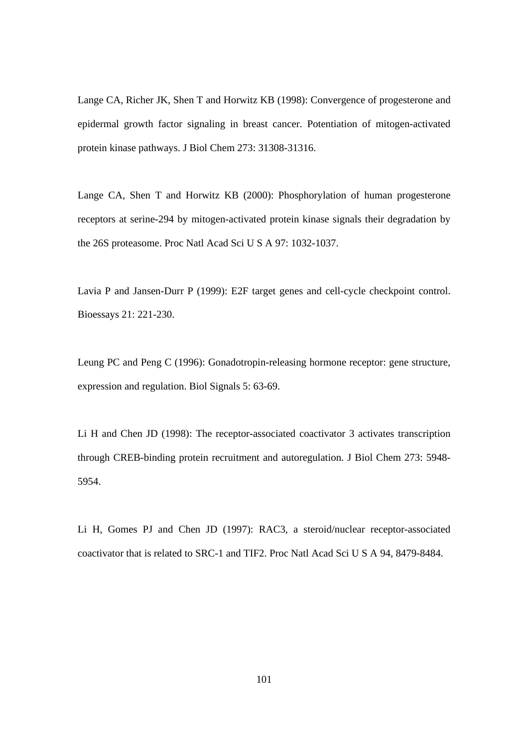Lange CA, Richer JK, Shen T and Horwitz KB (1998): Convergence of progesterone and epidermal growth factor signaling in breast cancer. Potentiation of mitogen-activated protein kinase pathways. J Biol Chem 273: 31308-31316.

Lange CA, Shen T and Horwitz KB (2000): Phosphorylation of human progesterone receptors at serine-294 by mitogen-activated protein kinase signals their degradation by the 26S proteasome. Proc Natl Acad Sci U S A 97: 1032-1037.

Lavia P and Jansen-Durr P (1999): E2F target genes and cell-cycle checkpoint control. Bioessays 21: 221-230.

Leung PC and Peng C (1996): Gonadotropin-releasing hormone receptor: gene structure, expression and regulation. Biol Signals 5: 63-69.

Li H and Chen JD (1998): The receptor-associated coactivator 3 activates transcription through CREB-binding protein recruitment and autoregulation. J Biol Chem 273: 5948- 5954.

Li H, Gomes PJ and Chen JD (1997): RAC3, a steroid/nuclear receptor-associated coactivator that is related to SRC-1 and TIF2. Proc Natl Acad Sci U S A 94, 8479-8484.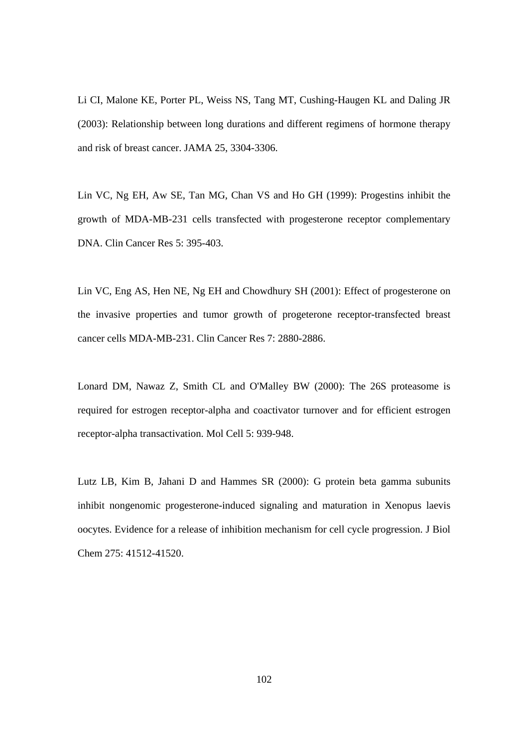Li CI, Malone KE, Porter PL, Weiss NS, Tang MT, Cushing-Haugen KL and Daling JR (2003): Relationship between long durations and different regimens of hormone therapy and risk of breast cancer. JAMA 25, 3304-3306.

Lin VC, Ng EH, Aw SE, Tan MG, Chan VS and Ho GH (1999): Progestins inhibit the growth of MDA-MB-231 cells transfected with progesterone receptor complementary DNA. Clin Cancer Res 5: 395-403.

Lin VC, Eng AS, Hen NE, Ng EH and Chowdhury SH (2001): Effect of progesterone on the invasive properties and tumor growth of progeterone receptor-transfected breast cancer cells MDA-MB-231. Clin Cancer Res 7: 2880-2886.

Lonard DM, Nawaz Z, Smith CL and O'Malley BW (2000): The 26S proteasome is required for estrogen receptor-alpha and coactivator turnover and for efficient estrogen receptor-alpha transactivation. Mol Cell 5: 939-948.

Lutz LB, Kim B, Jahani D and Hammes SR (2000): G protein beta gamma subunits inhibit nongenomic progesterone-induced signaling and maturation in Xenopus laevis oocytes. Evidence for a release of inhibition mechanism for cell cycle progression. J Biol Chem 275: 41512-41520.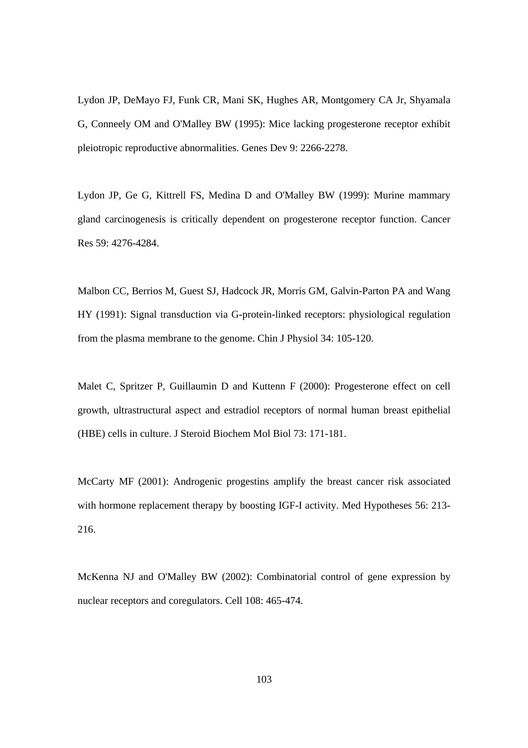Lydon JP, DeMayo FJ, Funk CR, Mani SK, Hughes AR, Montgomery CA Jr, Shyamala G, Conneely OM and O'Malley BW (1995): Mice lacking progesterone receptor exhibit pleiotropic reproductive abnormalities. Genes Dev 9: 2266-2278.

Lydon JP, Ge G, Kittrell FS, Medina D and O'Malley BW (1999): Murine mammary gland carcinogenesis is critically dependent on progesterone receptor function. Cancer Res 59: 4276-4284.

Malbon CC, Berrios M, Guest SJ, Hadcock JR, Morris GM, Galvin-Parton PA and Wang HY (1991): Signal transduction via G-protein-linked receptors: physiological regulation from the plasma membrane to the genome. Chin J Physiol 34: 105-120.

Malet C, Spritzer P, Guillaumin D and Kuttenn F (2000): Progesterone effect on cell growth, ultrastructural aspect and estradiol receptors of normal human breast epithelial (HBE) cells in culture. J Steroid Biochem Mol Biol 73: 171-181.

McCarty MF (2001): Androgenic progestins amplify the breast cancer risk associated with hormone replacement therapy by boosting IGF-I activity. Med Hypotheses 56: 213- 216.

McKenna NJ and O'Malley BW (2002): Combinatorial control of gene expression by nuclear receptors and coregulators. Cell 108: 465-474.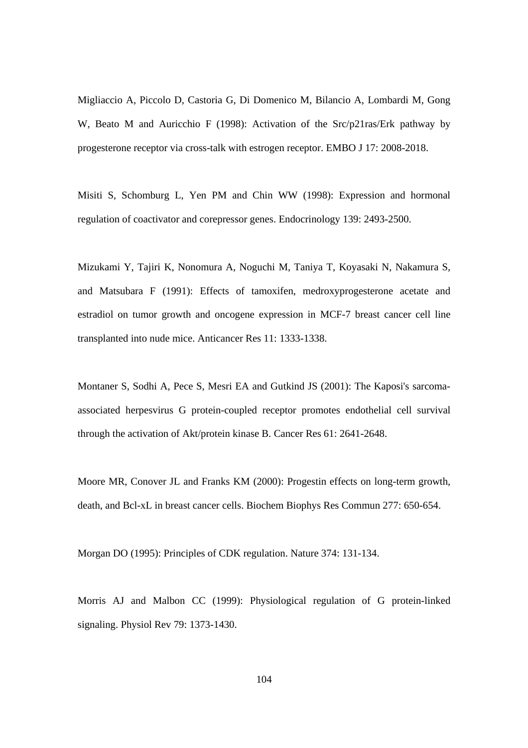Migliaccio A, Piccolo D, Castoria G, Di Domenico M, Bilancio A, Lombardi M, Gong W, Beato M and Auricchio F (1998): Activation of the Src/p21ras/Erk pathway by progesterone receptor via cross-talk with estrogen receptor. EMBO J 17: 2008-2018.

Misiti S, Schomburg L, Yen PM and Chin WW (1998): Expression and hormonal regulation of coactivator and corepressor genes. Endocrinology 139: 2493-2500.

Mizukami Y, Tajiri K, Nonomura A, Noguchi M, Taniya T, Koyasaki N, Nakamura S, and Matsubara F (1991): Effects of tamoxifen, medroxyprogesterone acetate and estradiol on tumor growth and oncogene expression in MCF-7 breast cancer cell line transplanted into nude mice. Anticancer Res 11: 1333-1338.

Montaner S, Sodhi A, Pece S, Mesri EA and Gutkind JS (2001): The Kaposi's sarcomaassociated herpesvirus G protein-coupled receptor promotes endothelial cell survival through the activation of Akt/protein kinase B. Cancer Res 61: 2641-2648.

Moore MR, Conover JL and Franks KM (2000): Progestin effects on long-term growth, death, and Bcl-xL in breast cancer cells. Biochem Biophys Res Commun 277: 650-654.

Morgan DO (1995): Principles of CDK regulation. Nature 374: 131-134.

Morris AJ and Malbon CC (1999): Physiological regulation of G protein-linked signaling. Physiol Rev 79: 1373-1430.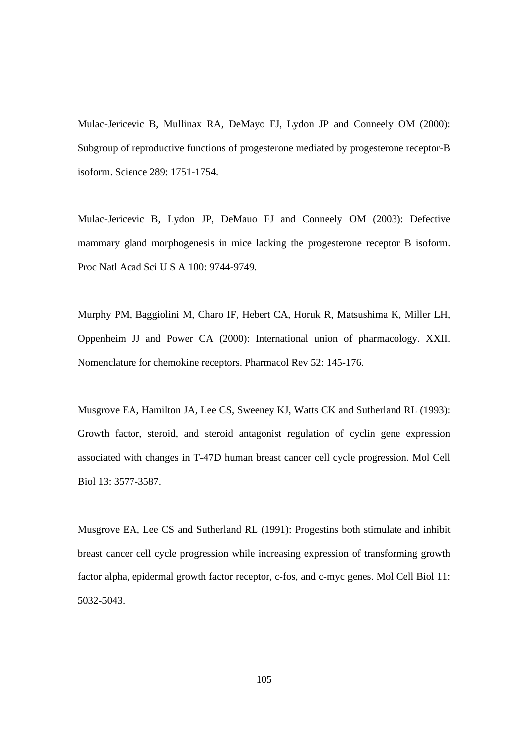Mulac-Jericevic B, Mullinax RA, DeMayo FJ, Lydon JP and Conneely OM (2000): Subgroup of reproductive functions of progesterone mediated by progesterone receptor-B isoform. Science 289: 1751-1754.

Mulac-Jericevic B, Lydon JP, DeMauo FJ and Conneely OM (2003): Defective mammary gland morphogenesis in mice lacking the progesterone receptor B isoform. Proc Natl Acad Sci U S A 100: 9744-9749.

Murphy PM, Baggiolini M, Charo IF, Hebert CA, Horuk R, Matsushima K, Miller LH, Oppenheim JJ and Power CA (2000): International union of pharmacology. XXII. Nomenclature for chemokine receptors. Pharmacol Rev 52: 145-176.

Musgrove EA, Hamilton JA, Lee CS, Sweeney KJ, Watts CK and Sutherland RL (1993): Growth factor, steroid, and steroid antagonist regulation of cyclin gene expression associated with changes in T-47D human breast cancer cell cycle progression. Mol Cell Biol 13: 3577-3587.

Musgrove EA, Lee CS and Sutherland RL (1991): Progestins both stimulate and inhibit breast cancer cell cycle progression while increasing expression of transforming growth factor alpha, epidermal growth factor receptor, c-fos, and c-myc genes. Mol Cell Biol 11: 5032-5043.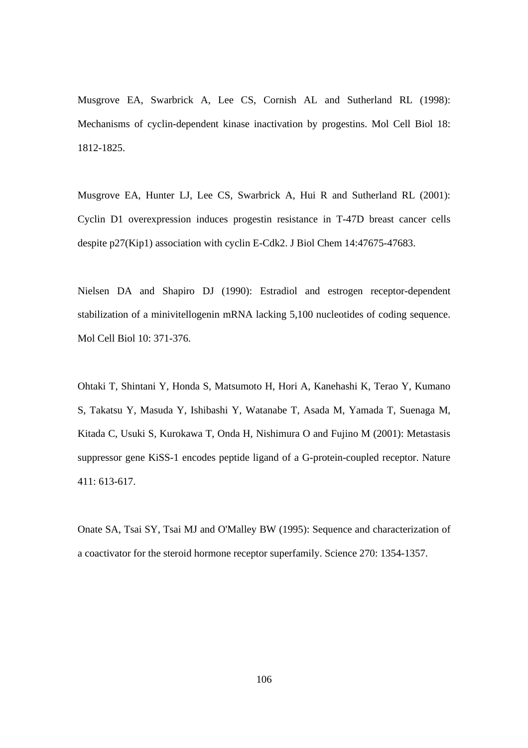Musgrove EA, Swarbrick A, Lee CS, Cornish AL and Sutherland RL (1998): Mechanisms of cyclin-dependent kinase inactivation by progestins. Mol Cell Biol 18: 1812-1825.

Musgrove EA, Hunter LJ, Lee CS, Swarbrick A, Hui R and Sutherland RL (2001): Cyclin D1 overexpression induces progestin resistance in T-47D breast cancer cells despite p27(Kip1) association with cyclin E-Cdk2. J Biol Chem 14:47675-47683.

Nielsen DA and Shapiro DJ (1990): Estradiol and estrogen receptor-dependent stabilization of a minivitellogenin mRNA lacking 5,100 nucleotides of coding sequence. Mol Cell Biol 10: 371-376.

Ohtaki T, Shintani Y, Honda S, Matsumoto H, Hori A, Kanehashi K, Terao Y, Kumano S, Takatsu Y, Masuda Y, Ishibashi Y, Watanabe T, Asada M, Yamada T, Suenaga M, Kitada C, Usuki S, Kurokawa T, Onda H, Nishimura O and Fujino M (2001): Metastasis suppressor gene KiSS-1 encodes peptide ligand of a G-protein-coupled receptor. Nature 411: 613-617.

Onate SA, Tsai SY, Tsai MJ and O'Malley BW (1995): Sequence and characterization of a coactivator for the steroid hormone receptor superfamily. Science 270: 1354-1357.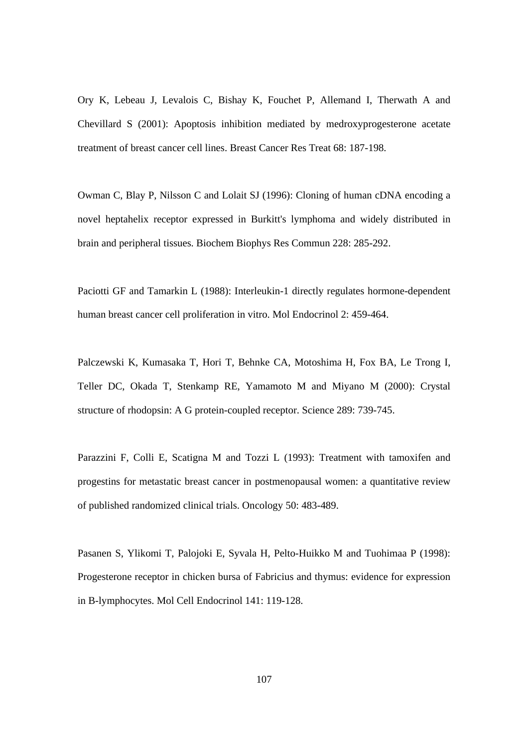Ory K, Lebeau J, Levalois C, Bishay K, Fouchet P, Allemand I, Therwath A and Chevillard S (2001): Apoptosis inhibition mediated by medroxyprogesterone acetate treatment of breast cancer cell lines. Breast Cancer Res Treat 68: 187-198.

Owman C, Blay P, Nilsson C and Lolait SJ (1996): Cloning of human cDNA encoding a novel heptahelix receptor expressed in Burkitt's lymphoma and widely distributed in brain and peripheral tissues. Biochem Biophys Res Commun 228: 285-292.

Paciotti GF and Tamarkin L (1988): Interleukin-1 directly regulates hormone-dependent human breast cancer cell proliferation in vitro. Mol Endocrinol 2: 459-464.

Palczewski K, Kumasaka T, Hori T, Behnke CA, Motoshima H, Fox BA, Le Trong I, Teller DC, Okada T, Stenkamp RE, Yamamoto M and Miyano M (2000): Crystal structure of rhodopsin: A G protein-coupled receptor. Science 289: 739-745.

Parazzini F, Colli E, Scatigna M and Tozzi L (1993): Treatment with tamoxifen and progestins for metastatic breast cancer in postmenopausal women: a quantitative review of published randomized clinical trials. Oncology 50: 483-489.

Pasanen S, Ylikomi T, Palojoki E, Syvala H, Pelto-Huikko M and Tuohimaa P (1998): Progesterone receptor in chicken bursa of Fabricius and thymus: evidence for expression in B-lymphocytes. Mol Cell Endocrinol 141: 119-128.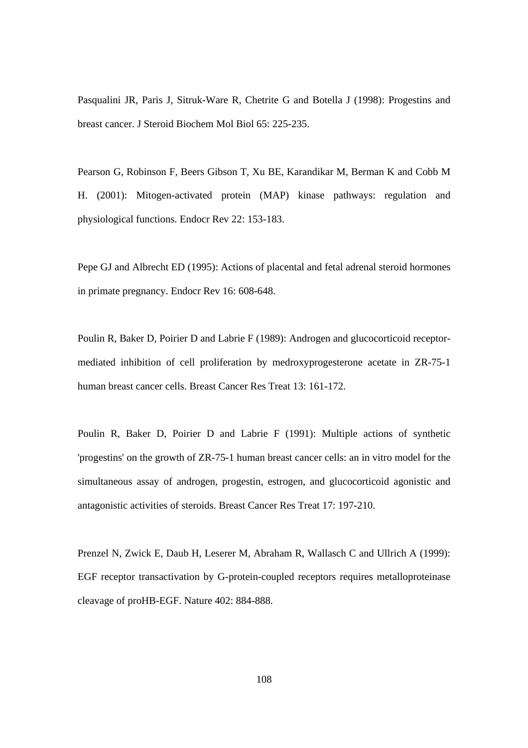Pasqualini JR, Paris J, Sitruk-Ware R, Chetrite G and Botella J (1998): Progestins and breast cancer. J Steroid Biochem Mol Biol 65: 225-235.

Pearson G, Robinson F, Beers Gibson T, Xu BE, Karandikar M, Berman K and Cobb M H. (2001): Mitogen-activated protein (MAP) kinase pathways: regulation and physiological functions. Endocr Rev 22: 153-183.

Pepe GJ and Albrecht ED (1995): Actions of placental and fetal adrenal steroid hormones in primate pregnancy. Endocr Rev 16: 608-648.

Poulin R, Baker D, Poirier D and Labrie F (1989): Androgen and glucocorticoid receptormediated inhibition of cell proliferation by medroxyprogesterone acetate in ZR-75-1 human breast cancer cells. Breast Cancer Res Treat 13: 161-172.

Poulin R, Baker D, Poirier D and Labrie F (1991): Multiple actions of synthetic 'progestins' on the growth of ZR-75-1 human breast cancer cells: an in vitro model for the simultaneous assay of androgen, progestin, estrogen, and glucocorticoid agonistic and antagonistic activities of steroids. Breast Cancer Res Treat 17: 197-210.

Prenzel N, Zwick E, Daub H, Leserer M, Abraham R, Wallasch C and Ullrich A (1999): EGF receptor transactivation by G-protein-coupled receptors requires metalloproteinase cleavage of proHB-EGF. Nature 402: 884-888.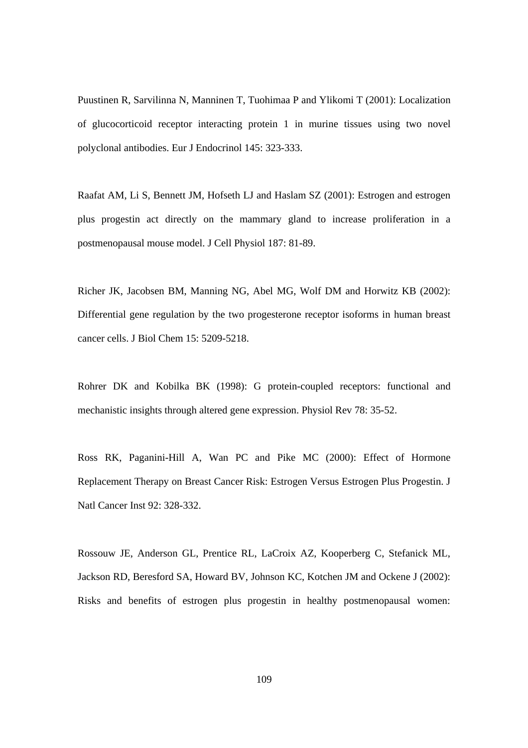Puustinen R, Sarvilinna N, Manninen T, Tuohimaa P and Ylikomi T (2001): Localization of glucocorticoid receptor interacting protein 1 in murine tissues using two novel polyclonal antibodies. Eur J Endocrinol 145: 323-333.

Raafat AM, Li S, Bennett JM, Hofseth LJ and Haslam SZ (2001): Estrogen and estrogen plus progestin act directly on the mammary gland to increase proliferation in a postmenopausal mouse model. J Cell Physiol 187: 81-89.

Richer JK, Jacobsen BM, Manning NG, Abel MG, Wolf DM and Horwitz KB (2002): Differential gene regulation by the two progesterone receptor isoforms in human breast cancer cells. J Biol Chem 15: 5209-5218.

Rohrer DK and Kobilka BK (1998): G protein-coupled receptors: functional and mechanistic insights through altered gene expression. Physiol Rev 78: 35-52.

Ross RK, Paganini-Hill A, Wan PC and Pike MC (2000): Effect of Hormone Replacement Therapy on Breast Cancer Risk: Estrogen Versus Estrogen Plus Progestin. J Natl Cancer Inst 92: 328-332.

Rossouw JE, Anderson GL, Prentice RL, LaCroix AZ, Kooperberg C, Stefanick ML, Jackson RD, Beresford SA, Howard BV, Johnson KC, Kotchen JM and Ockene J (2002): Risks and benefits of estrogen plus progestin in healthy postmenopausal women: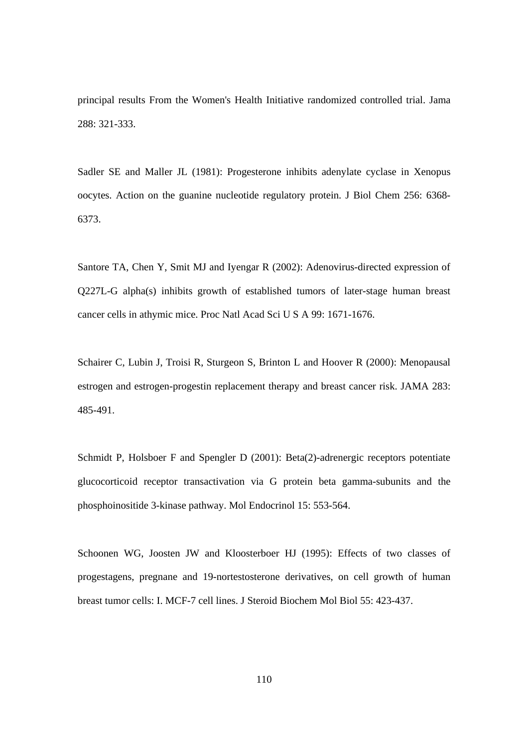principal results From the Women's Health Initiative randomized controlled trial. Jama 288: 321-333.

Sadler SE and Maller JL (1981): Progesterone inhibits adenylate cyclase in Xenopus oocytes. Action on the guanine nucleotide regulatory protein. J Biol Chem 256: 6368- 6373.

Santore TA, Chen Y, Smit MJ and Iyengar R (2002): Adenovirus-directed expression of Q227L-G alpha(s) inhibits growth of established tumors of later-stage human breast cancer cells in athymic mice. Proc Natl Acad Sci U S A 99: 1671-1676.

Schairer C, Lubin J, Troisi R, Sturgeon S, Brinton L and Hoover R (2000): Menopausal estrogen and estrogen-progestin replacement therapy and breast cancer risk. JAMA 283: 485-491.

Schmidt P, Holsboer F and Spengler D (2001): Beta(2)-adrenergic receptors potentiate glucocorticoid receptor transactivation via G protein beta gamma-subunits and the phosphoinositide 3-kinase pathway. Mol Endocrinol 15: 553-564.

Schoonen WG, Joosten JW and Kloosterboer HJ (1995): Effects of two classes of progestagens, pregnane and 19-nortestosterone derivatives, on cell growth of human breast tumor cells: I. MCF-7 cell lines. J Steroid Biochem Mol Biol 55: 423-437.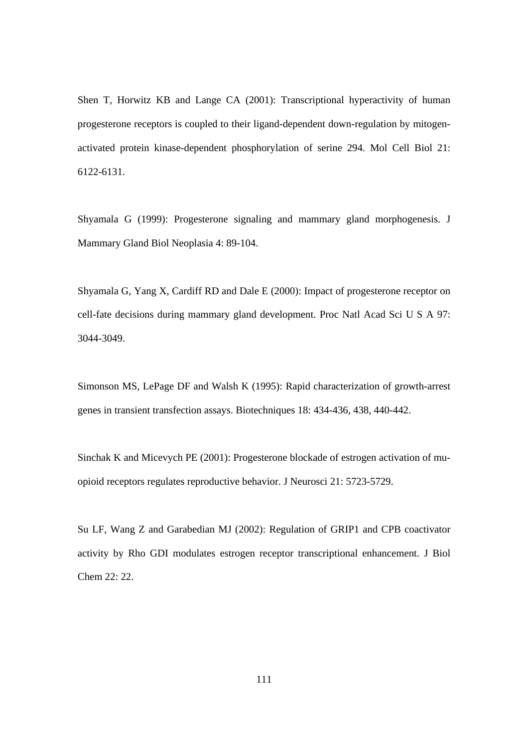Shen T, Horwitz KB and Lange CA (2001): Transcriptional hyperactivity of human progesterone receptors is coupled to their ligand-dependent down-regulation by mitogenactivated protein kinase-dependent phosphorylation of serine 294. Mol Cell Biol 21: 6122-6131.

Shyamala G (1999): Progesterone signaling and mammary gland morphogenesis. J Mammary Gland Biol Neoplasia 4: 89-104.

Shyamala G, Yang X, Cardiff RD and Dale E (2000): Impact of progesterone receptor on cell-fate decisions during mammary gland development. Proc Natl Acad Sci U S A 97: 3044-3049.

Simonson MS, LePage DF and Walsh K (1995): Rapid characterization of growth-arrest genes in transient transfection assays. Biotechniques 18: 434-436, 438, 440-442.

Sinchak K and Micevych PE (2001): Progesterone blockade of estrogen activation of muopioid receptors regulates reproductive behavior. J Neurosci 21: 5723-5729.

Su LF, Wang Z and Garabedian MJ (2002): Regulation of GRIP1 and CPB coactivator activity by Rho GDI modulates estrogen receptor transcriptional enhancement. J Biol Chem 22: 22.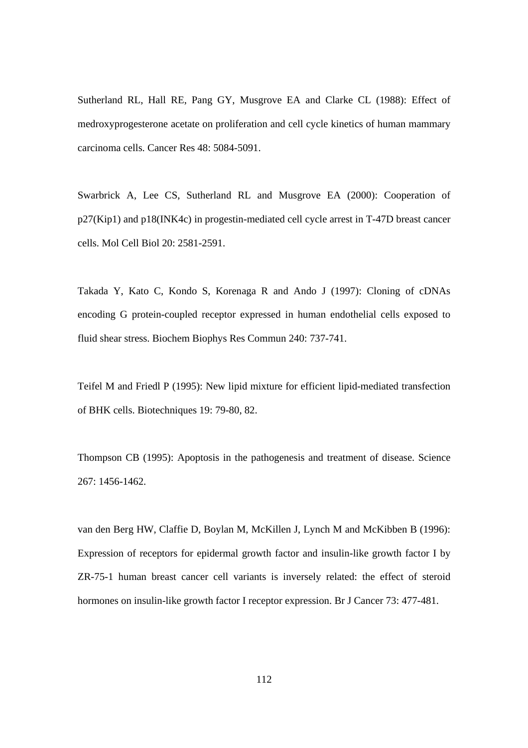Sutherland RL, Hall RE, Pang GY, Musgrove EA and Clarke CL (1988): Effect of medroxyprogesterone acetate on proliferation and cell cycle kinetics of human mammary carcinoma cells. Cancer Res 48: 5084-5091.

Swarbrick A, Lee CS, Sutherland RL and Musgrove EA (2000): Cooperation of p27(Kip1) and p18(INK4c) in progestin-mediated cell cycle arrest in T-47D breast cancer cells. Mol Cell Biol 20: 2581-2591.

Takada Y, Kato C, Kondo S, Korenaga R and Ando J (1997): Cloning of cDNAs encoding G protein-coupled receptor expressed in human endothelial cells exposed to fluid shear stress. Biochem Biophys Res Commun 240: 737-741.

Teifel M and Friedl P (1995): New lipid mixture for efficient lipid-mediated transfection of BHK cells. Biotechniques 19: 79-80, 82.

Thompson CB (1995): Apoptosis in the pathogenesis and treatment of disease. Science 267: 1456-1462.

van den Berg HW, Claffie D, Boylan M, McKillen J, Lynch M and McKibben B (1996): Expression of receptors for epidermal growth factor and insulin-like growth factor I by ZR-75-1 human breast cancer cell variants is inversely related: the effect of steroid hormones on insulin-like growth factor I receptor expression. Br J Cancer 73: 477-481.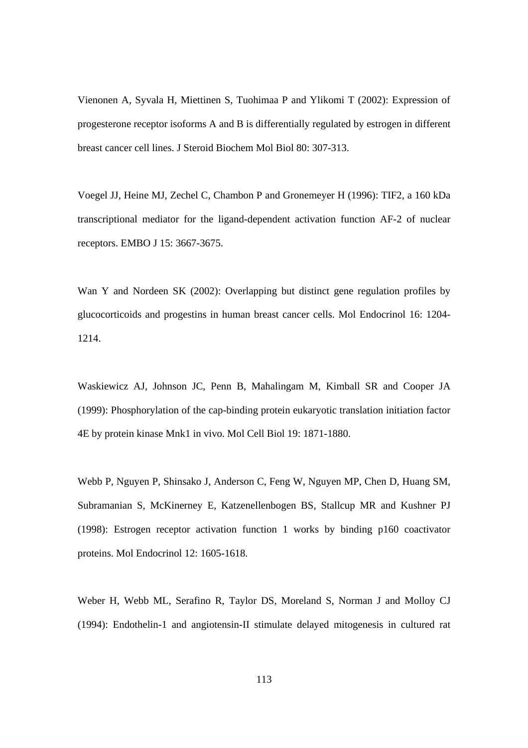Vienonen A, Syvala H, Miettinen S, Tuohimaa P and Ylikomi T (2002): Expression of progesterone receptor isoforms A and B is differentially regulated by estrogen in different breast cancer cell lines. J Steroid Biochem Mol Biol 80: 307-313.

Voegel JJ, Heine MJ, Zechel C, Chambon P and Gronemeyer H (1996): TIF2, a 160 kDa transcriptional mediator for the ligand-dependent activation function AF-2 of nuclear receptors. EMBO J 15: 3667-3675.

Wan Y and Nordeen SK (2002): Overlapping but distinct gene regulation profiles by glucocorticoids and progestins in human breast cancer cells. Mol Endocrinol 16: 1204- 1214.

Waskiewicz AJ, Johnson JC, Penn B, Mahalingam M, Kimball SR and Cooper JA (1999): Phosphorylation of the cap-binding protein eukaryotic translation initiation factor 4E by protein kinase Mnk1 in vivo. Mol Cell Biol 19: 1871-1880.

Webb P, Nguyen P, Shinsako J, Anderson C, Feng W, Nguyen MP, Chen D, Huang SM, Subramanian S, McKinerney E, Katzenellenbogen BS, Stallcup MR and Kushner PJ (1998): Estrogen receptor activation function 1 works by binding p160 coactivator proteins. Mol Endocrinol 12: 1605-1618.

Weber H, Webb ML, Serafino R, Taylor DS, Moreland S, Norman J and Molloy CJ (1994): Endothelin-1 and angiotensin-II stimulate delayed mitogenesis in cultured rat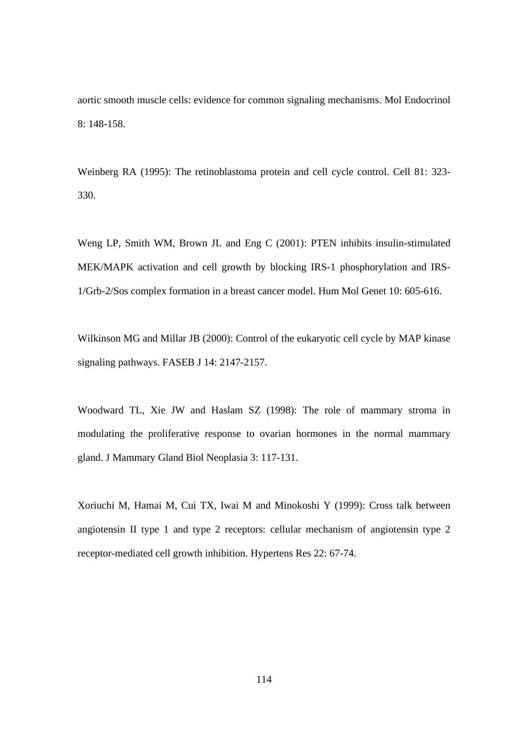aortic smooth muscle cells: evidence for common signaling mechanisms. Mol Endocrinol 8: 148-158.

Weinberg RA (1995): The retinoblastoma protein and cell cycle control. Cell 81: 323- 330.

Weng LP, Smith WM, Brown JL and Eng C (2001): PTEN inhibits insulin-stimulated MEK/MAPK activation and cell growth by blocking IRS-1 phosphorylation and IRS-1/Grb-2/Sos complex formation in a breast cancer model. Hum Mol Genet 10: 605-616.

Wilkinson MG and Millar JB (2000): Control of the eukaryotic cell cycle by MAP kinase signaling pathways. FASEB J 14: 2147-2157.

Woodward TL, Xie JW and Haslam SZ (1998): The role of mammary stroma in modulating the proliferative response to ovarian hormones in the normal mammary gland. J Mammary Gland Biol Neoplasia 3: 117-131.

Xoriuchi M, Hamai M, Cui TX, Iwai M and Minokoshi Y (1999): Cross talk between angiotensin II type 1 and type 2 receptors: cellular mechanism of angiotensin type 2 receptor-mediated cell growth inhibition. Hypertens Res 22: 67-74.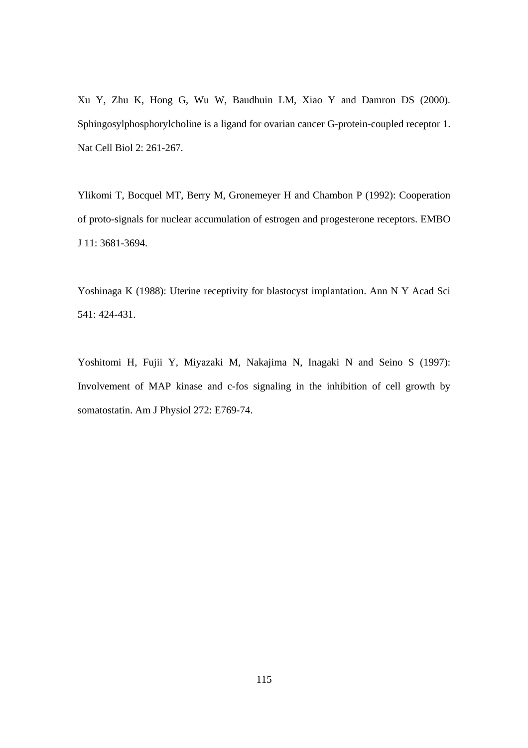Xu Y, Zhu K, Hong G, Wu W, Baudhuin LM, Xiao Y and Damron DS (2000). Sphingosylphosphorylcholine is a ligand for ovarian cancer G-protein-coupled receptor 1. Nat Cell Biol 2: 261-267.

Ylikomi T, Bocquel MT, Berry M, Gronemeyer H and Chambon P (1992): Cooperation of proto-signals for nuclear accumulation of estrogen and progesterone receptors. EMBO J 11: 3681-3694.

Yoshinaga K (1988): Uterine receptivity for blastocyst implantation. Ann N Y Acad Sci 541: 424-431.

Yoshitomi H, Fujii Y, Miyazaki M, Nakajima N, Inagaki N and Seino S (1997): Involvement of MAP kinase and c-fos signaling in the inhibition of cell growth by somatostatin. Am J Physiol 272: E769-74.